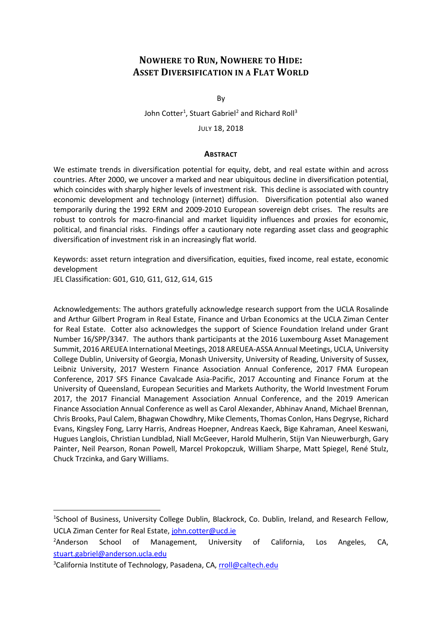# **NOWHERE TO RUN, NOWHERE TO HIDE: ASSET DIVERSIFICATION IN A FLAT WORLD**

By

John Cotter<sup>[1](#page-0-0)</sup>, Stuart Gabriel<sup>[2](#page-0-1)</sup> and Richard Roll<sup>[3](#page-0-2)</sup>

JULY 18, 2018

#### **ABSTRACT**

We estimate trends in diversification potential for equity, debt, and real estate within and across countries. After 2000, we uncover a marked and near ubiquitous decline in diversification potential, which coincides with sharply higher levels of investment risk. This decline is associated with country economic development and technology (internet) diffusion. Diversification potential also waned temporarily during the 1992 ERM and 2009-2010 European sovereign debt crises. The results are robust to controls for macro-financial and market liquidity influences and proxies for economic, political, and financial risks. Findings offer a cautionary note regarding asset class and geographic diversification of investment risk in an increasingly flat world.

Keywords: asset return integration and diversification, equities, fixed income, real estate, economic development

JEL Classification: G01, G10, G11, G12, G14, G15

Acknowledgements: The authors gratefully acknowledge research support from the UCLA Rosalinde and Arthur Gilbert Program in Real Estate, Finance and Urban Economics at the UCLA Ziman Center for Real Estate. Cotter also acknowledges the support of Science Foundation Ireland under Grant Number 16/SPP/3347. The authors thank participants at the 2016 Luxembourg Asset Management Summit, 2016 AREUEA International Meetings, 2018 AREUEA-ASSA Annual Meetings, UCLA, University College Dublin, University of Georgia, Monash University, University of Reading, University of Sussex, Leibniz University, 2017 Western Finance Association Annual Conference, 2017 FMA European Conference, 2017 SFS Finance Cavalcade Asia-Pacific, 2017 Accounting and Finance Forum at the University of Queensland, European Securities and Markets Authority, the World Investment Forum 2017, the 2017 Financial Management Association Annual Conference, and the 2019 American Finance Association Annual Conference as well as Carol Alexander, Abhinav Anand, Michael Brennan, Chris Brooks, Paul Calem, Bhagwan Chowdhry, Mike Clements, Thomas Conlon, Hans Degryse, Richard Evans, Kingsley Fong, Larry Harris, Andreas Hoepner, Andreas Kaeck, Bige Kahraman, Aneel Keswani, Hugues Langlois, Christian Lundblad, Niall McGeever, Harold Mulherin, Stijn Van Nieuwerburgh, Gary Painter, Neil Pearson, Ronan Powell, Marcel Prokopczuk, William Sharpe, Matt Spiegel, René Stulz, Chuck Trzcinka, and Gary Williams.

<span id="page-0-0"></span> $\frac{1}{1}$ <sup>1</sup>School of Business, University College Dublin, Blackrock, Co. Dublin, Ireland, and Research Fellow, UCLA Ziman Center for Real Estate, [john.cotter@ucd.ie](mailto:john.cotter@ucd.ie)

<span id="page-0-1"></span><sup>&</sup>lt;sup>2</sup>Anderson School of Management, University of California, Los Angeles, CA, [stuart.gabriel@anderson.ucla.edu](mailto:stuart.gabriel@anderson.ucla.edu)

<span id="page-0-2"></span><sup>&</sup>lt;sup>3</sup>California Institute of Technology, Pasadena, CA, **rroll@caltech.edu**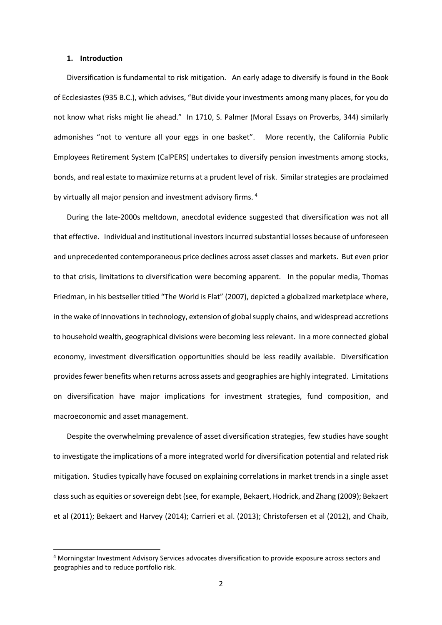#### **1. Introduction**

Diversification is fundamental to risk mitigation. An early adage to diversify is found in the Book of Ecclesiastes (935 B.C.), which advises, "But divide your investments among many places, for you do not know what risks might lie ahead." In 1710, S. Palmer (Moral Essays on Proverbs, 344) similarly admonishes "not to venture all your eggs in one basket". More recently, the California Public Employees Retirement System (CalPERS) undertakes to diversify pension investments among stocks, bonds, and real estate to maximize returns at a prudent level of risk. Similar strategies are proclaimed by virtually all major pension and investment advisory firms. <sup>[4](#page-1-0)</sup>

During the late-2000s meltdown, anecdotal evidence suggested that diversification was not all that effective. Individual and institutional investors incurred substantial losses because of unforeseen and unprecedented contemporaneous price declines across asset classes and markets. But even prior to that crisis, limitations to diversification were becoming apparent. In the popular media, Thomas Friedman, in his bestseller titled "The World is Flat" (2007), depicted a globalized marketplace where, in the wake of innovations in technology, extension of global supply chains, and widespread accretions to household wealth, geographical divisions were becoming less relevant. In a more connected global economy, investment diversification opportunities should be less readily available. Diversification provides fewer benefits when returns across assets and geographies are highly integrated. Limitations on diversification have major implications for investment strategies, fund composition, and macroeconomic and asset management.

Despite the overwhelming prevalence of asset diversification strategies, few studies have sought to investigate the implications of a more integrated world for diversification potential and related risk mitigation. Studies typically have focused on explaining correlations in market trends in a single asset class such as equities or sovereign debt (see, for example, Bekaert, Hodrick, and Zhang (2009); Bekaert et al (2011); Bekaert and Harvey (2014); Carrieri et al. (2013); Christofersen et al (2012), and Chaib,

<span id="page-1-0"></span> <sup>4</sup> Morningstar Investment Advisory Services advocates diversification to provide exposure across sectors and geographies and to reduce portfolio risk.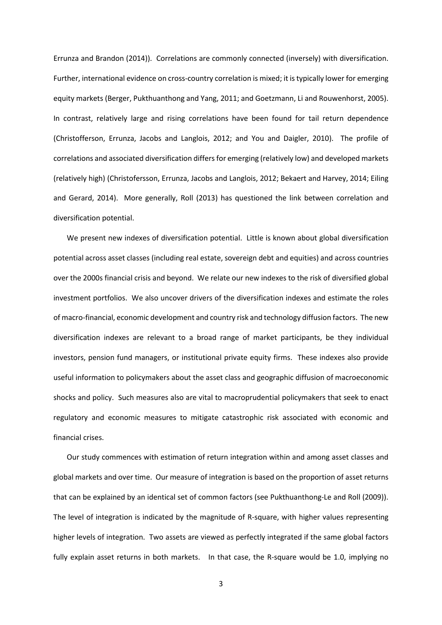Errunza and Brandon (2014)). Correlations are commonly connected (inversely) with diversification. Further, international evidence on cross-country correlation is mixed; it is typically lower for emerging equity markets (Berger, Pukthuanthong and Yang, 2011; and Goetzmann, Li and Rouwenhorst, 2005). In contrast, relatively large and rising correlations have been found for tail return dependence (Christofferson, Errunza, Jacobs and Langlois, 2012; and You and Daigler, 2010). The profile of correlations and associated diversification differs for emerging (relatively low) and developed markets (relatively high) (Christofersson, Errunza, Jacobs and Langlois, 2012; Bekaert and Harvey, 2014; Eiling and Gerard, 2014). More generally, Roll (2013) has questioned the link between correlation and diversification potential.

We present new indexes of diversification potential. Little is known about global diversification potential across asset classes (including real estate, sovereign debt and equities) and across countries over the 2000s financial crisis and beyond. We relate our new indexes to the risk of diversified global investment portfolios. We also uncover drivers of the diversification indexes and estimate the roles of macro-financial, economic development and country risk and technology diffusion factors. The new diversification indexes are relevant to a broad range of market participants, be they individual investors, pension fund managers, or institutional private equity firms. These indexes also provide useful information to policymakers about the asset class and geographic diffusion of macroeconomic shocks and policy. Such measures also are vital to macroprudential policymakers that seek to enact regulatory and economic measures to mitigate catastrophic risk associated with economic and financial crises.

Our study commences with estimation of return integration within and among asset classes and global markets and over time. Our measure of integration is based on the proportion of asset returns that can be explained by an identical set of common factors (see Pukthuanthong-Le and Roll (2009)). The level of integration is indicated by the magnitude of R-square, with higher values representing higher levels of integration. Two assets are viewed as perfectly integrated if the same global factors fully explain asset returns in both markets. In that case, the R-square would be 1.0, implying no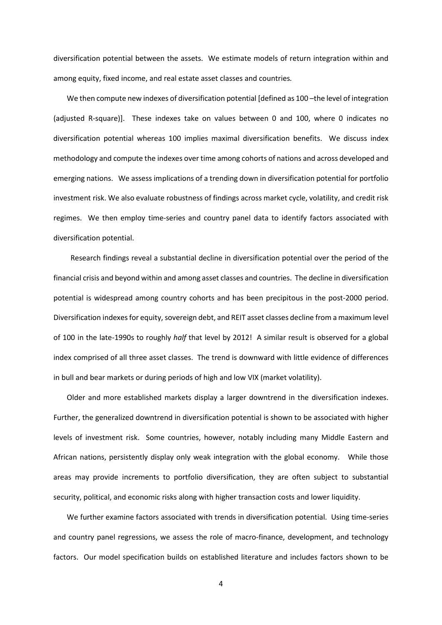diversification potential between the assets. We estimate models of return integration within and among equity, fixed income, and real estate asset classes and countries*.* 

We then compute new indexes of diversification potential [defined as 100 –the level of integration (adjusted R-square)]. These indexes take on values between 0 and 100, where 0 indicates no diversification potential whereas 100 implies maximal diversification benefits. We discuss index methodology and compute the indexes over time among cohorts of nations and across developed and emerging nations. We assess implications of a trending down in diversification potential for portfolio investment risk. We also evaluate robustness of findings across market cycle, volatility, and credit risk regimes. We then employ time-series and country panel data to identify factors associated with diversification potential.

 Research findings reveal a substantial decline in diversification potential over the period of the financial crisis and beyond within and among asset classes and countries. The decline in diversification potential is widespread among country cohorts and has been precipitous in the post-2000 period. Diversification indexesfor equity, sovereign debt, and REIT asset classes decline from a maximum level of 100 in the late-1990s to roughly *half* that level by 2012! A similar result is observed for a global index comprised of all three asset classes. The trend is downward with little evidence of differences in bull and bear markets or during periods of high and low VIX (market volatility).

Older and more established markets display a larger downtrend in the diversification indexes. Further, the generalized downtrend in diversification potential is shown to be associated with higher levels of investment risk. Some countries, however, notably including many Middle Eastern and African nations, persistently display only weak integration with the global economy. While those areas may provide increments to portfolio diversification, they are often subject to substantial security, political, and economic risks along with higher transaction costs and lower liquidity.

We further examine factors associated with trends in diversification potential. Using time-series and country panel regressions, we assess the role of macro-finance, development, and technology factors. Our model specification builds on established literature and includes factors shown to be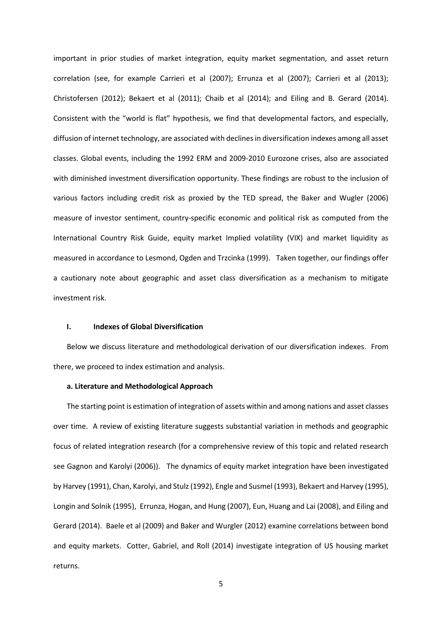important in prior studies of market integration, equity market segmentation, and asset return correlation (see, for example Carrieri et al (2007); Errunza et al (2007); Carrieri et al (2013); Christofersen (2012); Bekaert et al (2011); Chaib et al (2014); and Eiling and B. Gerard (2014). Consistent with the "world is flat" hypothesis, we find that developmental factors, and especially, diffusion of internet technology, are associated with declines in diversification indexes among all asset classes. Global events, including the 1992 ERM and 2009-2010 Eurozone crises, also are associated with diminished investment diversification opportunity. These findings are robust to the inclusion of various factors including credit risk as proxied by the TED spread, the Baker and Wugler (2006) measure of investor sentiment, country-specific economic and political risk as computed from the International Country Risk Guide, equity market Implied volatility (VIX) and market liquidity as measured in accordance to Lesmond, Ogden and Trzcinka (1999). Taken together, our findings offer a cautionary note about geographic and asset class diversification as a mechanism to mitigate investment risk.

#### **I. Indexes of Global Diversification**

Below we discuss literature and methodological derivation of our diversification indexes. From there, we proceed to index estimation and analysis.

#### **a. Literature and Methodological Approach**

The starting point is estimation of integration of assets within and among nations and asset classes over time. A review of existing literature suggests substantial variation in methods and geographic focus of related integration research (for a comprehensive review of this topic and related research see Gagnon and Karolyi (2006)). The dynamics of equity market integration have been investigated by Harvey (1991), Chan, Karolyi, and Stulz (1992), Engle and Susmel (1993), Bekaert and Harvey (1995), Longin and Solnik (1995), Errunza, Hogan, and Hung (2007), Eun, Huang and Lai (2008), and Eiling and Gerard (2014). Baele et al (2009) and Baker and Wurgler (2012) examine correlations between bond and equity markets. Cotter, Gabriel, and Roll (2014) investigate integration of US housing market returns.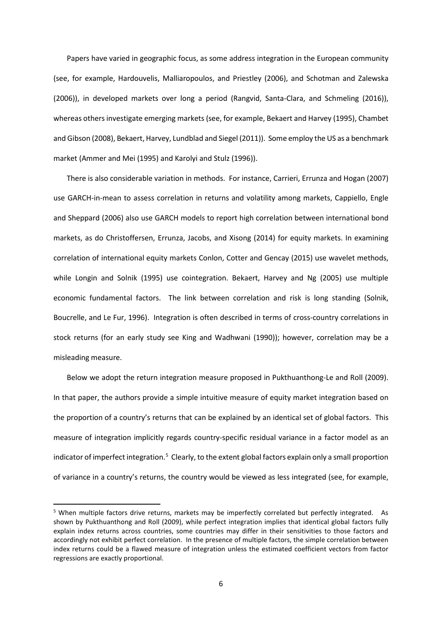Papers have varied in geographic focus, as some address integration in the European community (see, for example, Hardouvelis, Malliaropoulos, and Priestley (2006), and Schotman and Zalewska (2006)), in developed markets over long a period (Rangvid, Santa-Clara, and Schmeling (2016)), whereas others investigate emerging markets (see, for example, Bekaert and Harvey (1995), Chambet and Gibson (2008), Bekaert, Harvey, Lundblad and Siegel (2011)). Some employ the US as a benchmark market (Ammer and Mei (1995) and Karolyi and Stulz (1996)).

There is also considerable variation in methods. For instance, Carrieri, Errunza and Hogan (2007) use GARCH-in-mean to assess correlation in returns and volatility among markets, Cappiello, Engle and Sheppard (2006) also use GARCH models to report high correlation between international bond markets, as do Christoffersen, Errunza, Jacobs, and Xisong (2014) for equity markets. In examining correlation of international equity markets Conlon, Cotter and Gencay (2015) use wavelet methods, while Longin and Solnik (1995) use cointegration. Bekaert, Harvey and Ng (2005) use multiple economic fundamental factors. The link between correlation and risk is long standing (Solnik, Boucrelle, and Le Fur, 1996). Integration is often described in terms of cross-country correlations in stock returns (for an early study see King and Wadhwani (1990)); however, correlation may be a misleading measure.

Below we adopt the return integration measure proposed in Pukthuanthong-Le and Roll (2009). In that paper, the authors provide a simple intuitive measure of equity market integration based on the proportion of a country's returns that can be explained by an identical set of global factors. This measure of integration implicitly regards country-specific residual variance in a factor model as an indicator of imperfect integration.<sup>[5](#page-5-0)</sup> Clearly, to the extent global factors explain only a small proportion of variance in a country's returns, the country would be viewed as less integrated (see, for example,

<span id="page-5-0"></span><sup>&</sup>lt;sup>5</sup> When multiple factors drive returns, markets may be imperfectly correlated but perfectly integrated. As shown by Pukthuanthong and Roll (2009), while perfect integration implies that identical global factors fully explain index returns across countries, some countries may differ in their sensitivities to those factors and accordingly not exhibit perfect correlation. In the presence of multiple factors, the simple correlation between index returns could be a flawed measure of integration unless the estimated coefficient vectors from factor regressions are exactly proportional.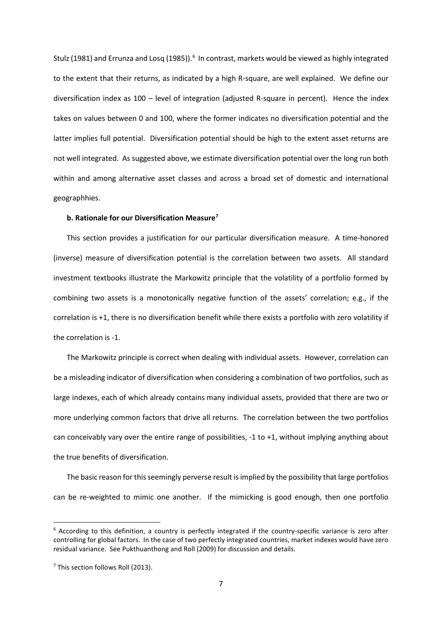Stulz (1981) and Errunza and Losq (1985)).<sup>[6](#page-6-0)</sup> In contrast, markets would be viewed as highly integrated to the extent that their returns, as indicated by a high R-square, are well explained. We define our diversification index as 100 – level of integration (adjusted R-square in percent). Hence the index takes on values between 0 and 100, where the former indicates no diversification potential and the latter implies full potential. Diversification potential should be high to the extent asset returns are not well integrated. As suggested above, we estimate diversification potential over the long run both within and among alternative asset classes and across a broad set of domestic and international geographhies.

# **b. Rationale for our Diversification Measure[7](#page-6-1)**

This section provides a justification for our particular diversification measure. A time-honored (inverse) measure of diversification potential is the correlation between two assets. All standard investment textbooks illustrate the Markowitz principle that the volatility of a portfolio formed by combining two assets is a monotonically negative function of the assets' correlation; e.g., if the correlation is +1, there is no diversification benefit while there exists a portfolio with zero volatility if the correlation is -1.

The Markowitz principle is correct when dealing with individual assets. However, correlation can be a misleading indicator of diversification when considering a combination of two portfolios, such as large indexes, each of which already contains many individual assets, provided that there are two or more underlying common factors that drive all returns. The correlation between the two portfolios can conceivably vary over the entire range of possibilities, -1 to +1, without implying anything about the true benefits of diversification.

The basic reason for this seemingly perverse result is implied by the possibility that large portfolios can be re-weighted to mimic one another. If the mimicking is good enough, then one portfolio

<span id="page-6-0"></span> $6$  According to this definition, a country is perfectly integrated if the country-specific variance is zero after controlling for global factors. In the case of two perfectly integrated countries, market indexes would have zero residual variance. See Pukthuanthong and Roll (2009) for discussion and details.

<span id="page-6-1"></span><sup>&</sup>lt;sup>7</sup> This section follows Roll (2013).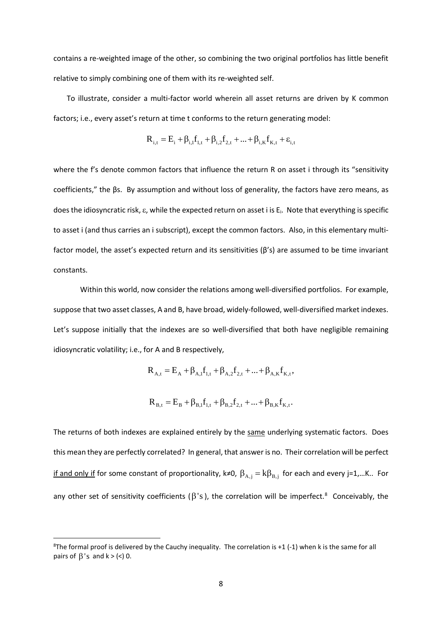contains a re-weighted image of the other, so combining the two original portfolios has little benefit relative to simply combining one of them with its re-weighted self.

To illustrate, consider a multi-factor world wherein all asset returns are driven by K common factors; i.e., every asset's return at time t conforms to the return generating model:

$$
R_{i,t} = E_i + \beta_{i,t} f_{1,t} + \beta_{i,2} f_{2,t} + ... + \beta_{i,K} f_{K,t} + \varepsilon_{i,t}
$$

where the f's denote common factors that influence the return R on asset i through its "sensitivity coefficients," the βs. By assumption and without loss of generality, the factors have zero means, as does the idiosyncratic risk,  $\varepsilon$ , while the expected return on asset i is  $E_i$ . Note that everything is specific to asset i (and thus carries an i subscript), except the common factors. Also, in this elementary multifactor model, the asset's expected return and its sensitivities  $(\beta')$  are assumed to be time invariant constants.

Within this world, now consider the relations among well-diversified portfolios. For example, suppose that two asset classes, A and B, have broad, widely-followed, well-diversified market indexes. Let's suppose initially that the indexes are so well-diversified that both have negligible remaining idiosyncratic volatility; i.e., for A and B respectively,

$$
R_{A,t} = E_A + \beta_{A,1}f_{1,t} + \beta_{A,2}f_{2,t} + ... + \beta_{A,K}f_{K,t},
$$

$$
R_{B,t} = E_B + \beta_{B,t} f_{1,t} + \beta_{B,2} f_{2,t} + ... + \beta_{B,K} f_{K,t}.
$$

The returns of both indexes are explained entirely by the same underlying systematic factors. Does this mean they are perfectly correlated? In general, that answer is no. Their correlation will be perfect if and only if for some constant of proportionality, k≠0,  $\beta_{A,i} = k\beta_{B,i}$  for each and every j=1,...K.. For any other set of sensitivity coefficients ( $\beta$ 's), the correlation will be imperfect.<sup>[8](#page-7-0)</sup> Conceivably, the

<span id="page-7-0"></span><sup>-&</sup>lt;br>8 <sup>8</sup>The formal proof is delivered by the Cauchy inequality. The correlation is +1 (-1) when k is the same for all pairs of  $\beta$ 's and k > (<) 0.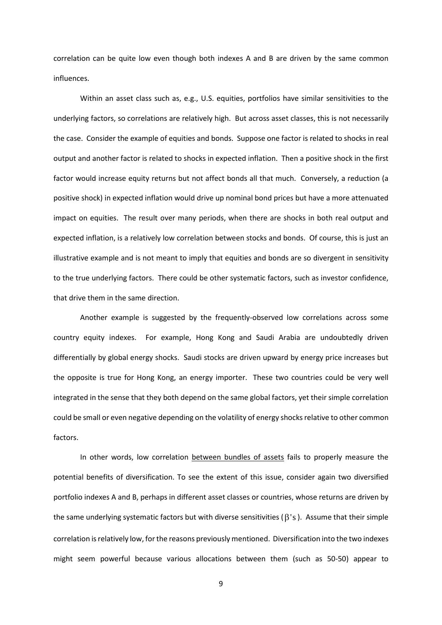correlation can be quite low even though both indexes A and B are driven by the same common influences.

Within an asset class such as, e.g., U.S. equities, portfolios have similar sensitivities to the underlying factors, so correlations are relatively high. But across asset classes, this is not necessarily the case. Consider the example of equities and bonds. Suppose one factor is related to shocks in real output and another factor is related to shocks in expected inflation. Then a positive shock in the first factor would increase equity returns but not affect bonds all that much. Conversely, a reduction (a positive shock) in expected inflation would drive up nominal bond prices but have a more attenuated impact on equities. The result over many periods, when there are shocks in both real output and expected inflation, is a relatively low correlation between stocks and bonds. Of course, this is just an illustrative example and is not meant to imply that equities and bonds are so divergent in sensitivity to the true underlying factors. There could be other systematic factors, such as investor confidence, that drive them in the same direction.

Another example is suggested by the frequently-observed low correlations across some country equity indexes. For example, Hong Kong and Saudi Arabia are undoubtedly driven differentially by global energy shocks. Saudi stocks are driven upward by energy price increases but the opposite is true for Hong Kong, an energy importer. These two countries could be very well integrated in the sense that they both depend on the same global factors, yet their simple correlation could be small or even negative depending on the volatility of energy shocks relative to other common factors.

In other words, low correlation between bundles of assets fails to properly measure the potential benefits of diversification. To see the extent of this issue, consider again two diversified portfolio indexes A and B, perhaps in different asset classes or countries, whose returns are driven by the same underlying systematic factors but with diverse sensitivities ( $\beta$ 's). Assume that their simple correlation is relatively low, for the reasons previously mentioned. Diversification into the two indexes might seem powerful because various allocations between them (such as 50-50) appear to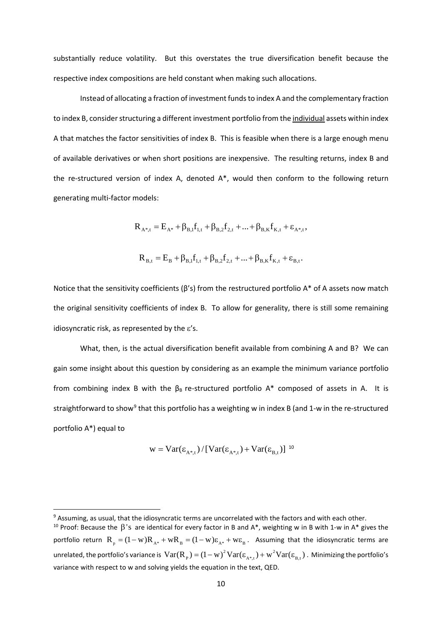substantially reduce volatility. But this overstates the true diversification benefit because the respective index compositions are held constant when making such allocations.

Instead of allocating a fraction of investment funds to index A and the complementary fraction to index B, consider structuring a different investment portfolio from the individual assets within index A that matches the factor sensitivities of index B. This is feasible when there is a large enough menu of available derivatives or when short positions are inexpensive. The resulting returns, index B and the re-structured version of index A, denoted A\*, would then conform to the following return generating multi-factor models:

$$
R_{\mathrm{A}^*, t} = E_{\mathrm{A}^*} + \beta_{\mathrm{B}, l} f_{\mathrm{I}, t} + \beta_{\mathrm{B}, 2} f_{\mathrm{2}, t} + ... + \beta_{\mathrm{B}, K} f_{\mathrm{K}, t} + \epsilon_{\mathrm{A}^*, t},
$$

$$
R_{B,t} = E_B + \beta_{B,l} f_{1,t} + \beta_{B,2} f_{2,t} + ... + \beta_{B,K} f_{K,t} + \epsilon_{B,t}.
$$

Notice that the sensitivity coefficients (β's) from the restructured portfolio A\* of A assets now match the original sensitivity coefficients of index B. To allow for generality, there is still some remaining idiosyncratic risk, as represented by the ε's.

What, then, is the actual diversification benefit available from combining A and B? We can gain some insight about this question by considering as an example the minimum variance portfolio from combining index B with the  $\beta_B$  re-structured portfolio A\* composed of assets in A. It is straightforward to show<sup>[9](#page-9-0)</sup> that this portfolio has a weighting w in index B (and 1-w in the re-structured portfolio A\*) equal to

$$
w = Var(\varepsilon_{A^*,t}) / [Var(\varepsilon_{A^*,t}) + Var(\varepsilon_{B,t})]^{10}
$$

<span id="page-9-0"></span><sup>&</sup>lt;sup>9</sup> Assuming, as usual, that the idiosyncratic terms are uncorrelated with the factors and with each other.

<span id="page-9-1"></span><sup>&</sup>lt;sup>10</sup> Proof: Because the β's are identical for every factor in B and A\*, weighting w in B with 1-w in A\* gives the portfolio return  $R_p = (1 - w)R_{A^*} + wR_B = (1 - w)\epsilon_{A^*} + w\epsilon_B$ . Assuming that the idiosyncratic terms are unrelated, the portfolio's variance is  $Var(R_p) = (1 - w)^2 Var(\varepsilon_{n*+}) + w^2 Var(\varepsilon_{n+})$ . Minimizing the portfolio's variance with respect to w and solving yields the equation in the text, QED.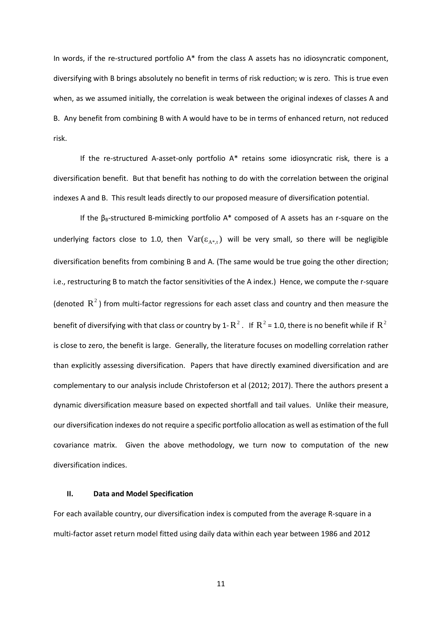In words, if the re-structured portfolio A\* from the class A assets has no idiosyncratic component, diversifying with B brings absolutely no benefit in terms of risk reduction; w is zero. This is true even when, as we assumed initially, the correlation is weak between the original indexes of classes A and B. Any benefit from combining B with A would have to be in terms of enhanced return, not reduced risk.

If the re-structured A-asset-only portfolio A\* retains some idiosyncratic risk, there is a diversification benefit. But that benefit has nothing to do with the correlation between the original indexes A and B. This result leads directly to our proposed measure of diversification potential.

If the  $\beta_B$ -structured B-mimicking portfolio A\* composed of A assets has an r-square on the underlying factors close to 1.0, then  $Var(\varepsilon_{A^{*+}})$  will be very small, so there will be negligible diversification benefits from combining B and A. (The same would be true going the other direction; i.e., restructuring B to match the factor sensitivities of the A index.) Hence, we compute the r-square (denoted  $R^2$ ) from multi-factor regressions for each asset class and country and then measure the benefit of diversifying with that class or country by 1-  $R^2$ . If  $R^2$  = 1.0, there is no benefit while if  $R^2$ is close to zero, the benefit is large. Generally, the literature focuses on modelling correlation rather than explicitly assessing diversification. Papers that have directly examined diversification and are complementary to our analysis include Christoferson et al (2012; 2017). There the authors present a dynamic diversification measure based on expected shortfall and tail values. Unlike their measure, our diversification indexes do not require a specific portfolio allocation as well as estimation of the full covariance matrix. Given the above methodology, we turn now to computation of the new diversification indices.

#### **II. Data and Model Specification**

For each available country, our diversification index is computed from the average R-square in a multi-factor asset return model fitted using daily data within each year between 1986 and 2012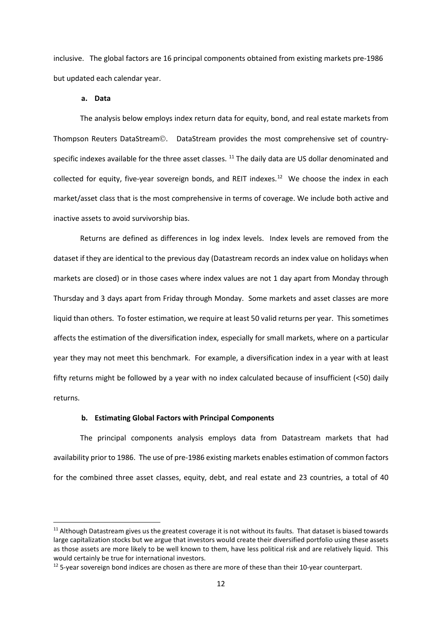inclusive. The global factors are 16 principal components obtained from existing markets pre-1986 but updated each calendar year.

### **a. Data**

The analysis below employs index return data for equity, bond, and real estate markets from Thompson Reuters DataStream<sup>©</sup>. DataStream provides the most comprehensive set of country-specific indexes available for the three asset classes. <sup>[11](#page-11-0)</sup> The daily data are US dollar denominated and collected for equity, five-year sovereign bonds, and REIT indexes.<sup>12</sup> We choose the index in each market/asset class that is the most comprehensive in terms of coverage. We include both active and inactive assets to avoid survivorship bias.

Returns are defined as differences in log index levels. Index levels are removed from the dataset if they are identical to the previous day (Datastream records an index value on holidays when markets are closed) or in those cases where index values are not 1 day apart from Monday through Thursday and 3 days apart from Friday through Monday. Some markets and asset classes are more liquid than others. To foster estimation, we require at least 50 valid returns per year. This sometimes affects the estimation of the diversification index, especially for small markets, where on a particular year they may not meet this benchmark. For example, a diversification index in a year with at least fifty returns might be followed by a year with no index calculated because of insufficient (<50) daily returns.

#### **b. Estimating Global Factors with Principal Components**

The principal components analysis employs data from Datastream markets that had availability prior to 1986. The use of pre-1986 existing markets enables estimation of common factors for the combined three asset classes, equity, debt, and real estate and 23 countries, a total of 40

<span id="page-11-0"></span> $11$  Although Datastream gives us the greatest coverage it is not without its faults. That dataset is biased towards large capitalization stocks but we argue that investors would create their diversified portfolio using these assets as those assets are more likely to be well known to them, have less political risk and are relatively liquid. This would certainly be true for international investors.

<span id="page-11-1"></span> $12$  5-year sovereign bond indices are chosen as there are more of these than their 10-year counterpart.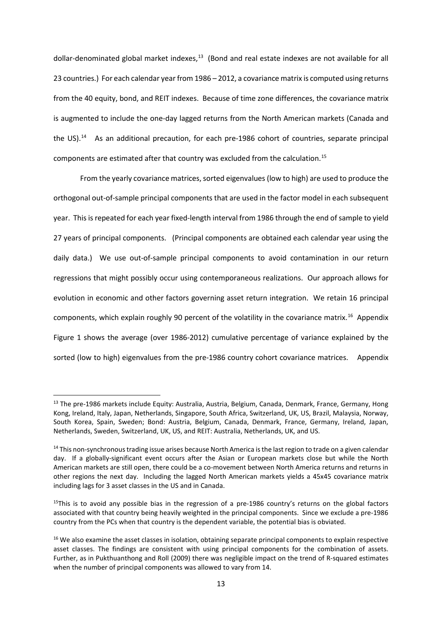dollar-denominated global market indexes,<sup>13</sup> (Bond and real estate indexes are not available for all 23 countries.) For each calendar year from 1986 – 2012, a covariance matrix is computed using returns from the 40 equity, bond, and REIT indexes. Because of time zone differences, the covariance matrix is augmented to include the one-day lagged returns from the North American markets (Canada and the US).<sup>14</sup> As an additional precaution, for each pre-1986 cohort of countries, separate principal components are estimated after that country was excluded from the calculation.[15](#page-12-2) 

From the yearly covariance matrices, sorted eigenvalues (low to high) are used to produce the orthogonal out-of-sample principal components that are used in the factor model in each subsequent year. This is repeated for each year fixed-length interval from 1986 through the end of sample to yield 27 years of principal components. (Principal components are obtained each calendar year using the daily data.) We use out-of-sample principal components to avoid contamination in our return regressions that might possibly occur using contemporaneous realizations. Our approach allows for evolution in economic and other factors governing asset return integration. We retain 16 principal components, which explain roughly 90 percent of the volatility in the covariance matrix.[16](#page-12-3) Appendix Figure 1 shows the average (over 1986-2012) cumulative percentage of variance explained by the sorted (low to high) eigenvalues from the pre-1986 country cohort covariance matrices. Appendix

<span id="page-12-0"></span><sup>&</sup>lt;sup>13</sup> The pre-1986 markets include Equity: Australia, Austria, Belgium, Canada, Denmark, France, Germany, Hong Kong, Ireland, Italy, Japan, Netherlands, Singapore, South Africa, Switzerland, UK, US, Brazil, Malaysia, Norway, South Korea, Spain, Sweden; Bond: Austria, Belgium, Canada, Denmark, France, Germany, Ireland, Japan, Netherlands, Sweden, Switzerland, UK, US, and REIT: Australia, Netherlands, UK, and US.

<span id="page-12-1"></span><sup>&</sup>lt;sup>14</sup> This non-synchronous trading issue arises because North America is the last region to trade on a given calendar day. If a globally-significant event occurs after the Asian or European markets close but while the North American markets are still open, there could be a co-movement between North America returns and returns in other regions the next day. Including the lagged North American markets yields a 45x45 covariance matrix including lags for 3 asset classes in the US and in Canada.

<span id="page-12-2"></span><sup>&</sup>lt;sup>15</sup>This is to avoid any possible bias in the regression of a pre-1986 country's returns on the global factors associated with that country being heavily weighted in the principal components. Since we exclude a pre-1986 country from the PCs when that country is the dependent variable, the potential bias is obviated.

<span id="page-12-3"></span><sup>&</sup>lt;sup>16</sup> We also examine the asset classes in isolation, obtaining separate principal components to explain respective asset classes. The findings are consistent with using principal components for the combination of assets. Further, as in Pukthuanthong and Roll (2009) there was negligible impact on the trend of R-squared estimates when the number of principal components was allowed to vary from 14.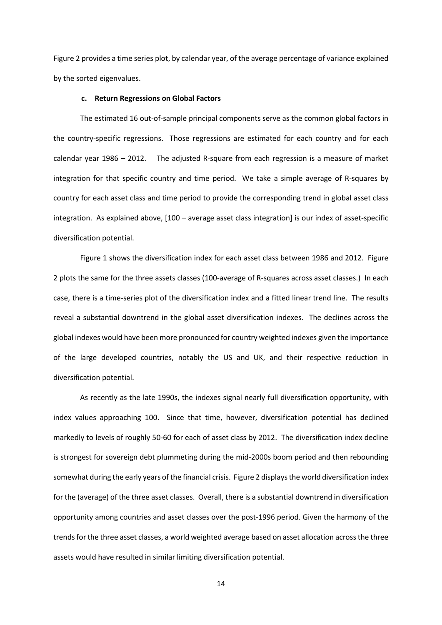Figure 2 provides a time series plot, by calendar year, of the average percentage of variance explained by the sorted eigenvalues.

#### **c. Return Regressions on Global Factors**

The estimated 16 out-of-sample principal components serve as the common global factors in the country-specific regressions. Those regressions are estimated for each country and for each calendar year 1986 – 2012. The adjusted R-square from each regression is a measure of market integration for that specific country and time period. We take a simple average of R-squares by country for each asset class and time period to provide the corresponding trend in global asset class integration. As explained above, [100 – average asset class integration] is our index of asset-specific diversification potential.

Figure 1 shows the diversification index for each asset class between 1986 and 2012. Figure 2 plots the same for the three assets classes (100-average of R-squares across asset classes.) In each case, there is a time-series plot of the diversification index and a fitted linear trend line. The results reveal a substantial downtrend in the global asset diversification indexes. The declines across the global indexes would have been more pronounced for country weighted indexes given the importance of the large developed countries, notably the US and UK, and their respective reduction in diversification potential.

As recently as the late 1990s, the indexes signal nearly full diversification opportunity, with index values approaching 100. Since that time, however, diversification potential has declined markedly to levels of roughly 50-60 for each of asset class by 2012. The diversification index decline is strongest for sovereign debt plummeting during the mid-2000s boom period and then rebounding somewhat during the early years of the financial crisis. Figure 2 displays the world diversification index for the (average) of the three asset classes. Overall, there is a substantial downtrend in diversification opportunity among countries and asset classes over the post-1996 period. Given the harmony of the trends for the three asset classes, a world weighted average based on asset allocation across the three assets would have resulted in similar limiting diversification potential.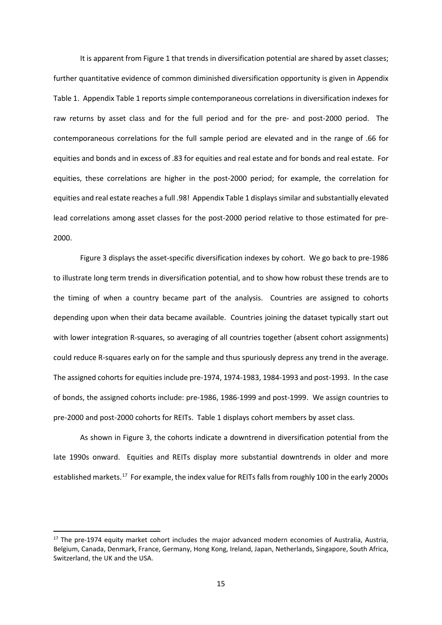It is apparent from Figure 1 that trends in diversification potential are shared by asset classes; further quantitative evidence of common diminished diversification opportunity is given in Appendix Table 1. Appendix Table 1 reports simple contemporaneous correlations in diversification indexes for raw returns by asset class and for the full period and for the pre- and post-2000 period. The contemporaneous correlations for the full sample period are elevated and in the range of .66 for equities and bonds and in excess of .83 for equities and real estate and for bonds and real estate. For equities, these correlations are higher in the post-2000 period; for example, the correlation for equities and real estate reaches a full .98! Appendix Table 1 displays similar and substantially elevated lead correlations among asset classes for the post-2000 period relative to those estimated for pre-2000.

Figure 3 displays the asset-specific diversification indexes by cohort. We go back to pre-1986 to illustrate long term trends in diversification potential, and to show how robust these trends are to the timing of when a country became part of the analysis. Countries are assigned to cohorts depending upon when their data became available. Countries joining the dataset typically start out with lower integration R-squares, so averaging of all countries together (absent cohort assignments) could reduce R-squares early on for the sample and thus spuriously depress any trend in the average. The assigned cohorts for equities include pre-1974, 1974-1983, 1984-1993 and post-1993. In the case of bonds, the assigned cohorts include: pre-1986, 1986-1999 and post-1999. We assign countries to pre-2000 and post-2000 cohorts for REITs. Table 1 displays cohort members by asset class.

As shown in Figure 3, the cohorts indicate a downtrend in diversification potential from the late 1990s onward. Equities and REITs display more substantial downtrends in older and more established markets.[17](#page-14-0) For example, the index value for REITs falls from roughly 100 in the early 2000s

<span id="page-14-0"></span><sup>&</sup>lt;sup>17</sup> The pre-1974 equity market cohort includes the major advanced modern economies of Australia, Austria, Belgium, Canada, Denmark, France, Germany, Hong Kong, Ireland, Japan, Netherlands, Singapore, South Africa, Switzerland, the UK and the USA.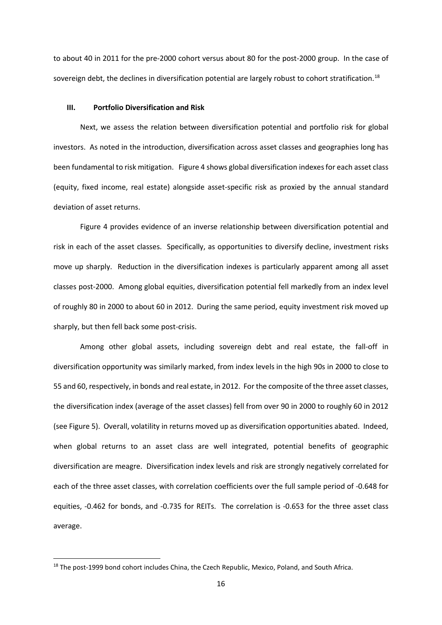to about 40 in 2011 for the pre-2000 cohort versus about 80 for the post-2000 group. In the case of sovereign debt, the declines in diversification potential are largely robust to cohort stratification.<sup>[18](#page-15-0)</sup>

#### **III. Portfolio Diversification and Risk**

Next, we assess the relation between diversification potential and portfolio risk for global investors. As noted in the introduction, diversification across asset classes and geographies long has been fundamental to risk mitigation. Figure 4 shows global diversification indexes for each asset class (equity, fixed income, real estate) alongside asset-specific risk as proxied by the annual standard deviation of asset returns.

Figure 4 provides evidence of an inverse relationship between diversification potential and risk in each of the asset classes. Specifically, as opportunities to diversify decline, investment risks move up sharply. Reduction in the diversification indexes is particularly apparent among all asset classes post-2000. Among global equities, diversification potential fell markedly from an index level of roughly 80 in 2000 to about 60 in 2012. During the same period, equity investment risk moved up sharply, but then fell back some post-crisis.

Among other global assets, including sovereign debt and real estate, the fall-off in diversification opportunity was similarly marked, from index levels in the high 90s in 2000 to close to 55 and 60, respectively, in bonds and real estate, in 2012. For the composite of the three asset classes, the diversification index (average of the asset classes) fell from over 90 in 2000 to roughly 60 in 2012 (see Figure 5). Overall, volatility in returns moved up as diversification opportunities abated. Indeed, when global returns to an asset class are well integrated, potential benefits of geographic diversification are meagre. Diversification index levels and risk are strongly negatively correlated for each of the three asset classes, with correlation coefficients over the full sample period of -0.648 for equities, -0.462 for bonds, and -0.735 for REITs. The correlation is -0.653 for the three asset class average.

<span id="page-15-0"></span><sup>&</sup>lt;sup>18</sup> The post-1999 bond cohort includes China, the Czech Republic, Mexico, Poland, and South Africa.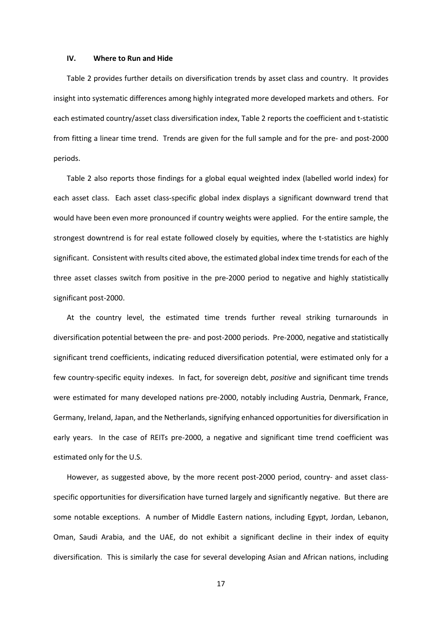#### **IV. Where to Run and Hide**

Table 2 provides further details on diversification trends by asset class and country. It provides insight into systematic differences among highly integrated more developed markets and others. For each estimated country/asset class diversification index, Table 2 reports the coefficient and t-statistic from fitting a linear time trend. Trends are given for the full sample and for the pre- and post-2000 periods.

Table 2 also reports those findings for a global equal weighted index (labelled world index) for each asset class. Each asset class-specific global index displays a significant downward trend that would have been even more pronounced if country weights were applied. For the entire sample, the strongest downtrend is for real estate followed closely by equities, where the t-statistics are highly significant. Consistent with results cited above, the estimated global index time trends for each of the three asset classes switch from positive in the pre-2000 period to negative and highly statistically significant post-2000.

At the country level, the estimated time trends further reveal striking turnarounds in diversification potential between the pre- and post-2000 periods. Pre-2000, negative and statistically significant trend coefficients, indicating reduced diversification potential, were estimated only for a few country-specific equity indexes. In fact, for sovereign debt, *positive* and significant time trends were estimated for many developed nations pre-2000, notably including Austria, Denmark, France, Germany, Ireland, Japan, and the Netherlands, signifying enhanced opportunities for diversification in early years. In the case of REITs pre-2000, a negative and significant time trend coefficient was estimated only for the U.S.

However, as suggested above, by the more recent post-2000 period, country- and asset classspecific opportunities for diversification have turned largely and significantly negative. But there are some notable exceptions. A number of Middle Eastern nations, including Egypt, Jordan, Lebanon, Oman, Saudi Arabia, and the UAE, do not exhibit a significant decline in their index of equity diversification. This is similarly the case for several developing Asian and African nations, including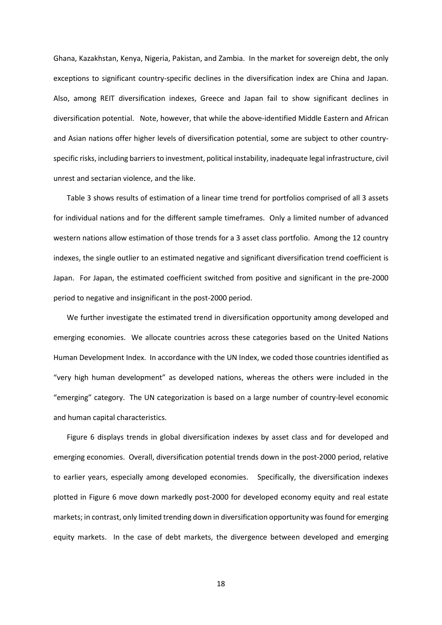Ghana, Kazakhstan, Kenya, Nigeria, Pakistan, and Zambia. In the market for sovereign debt, the only exceptions to significant country-specific declines in the diversification index are China and Japan. Also, among REIT diversification indexes, Greece and Japan fail to show significant declines in diversification potential. Note, however, that while the above-identified Middle Eastern and African and Asian nations offer higher levels of diversification potential, some are subject to other countryspecific risks, including barriers to investment, political instability, inadequate legal infrastructure, civil unrest and sectarian violence, and the like.

Table 3 shows results of estimation of a linear time trend for portfolios comprised of all 3 assets for individual nations and for the different sample timeframes. Only a limited number of advanced western nations allow estimation of those trends for a 3 asset class portfolio. Among the 12 country indexes, the single outlier to an estimated negative and significant diversification trend coefficient is Japan. For Japan, the estimated coefficient switched from positive and significant in the pre-2000 period to negative and insignificant in the post-2000 period.

We further investigate the estimated trend in diversification opportunity among developed and emerging economies. We allocate countries across these categories based on the United Nations Human Development Index. In accordance with the UN Index, we coded those countries identified as "very high human development" as developed nations, whereas the others were included in the "emerging" category. The UN categorization is based on a large number of country-level economic and human capital characteristics.

Figure 6 displays trends in global diversification indexes by asset class and for developed and emerging economies. Overall, diversification potential trends down in the post-2000 period, relative to earlier years, especially among developed economies. Specifically, the diversification indexes plotted in Figure 6 move down markedly post-2000 for developed economy equity and real estate markets; in contrast, only limited trending down in diversification opportunity was found for emerging equity markets. In the case of debt markets, the divergence between developed and emerging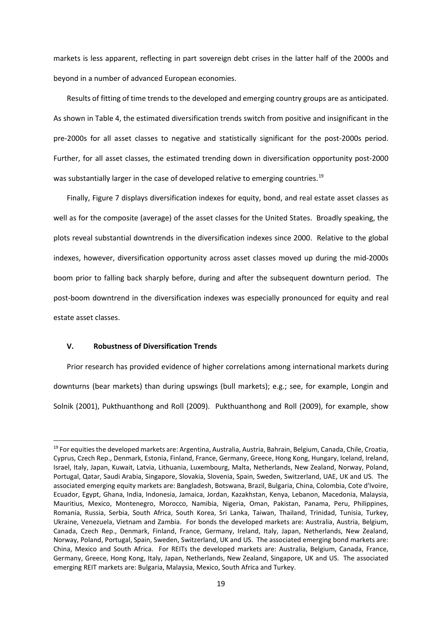markets is less apparent, reflecting in part sovereign debt crises in the latter half of the 2000s and beyond in a number of advanced European economies.

Results of fitting of time trends to the developed and emerging country groups are as anticipated. As shown in Table 4, the estimated diversification trends switch from positive and insignificant in the pre-2000s for all asset classes to negative and statistically significant for the post-2000s period. Further, for all asset classes, the estimated trending down in diversification opportunity post-2000 was substantially larger in the case of developed relative to emerging countries.<sup>[19](#page-18-0)</sup>

Finally, Figure 7 displays diversification indexes for equity, bond, and real estate asset classes as well as for the composite (average) of the asset classes for the United States. Broadly speaking, the plots reveal substantial downtrends in the diversification indexes since 2000. Relative to the global indexes, however, diversification opportunity across asset classes moved up during the mid-2000s boom prior to falling back sharply before, during and after the subsequent downturn period. The post-boom downtrend in the diversification indexes was especially pronounced for equity and real estate asset classes.

### **V. Robustness of Diversification Trends**

Prior research has provided evidence of higher correlations among international markets during downturns (bear markets) than during upswings (bull markets); e.g.; see, for example, Longin and Solnik (2001), Pukthuanthong and Roll (2009). Pukthuanthong and Roll (2009), for example, show

<span id="page-18-0"></span><sup>&</sup>lt;sup>19</sup> For equities the developed markets are: Argentina, Australia, Austria, Bahrain, Belgium, Canada, Chile, Croatia, Cyprus, Czech Rep., Denmark, Estonia, Finland, France, Germany, Greece, Hong Kong, Hungary, Iceland, Ireland, Israel, Italy, Japan, Kuwait, Latvia, Lithuania, Luxembourg, Malta, Netherlands, New Zealand, Norway, Poland, Portugal, Qatar, Saudi Arabia, Singapore, Slovakia, Slovenia, Spain, Sweden, Switzerland, UAE, UK and US. The associated emerging equity markets are: Bangladesh, Botswana, Brazil, Bulgaria, China, Colombia, Cote d'Ivoire, Ecuador, Egypt, Ghana, India, Indonesia, Jamaica, Jordan, Kazakhstan, Kenya, Lebanon, Macedonia, Malaysia, Mauritius, Mexico, Montenegro, Morocco, Namibia, Nigeria, Oman, Pakistan, Panama, Peru, Philippines, Romania, Russia, Serbia, South Africa, South Korea, Sri Lanka, Taiwan, Thailand, Trinidad, Tunisia, Turkey, Ukraine, Venezuela, Vietnam and Zambia. For bonds the developed markets are: Australia, Austria, Belgium, Canada, Czech Rep., Denmark, Finland, France, Germany, Ireland, Italy, Japan, Netherlands, New Zealand, Norway, Poland, Portugal, Spain, Sweden, Switzerland, UK and US. The associated emerging bond markets are: China, Mexico and South Africa. For REITs the developed markets are: Australia, Belgium, Canada, France, Germany, Greece, Hong Kong, Italy, Japan, Netherlands, New Zealand, Singapore, UK and US. The associated emerging REIT markets are: Bulgaria, Malaysia, Mexico, South Africa and Turkey.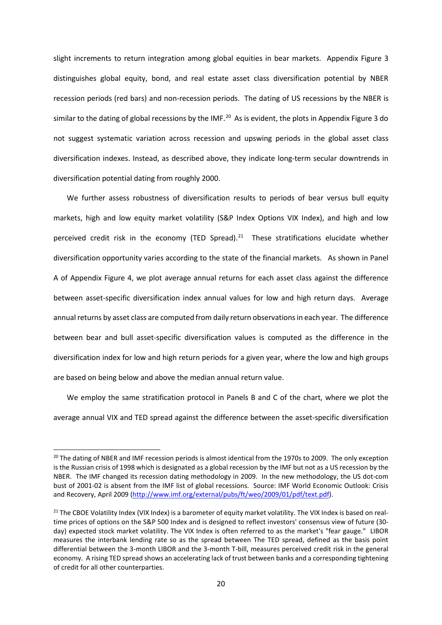slight increments to return integration among global equities in bear markets. Appendix Figure 3 distinguishes global equity, bond, and real estate asset class diversification potential by NBER recession periods (red bars) and non-recession periods. The dating of US recessions by the NBER is similar to the dating of global recessions by the IMF.<sup>[20](#page-19-0)</sup> As is evident, the plots in Appendix Figure 3 do not suggest systematic variation across recession and upswing periods in the global asset class diversification indexes. Instead, as described above, they indicate long-term secular downtrends in diversification potential dating from roughly 2000.

We further assess robustness of diversification results to periods of bear versus bull equity markets, high and low equity market volatility (S&P Index Options VIX Index), and high and low perceived credit risk in the economy (TED Spread).<sup>[21](#page-19-1)</sup> These stratifications elucidate whether diversification opportunity varies according to the state of the financial markets. As shown in Panel A of Appendix Figure 4, we plot average annual returns for each asset class against the difference between asset-specific diversification index annual values for low and high return days. Average annual returns by asset class are computed from daily return observations in each year. The difference between bear and bull asset-specific diversification values is computed as the difference in the diversification index for low and high return periods for a given year, where the low and high groups are based on being below and above the median annual return value.

We employ the same stratification protocol in Panels B and C of the chart, where we plot the average annual VIX and TED spread against the difference between the asset-specific diversification

<span id="page-19-0"></span><sup>&</sup>lt;sup>20</sup> The dating of NBER and IMF recession periods is almost identical from the 1970s to 2009. The only exception is the Russian crisis of 1998 which is designated as a global recession by the IMF but not as a US recession by the NBER. The IMF changed its recession dating methodology in 2009. In the new methodology, the US dot-com bust of 2001-02 is absent from the IMF list of global recessions. Source: IMF World Economic Outlook: Crisis and Recovery, April 2009 [\(http://www.imf.org/external/pubs/ft/weo/2009/01/pdf/text.pdf\)](http://www.imf.org/external/pubs/ft/weo/2009/01/pdf/text.pdf).

<span id="page-19-1"></span><sup>&</sup>lt;sup>21</sup> The CBOE Volatility Index (VIX Index) is a barometer of equity market volatility. The VIX Index is based on realtime prices of options on the S&P 500 Index and is designed to reflect investors' consensus view of future (30 day) expected stock market volatility. The VIX Index is often referred to as the market's "fear gauge." LIBOR measures the interbank lending rate so as the spread between The TED spread, defined as the basis point differential between the 3-month LIBOR and the 3-month T-bill, measures perceived credit risk in the general economy. A rising TED spread shows an accelerating lack of trust between banks and a corresponding tightening of credit for all other counterparties.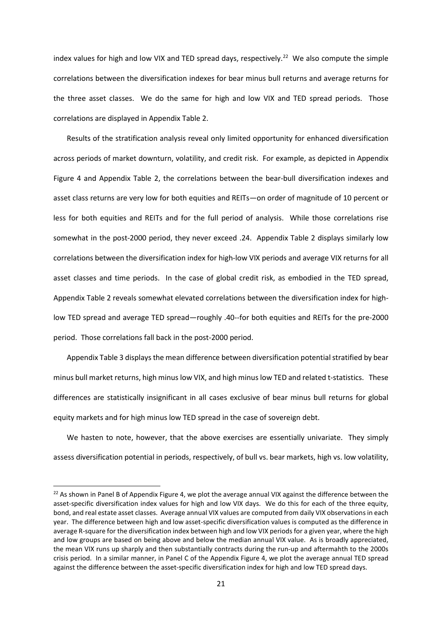index values for high and low VIX and TED spread days, respectively.<sup>22</sup> We also compute the simple correlations between the diversification indexes for bear minus bull returns and average returns for the three asset classes. We do the same for high and low VIX and TED spread periods. Those correlations are displayed in Appendix Table 2.

Results of the stratification analysis reveal only limited opportunity for enhanced diversification across periods of market downturn, volatility, and credit risk. For example, as depicted in Appendix Figure 4 and Appendix Table 2, the correlations between the bear-bull diversification indexes and asset class returns are very low for both equities and REITs—on order of magnitude of 10 percent or less for both equities and REITs and for the full period of analysis. While those correlations rise somewhat in the post-2000 period, they never exceed .24. Appendix Table 2 displays similarly low correlations between the diversification index for high-low VIX periods and average VIX returns for all asset classes and time periods. In the case of global credit risk, as embodied in the TED spread, Appendix Table 2 reveals somewhat elevated correlations between the diversification index for highlow TED spread and average TED spread—roughly .40--for both equities and REITs for the pre-2000 period. Those correlations fall back in the post-2000 period.

Appendix Table 3 displays the mean difference between diversification potential stratified by bear minus bull market returns, high minus low VIX, and high minus low TED and related t-statistics. These differences are statistically insignificant in all cases exclusive of bear minus bull returns for global equity markets and for high minus low TED spread in the case of sovereign debt.

We hasten to note, however, that the above exercises are essentially univariate. They simply assess diversification potential in periods, respectively, of bull vs. bear markets, high vs. low volatility,

<span id="page-20-0"></span><sup>&</sup>lt;sup>22</sup> As shown in Panel B of Appendix Figure 4, we plot the average annual VIX against the difference between the asset-specific diversification index values for high and low VIX days. We do this for each of the three equity, bond, and real estate asset classes. Average annual VIX values are computed from daily VIX observations in each year. The difference between high and low asset-specific diversification values is computed as the difference in average R-square for the diversification index between high and low VIX periods for a given year, where the high and low groups are based on being above and below the median annual VIX value. As is broadly appreciated, the mean VIX runs up sharply and then substantially contracts during the run-up and aftermahth to the 2000s crisis period. In a similar manner, in Panel C of the Appendix Figure 4, we plot the average annual TED spread against the difference between the asset-specific diversification index for high and low TED spread days.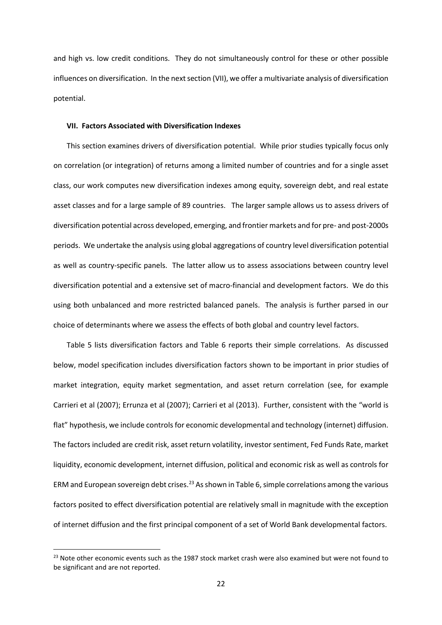and high vs. low credit conditions. They do not simultaneously control for these or other possible influences on diversification. In the next section (VII), we offer a multivariate analysis of diversification potential.

### **VII. Factors Associated with Diversification Indexes**

This section examines drivers of diversification potential. While prior studies typically focus only on correlation (or integration) of returns among a limited number of countries and for a single asset class, our work computes new diversification indexes among equity, sovereign debt, and real estate asset classes and for a large sample of 89 countries. The larger sample allows us to assess drivers of diversification potential across developed, emerging, and frontier markets and for pre- and post-2000s periods. We undertake the analysis using global aggregations of country level diversification potential as well as country-specific panels. The latter allow us to assess associations between country level diversification potential and a extensive set of macro-financial and development factors. We do this using both unbalanced and more restricted balanced panels. The analysis is further parsed in our choice of determinants where we assess the effects of both global and country level factors.

Table 5 lists diversification factors and Table 6 reports their simple correlations. As discussed below, model specification includes diversification factors shown to be important in prior studies of market integration, equity market segmentation, and asset return correlation (see, for example Carrieri et al (2007); Errunza et al (2007); Carrieri et al (2013). Further, consistent with the "world is flat" hypothesis, we include controls for economic developmental and technology (internet) diffusion. The factors included are credit risk, asset return volatility, investor sentiment, Fed Funds Rate, market liquidity, economic development, internet diffusion, political and economic risk as well as controls for ERM and European sovereign debt crises.<sup>[23](#page-21-0)</sup> As shown in Table 6, simple correlations among the various factors posited to effect diversification potential are relatively small in magnitude with the exception of internet diffusion and the first principal component of a set of World Bank developmental factors.

<span id="page-21-0"></span><sup>&</sup>lt;sup>23</sup> Note other economic events such as the 1987 stock market crash were also examined but were not found to be significant and are not reported.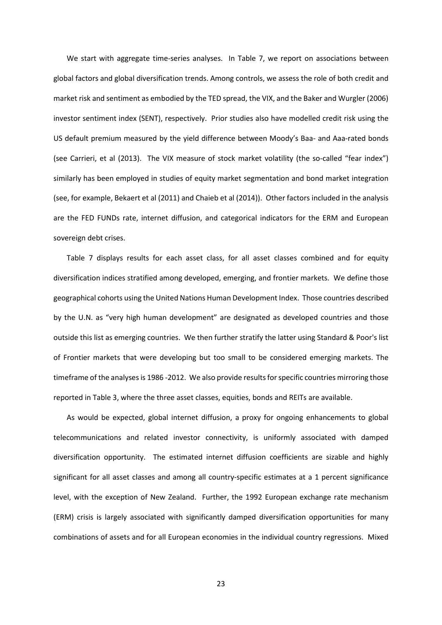We start with aggregate time-series analyses. In Table 7, we report on associations between global factors and global diversification trends. Among controls, we assess the role of both credit and market risk and sentiment as embodied by the TED spread, the VIX, and the Baker and Wurgler (2006) investor sentiment index (SENT), respectively. Prior studies also have modelled credit risk using the US default premium measured by the yield difference between Moody's Baa- and Aaa-rated bonds (see Carrieri, et al (2013). The VIX measure of stock market volatility (the so-called "fear index") similarly has been employed in studies of equity market segmentation and bond market integration (see, for example, Bekaert et al (2011) and Chaieb et al (2014)). Other factors included in the analysis are the FED FUNDs rate, internet diffusion, and categorical indicators for the ERM and European sovereign debt crises.

Table 7 displays results for each asset class, for all asset classes combined and for equity diversification indices stratified among developed, emerging, and frontier markets. We define those geographical cohorts using the United Nations Human Development Index. Those countries described by the U.N. as "very high human development" are designated as developed countries and those outside this list as emerging countries. We then further stratify the latter using Standard & Poor's list of Frontier markets that were developing but too small to be considered emerging markets. The timeframe of the analyses is 1986 -2012. We also provide results for specific countries mirroring those reported in Table 3, where the three asset classes, equities, bonds and REITs are available.

As would be expected, global internet diffusion, a proxy for ongoing enhancements to global telecommunications and related investor connectivity, is uniformly associated with damped diversification opportunity. The estimated internet diffusion coefficients are sizable and highly significant for all asset classes and among all country-specific estimates at a 1 percent significance level, with the exception of New Zealand. Further, the 1992 European exchange rate mechanism (ERM) crisis is largely associated with significantly damped diversification opportunities for many combinations of assets and for all European economies in the individual country regressions. Mixed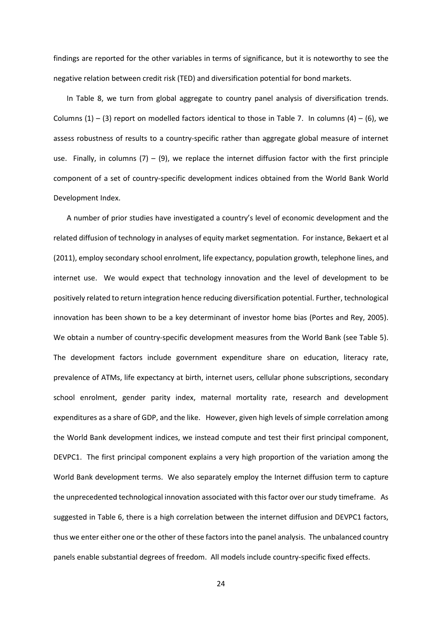findings are reported for the other variables in terms of significance, but it is noteworthy to see the negative relation between credit risk (TED) and diversification potential for bond markets.

In Table 8, we turn from global aggregate to country panel analysis of diversification trends. Columns  $(1) - (3)$  report on modelled factors identical to those in Table 7. In columns  $(4) - (6)$ , we assess robustness of results to a country-specific rather than aggregate global measure of internet use. Finally, in columns  $(7) - (9)$ , we replace the internet diffusion factor with the first principle component of a set of country-specific development indices obtained from the World Bank World Development Index.

A number of prior studies have investigated a country's level of economic development and the related diffusion of technology in analyses of equity market segmentation. For instance, Bekaert et al (2011), employ secondary school enrolment, life expectancy, population growth, telephone lines, and internet use. We would expect that technology innovation and the level of development to be positively related to return integration hence reducing diversification potential. Further, technological innovation has been shown to be a key determinant of investor home bias (Portes and Rey, 2005). We obtain a number of country-specific development measures from the World Bank (see Table 5). The development factors include government expenditure share on education, literacy rate, prevalence of ATMs, life expectancy at birth, internet users, cellular phone subscriptions, secondary school enrolment, gender parity index, maternal mortality rate, research and development expenditures as a share of GDP, and the like. However, given high levels of simple correlation among the World Bank development indices, we instead compute and test their first principal component, DEVPC1. The first principal component explains a very high proportion of the variation among the World Bank development terms. We also separately employ the Internet diffusion term to capture the unprecedented technological innovation associated with this factor over our study timeframe. As suggested in Table 6, there is a high correlation between the internet diffusion and DEVPC1 factors, thus we enter either one or the other of these factors into the panel analysis. The unbalanced country panels enable substantial degrees of freedom. All models include country-specific fixed effects.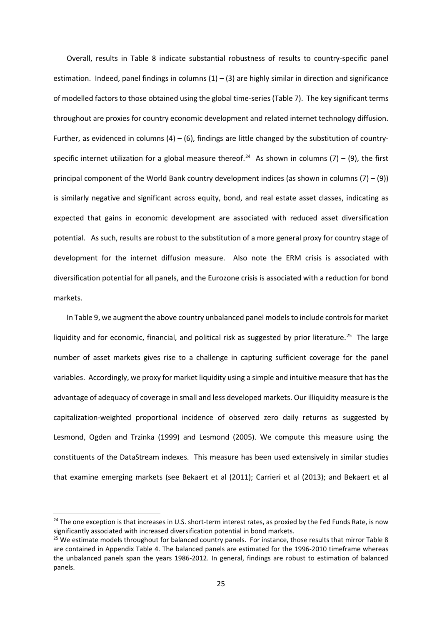Overall, results in Table 8 indicate substantial robustness of results to country-specific panel estimation. Indeed, panel findings in columns  $(1) - (3)$  are highly similar in direction and significance of modelled factors to those obtained using the global time-series (Table 7). The key significant terms throughout are proxies for country economic development and related internet technology diffusion. Further, as evidenced in columns (4) – (6), findings are little changed by the substitution of countryspecific internet utilization for a global measure thereof.<sup>24</sup> As shown in columns (7) – (9), the first principal component of the World Bank country development indices (as shown in columns  $(7) - (9)$ ) is similarly negative and significant across equity, bond, and real estate asset classes, indicating as expected that gains in economic development are associated with reduced asset diversification potential. As such, results are robust to the substitution of a more general proxy for country stage of development for the internet diffusion measure. Also note the ERM crisis is associated with diversification potential for all panels, and the Eurozone crisis is associated with a reduction for bond markets.

In Table 9, we augment the above country unbalanced panel modelsto include controls for market liquidity and for economic, financial, and political risk as suggested by prior literature.<sup>25</sup> The large number of asset markets gives rise to a challenge in capturing sufficient coverage for the panel variables. Accordingly, we proxy for market liquidity using a simple and intuitive measure that has the advantage of adequacy of coverage in small and less developed markets. Our illiquidity measure is the capitalization-weighted proportional incidence of observed zero daily returns as suggested by Lesmond, Ogden and Trzinka (1999) and Lesmond (2005). We compute this measure using the constituents of the DataStream indexes. This measure has been used extensively in similar studies that examine emerging markets (see Bekaert et al (2011); Carrieri et al (2013); and Bekaert et al

<span id="page-24-0"></span><sup>&</sup>lt;sup>24</sup> The one exception is that increases in U.S. short-term interest rates, as proxied by the Fed Funds Rate, is now significantly associated with increased diversification potential in bond markets.<br><sup>25</sup> We estimate models throughout for balanced country panels. For instance, those results that mirror Table 8

<span id="page-24-1"></span>are contained in Appendix Table 4. The balanced panels are estimated for the 1996-2010 timeframe whereas the unbalanced panels span the years 1986-2012. In general, findings are robust to estimation of balanced panels.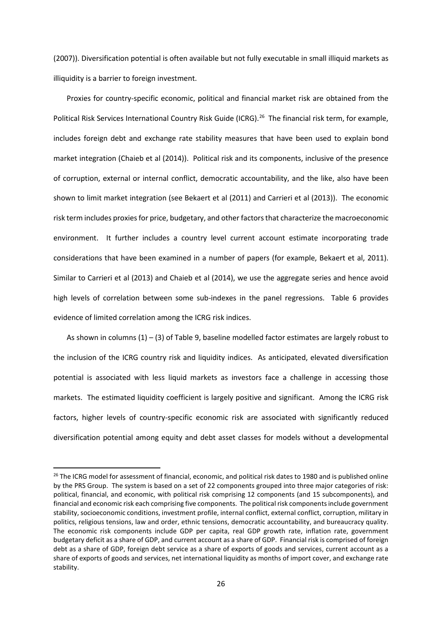(2007)). Diversification potential is often available but not fully executable in small illiquid markets as illiquidity is a barrier to foreign investment.

Proxies for country-specific economic, political and financial market risk are obtained from the Political Risk Services International Country Risk Guide (ICRG).<sup>26</sup> The financial risk term, for example, includes foreign debt and exchange rate stability measures that have been used to explain bond market integration (Chaieb et al (2014)). Political risk and its components, inclusive of the presence of corruption, external or internal conflict, democratic accountability, and the like, also have been shown to limit market integration (see Bekaert et al (2011) and Carrieri et al (2013)). The economic risk term includes proxies for price, budgetary, and other factors that characterize the macroeconomic environment. It further includes a country level current account estimate incorporating trade considerations that have been examined in a number of papers (for example, Bekaert et al, 2011). Similar to Carrieri et al (2013) and Chaieb et al (2014), we use the aggregate series and hence avoid high levels of correlation between some sub-indexes in the panel regressions. Table 6 provides evidence of limited correlation among the ICRG risk indices.

As shown in columns (1) – (3) of Table 9, baseline modelled factor estimates are largely robust to the inclusion of the ICRG country risk and liquidity indices. As anticipated, elevated diversification potential is associated with less liquid markets as investors face a challenge in accessing those markets. The estimated liquidity coefficient is largely positive and significant. Among the ICRG risk factors, higher levels of country-specific economic risk are associated with significantly reduced diversification potential among equity and debt asset classes for models without a developmental

<span id="page-25-0"></span><sup>&</sup>lt;sup>26</sup> The ICRG model for assessment of financial, economic, and political risk dates to 1980 and is published online by the PRS Group. The system is based on a set of 22 components grouped into three major categories of risk: political, financial, and economic, with political risk comprising 12 components (and 15 subcomponents), and financial and economic risk each comprising five components. The political risk components include government stability, socioeconomic conditions, investment profile, internal conflict, external conflict, corruption, military in politics, religious tensions, law and order, ethnic tensions, democratic accountability, and bureaucracy quality. The economic risk components include GDP per capita, real GDP growth rate, inflation rate, government budgetary deficit as a share of GDP, and current account as a share of GDP. Financial risk is comprised of foreign debt as a share of GDP, foreign debt service as a share of exports of goods and services, current account as a share of exports of goods and services, net international liquidity as months of import cover, and exchange rate stability.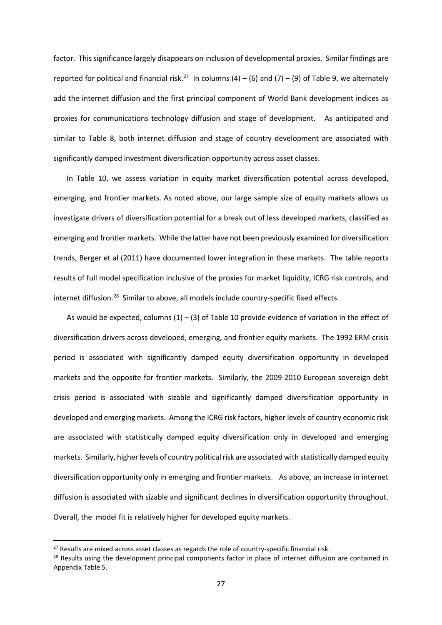factor. This significance largely disappears on inclusion of developmental proxies. Similar findings are reported for political and financial risk.<sup>27</sup> In columns (4) – (6) and (7) – (9) of Table 9, we alternately add the internet diffusion and the first principal component of World Bank development indices as proxies for communications technology diffusion and stage of development. As anticipated and similar to Table 8, both internet diffusion and stage of country development are associated with significantly damped investment diversification opportunity across asset classes.

In Table 10, we assess variation in equity market diversification potential across developed, emerging, and frontier markets. As noted above, our large sample size of equity markets allows us investigate drivers of diversification potential for a break out of less developed markets, classified as emerging and frontier markets. While the latter have not been previously examined for diversification trends, Berger et al (2011) have documented lower integration in these markets. The table reports results of full model specification inclusive of the proxies for market liquidity, ICRG risk controls, and internet diffusion.[28](#page-26-1) Similar to above, all models include country-specific fixed effects.

As would be expected, columns  $(1) - (3)$  of Table 10 provide evidence of variation in the effect of diversification drivers across developed, emerging, and frontier equity markets. The 1992 ERM crisis period is associated with significantly damped equity diversification opportunity in developed markets and the opposite for frontier markets. Similarly, the 2009-2010 European sovereign debt crisis period is associated with sizable and significantly damped diversification opportunity in developed and emerging markets. Among the ICRG risk factors, higher levels of country economic risk are associated with statistically damped equity diversification only in developed and emerging markets. Similarly, higher levels of country political risk are associated with statistically damped equity diversification opportunity only in emerging and frontier markets. As above, an increase in internet diffusion is associated with sizable and significant declines in diversification opportunity throughout. Overall, the model fit is relatively higher for developed equity markets.

<span id="page-26-1"></span><span id="page-26-0"></span><sup>&</sup>lt;sup>27</sup> Results are mixed across asset classes as regards the role of country-specific financial risk.<br><sup>28</sup> Results using the development principal components factor in place of internet diffusion are contained in Appendix Table 5.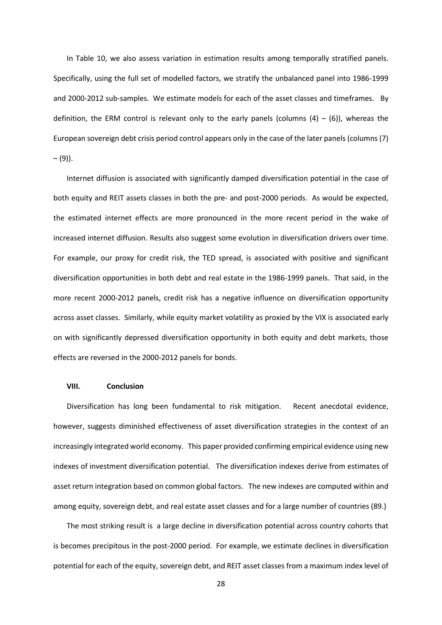In Table 10, we also assess variation in estimation results among temporally stratified panels. Specifically, using the full set of modelled factors, we stratify the unbalanced panel into 1986-1999 and 2000-2012 sub-samples. We estimate models for each of the asset classes and timeframes. By definition, the ERM control is relevant only to the early panels (columns  $(4) - (6)$ ), whereas the European sovereign debt crisis period control appears only in the case of the later panels (columns (7)  $- (9)$ ).

Internet diffusion is associated with significantly damped diversification potential in the case of both equity and REIT assets classes in both the pre- and post-2000 periods. As would be expected, the estimated internet effects are more pronounced in the more recent period in the wake of increased internet diffusion. Results also suggest some evolution in diversification drivers over time. For example, our proxy for credit risk, the TED spread, is associated with positive and significant diversification opportunities in both debt and real estate in the 1986-1999 panels. That said, in the more recent 2000-2012 panels, credit risk has a negative influence on diversification opportunity across asset classes. Similarly, while equity market volatility as proxied by the VIX is associated early on with significantly depressed diversification opportunity in both equity and debt markets, those effects are reversed in the 2000-2012 panels for bonds.

### **VIII. Conclusion**

Diversification has long been fundamental to risk mitigation. Recent anecdotal evidence, however, suggests diminished effectiveness of asset diversification strategies in the context of an increasingly integrated world economy. This paper provided confirming empirical evidence using new indexes of investment diversification potential. The diversification indexes derive from estimates of asset return integration based on common global factors. The new indexes are computed within and among equity, sovereign debt, and real estate asset classes and for a large number of countries (89.)

The most striking result is a large decline in diversification potential across country cohorts that is becomes precipitous in the post-2000 period. For example, we estimate declines in diversification potential for each of the equity, sovereign debt, and REIT asset classes from a maximum index level of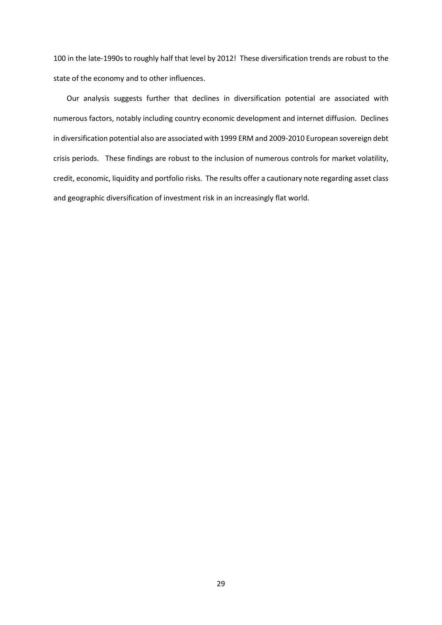100 in the late-1990s to roughly half that level by 2012! These diversification trends are robust to the state of the economy and to other influences.

Our analysis suggests further that declines in diversification potential are associated with numerous factors, notably including country economic development and internet diffusion. Declines in diversification potential also are associated with 1999 ERM and 2009-2010 European sovereign debt crisis periods. These findings are robust to the inclusion of numerous controls for market volatility, credit, economic, liquidity and portfolio risks. The results offer a cautionary note regarding asset class and geographic diversification of investment risk in an increasingly flat world.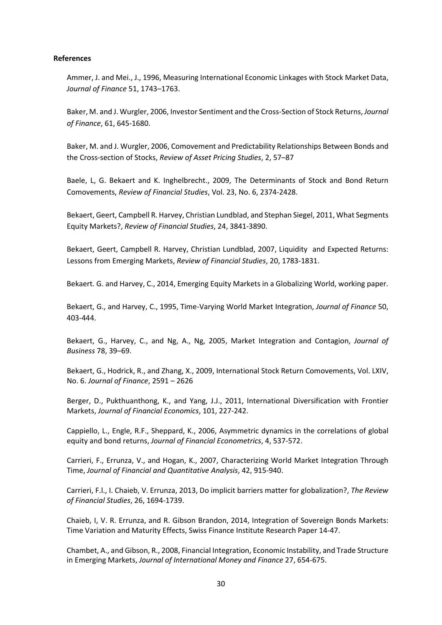#### **References**

Ammer, J. and Mei., J., 1996, Measuring International Economic Linkages with Stock Market Data, *Journal of Finance* 51, 1743–1763.

Baker, M. and J. Wurgler, 2006, Investor Sentiment and the Cross-Section of Stock Returns, *Journal of Finance*, 61, 645-1680.

Baker, M. and J. Wurgler, 2006, Comovement and Predictability Relationships Between Bonds and the Cross-section of Stocks, *Review of Asset Pricing Studies*, 2, 57–87

Baele, L, G. Bekaert and K. Inghelbrecht., 2009, The Determinants of Stock and Bond Return Comovements, *Review of Financial Studies*, Vol. 23, No. 6, 2374-2428.

Bekaert, Geert, Campbell R. Harvey, Christian Lundblad, and Stephan Siegel, 2011, What Segments Equity Markets?, *Review of Financial Studies*, 24, 3841-3890.

Bekaert, Geert, Campbell R. Harvey, Christian Lundblad, 2007, Liquidity and Expected Returns: Lessons from Emerging Markets, *Review of Financial Studies*, 20, 1783-1831.

Bekaert. G. and Harvey, C., 2014, Emerging Equity Markets in a Globalizing World, working paper.

Bekaert, G., and Harvey, C., 1995, Time-Varying World Market Integration, *Journal of Finance* 50, 403-444.

Bekaert, G., Harvey, C., and Ng, A., Ng, 2005, Market Integration and Contagion, *Journal of Business* 78, 39–69.

Bekaert, G., Hodrick, R., and Zhang, X., 2009, International Stock Return Comovements, Vol. LXIV, No. 6. *Journal of Finance*, 2591 – 2626

Berger, D., Pukthuanthong, K., and Yang, J.J., 2011, International Diversification with Frontier Markets, *Journal of Financial Economics*, 101, 227-242.

Cappiello, L., Engle, R.F., Sheppard, K., 2006, Asymmetric dynamics in the correlations of global equity and bond returns, *Journal of Financial Econometrics*, 4, 537-572.

Carrieri, F., Errunza, V., and Hogan, K., 2007, Characterizing World Market Integration Through Time, *Journal of Financial and Quantitative Analysis*, 42, 915-940.

Carrieri, F.l., I. Chaieb, V. Errunza, 2013, Do implicit barriers matter for globalization?, *The Review of Financial Studies*, 26, 1694-1739.

Chaieb, I, V. R. Errunza, and R. Gibson Brandon, 2014, Integration of Sovereign Bonds Markets: Time Variation and Maturity Effects, Swiss Finance Institute Research Paper 14-47.

Chambet, A., and Gibson, R., 2008, Financial Integration, Economic Instability, and Trade Structure in Emerging Markets, *Journal of International Money and Finance* 27, 654-675.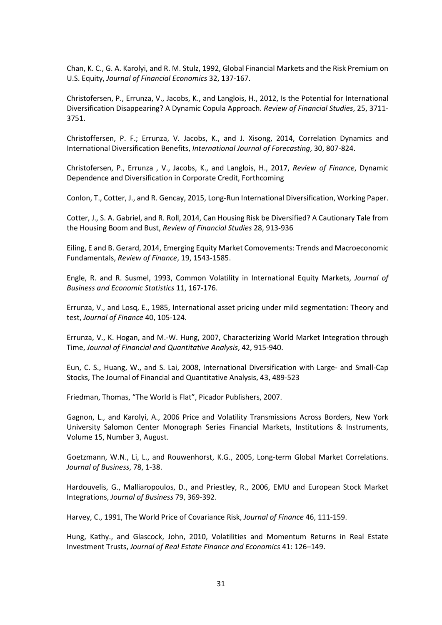Chan, K. C., G. A. Karolyi, and R. M. Stulz, 1992, Global Financial Markets and the Risk Premium on U.S. Equity, *Journal of Financial Economics* 32, 137-167.

Christofersen, P., Errunza, V., Jacobs, K., and Langlois, H., 2012, Is the Potential for International Diversification Disappearing? A Dynamic Copula Approach. *Review of Financial Studies*, 25, 3711- 3751.

Christoffersen, P. F.; Errunza, V. Jacobs, K., and J. Xisong, 2014, Correlation Dynamics and International Diversification Benefits, *International Journal of Forecasting*, 30, 807-824.

Christofersen, P., Errunza , V., Jacobs, K., and Langlois, H., 2017, *Review of Finance*, Dynamic Dependence and Diversification in Corporate Credit, Forthcoming

Conlon, T., Cotter, J., and R. Gencay, 2015, Long-Run International Diversification, Working Paper.

Cotter, J., S. A. Gabriel, and R. Roll, 2014, Can Housing Risk be Diversified? A Cautionary Tale from the Housing Boom and Bust, *Review of Financial Studies* 28, 913-936

Eiling, E and B. Gerard, 2014, Emerging Equity Market Comovements: Trends and Macroeconomic Fundamentals, *Review of Finance*, 19, 1543-1585.

Engle, R. and R. Susmel, 1993, Common Volatility in International Equity Markets, *Journal of Business and Economic Statistics* 11, 167-176.

Errunza, V., and Losq, E., 1985, International asset pricing under mild segmentation: Theory and test, *Journal of Finance* 40, 105-124.

Errunza, V., K. Hogan, and M.-W. Hung, 2007, Characterizing World Market Integration through Time, *Journal of Financial and Quantitative Analysis*, 42, 915-940.

Eun, C. S., Huang, W., and S. Lai, 2008, International Diversification with Large- and Small-Cap Stocks, The Journal of Financial and Quantitative Analysis, 43, 489-523

Friedman, Thomas, "The World is Flat", Picador Publishers, 2007.

Gagnon, L., and Karolyi, A., 2006 Price and Volatility Transmissions Across Borders, New York University Salomon Center Monograph Series Financial Markets, Institutions & Instruments, Volume 15, Number 3, August.

Goetzmann, W.N., Li, L., and Rouwenhorst, K.G., 2005, Long-term Global Market Correlations. *Journal of Business*, 78, 1-38.

Hardouvelis, G., Malliaropoulos, D., and Priestley, R., 2006, EMU and European Stock Market Integrations, *Journal of Business* 79, 369-392.

Harvey, C., 1991, The World Price of Covariance Risk, *Journal of Finance* 46, 111-159.

Hung, Kathy., and Glascock, John, 2010, Volatilities and Momentum Returns in Real Estate Investment Trusts, *Journal of Real Estate Finance and Economics* 41: 126–149.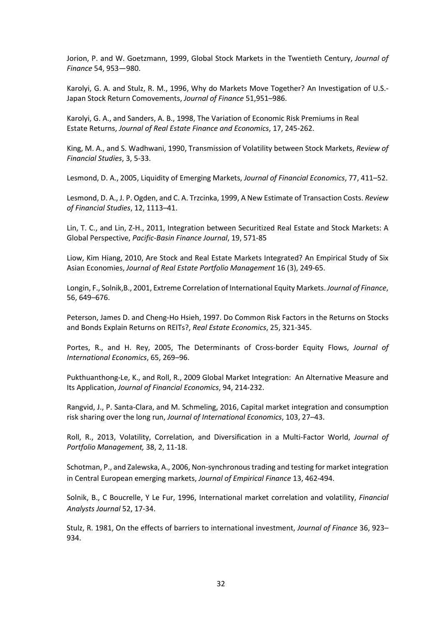Jorion, P. and W. Goetzmann, 1999, Global Stock Markets in the Twentieth Century, *Journal of Finance* 54, 953—980.

Karolyi, G. A. and Stulz, R. M., 1996, Why do Markets Move Together? An Investigation of U.S.- Japan Stock Return Comovements, *Journal of Finance* 51,951–986.

Karolyi, G. A., and Sanders, A. B., 1998, The Variation of Economic Risk Premiums in Real Estate Returns, *Journal of Real Estate Finance and Economics*, 17, 245-262.

King, M. A., and S. Wadhwani, 1990, Transmission of Volatility between Stock Markets, *Review of Financial Studies*, 3, 5-33.

Lesmond, D. A., 2005, Liquidity of Emerging Markets, *Journal of Financial Economics*, 77, 411–52.

Lesmond, D. A., J. P. Ogden, and C. A. Trzcinka, 1999, A New Estimate of Transaction Costs. *Review of Financial Studies*, 12, 1113–41.

Lin, T. C., and Lin, Z-H., 2011, Integration between Securitized Real Estate and Stock Markets: A Global Perspective, *Pacific-Basin Finance Journal*, 19, 571-85

Liow, Kim Hiang, 2010, Are Stock and Real Estate Markets Integrated? An Empirical Study of Six Asian Economies, *Journal of Real Estate Portfolio Management* 16 (3), 249-65.

Longin, F., Solnik,B., 2001, Extreme Correlation of International Equity Markets. *Journal of Finance*, 56, 649–676.

Peterson, James D. and Cheng-Ho Hsieh, 1997. Do Common Risk Factors in the Returns on Stocks and Bonds Explain Returns on REITs?, *Real Estate Economics*, 25, 321-345.

Portes, R., and H. Rey, 2005, The Determinants of Cross-border Equity Flows, *Journal of International Economics*, 65, 269–96.

Pukthuanthong-Le, K., and Roll, R., 2009 Global Market Integration: An Alternative Measure and Its Application, *Journal of Financial Economics*, 94, 214-232.

Rangvid, J., P. Santa-Clara, and M. Schmeling, 2016, Capital market integration and consumption risk sharing over the long run, *Journal of International Economics*, 103, 27–43.

Roll, R., 2013, Volatility, Correlation, and Diversification in a Multi-Factor World, *Journal of Portfolio Management,* 38, 2, 11-18.

Schotman, P., and Zalewska, A., 2006, Non-synchronous trading and testing for market integration in Central European emerging markets, *Journal of Empirical Finance* 13, 462-494.

Solnik, B., C Boucrelle, Y Le Fur, 1996, International market correlation and volatility, *Financial Analysts Journal* 52, 17-34.

Stulz, R. 1981, On the effects of barriers to international investment, *Journal of Finance* 36, 923– 934.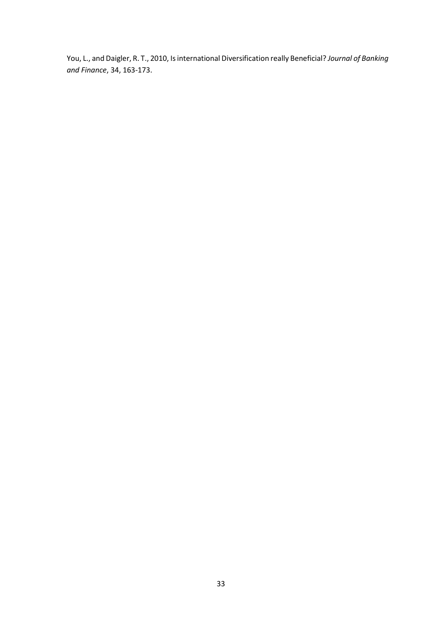You, L., and Daigler, R. T., 2010, Is international Diversification really Beneficial? *Journal of Banking and Finance*, 34, 163-173.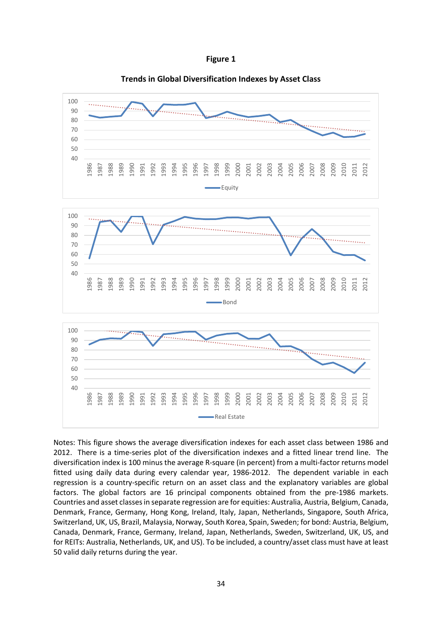



**Trends in Global Diversification Indexes by Asset Class**

Notes: This figure shows the average diversification indexes for each asset class between 1986 and 2012. There is a time-series plot of the diversification indexes and a fitted linear trend line. The diversification index is 100 minus the average R-square (in percent) from a multi-factor returns model fitted using daily data during every calendar year, 1986-2012. The dependent variable in each regression is a country-specific return on an asset class and the explanatory variables are global factors. The global factors are 16 principal components obtained from the pre-1986 markets. Countries and asset classes in separate regression are for equities: Australia, Austria, Belgium, Canada, Denmark, France, Germany, Hong Kong, Ireland, Italy, Japan, Netherlands, Singapore, South Africa, Switzerland, UK, US, Brazil, Malaysia, Norway, South Korea, Spain, Sweden; for bond: Austria, Belgium, Canada, Denmark, France, Germany, Ireland, Japan, Netherlands, Sweden, Switzerland, UK, US, and for REITs: Australia, Netherlands, UK, and US). To be included, a country/asset class must have at least 50 valid daily returns during the year.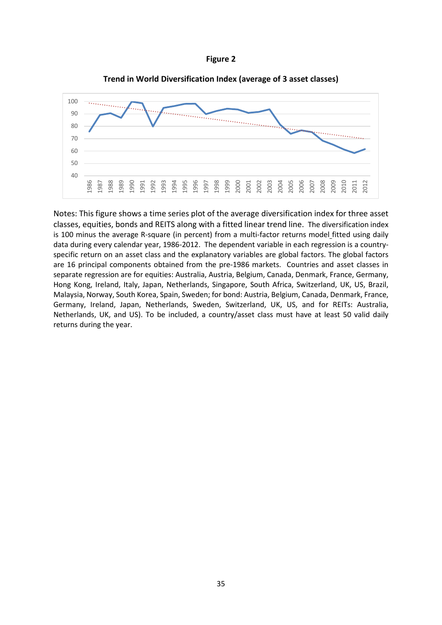



**Trend in World Diversification Index (average of 3 asset classes)**

Notes: This figure shows a time series plot of the average diversification index for three asset classes, equities, bonds and REITS along with a fitted linear trend line. The diversification index is 100 minus the average R-square (in percent) from a multi-factor returns model fitted using daily data during every calendar year, 1986-2012. The dependent variable in each regression is a countryspecific return on an asset class and the explanatory variables are global factors. The global factors are 16 principal components obtained from the pre-1986 markets. Countries and asset classes in separate regression are for equities: Australia, Austria, Belgium, Canada, Denmark, France, Germany, Hong Kong, Ireland, Italy, Japan, Netherlands, Singapore, South Africa, Switzerland, UK, US, Brazil, Malaysia, Norway, South Korea, Spain, Sweden; for bond: Austria, Belgium, Canada, Denmark, France, Germany, Ireland, Japan, Netherlands, Sweden, Switzerland, UK, US, and for REITs: Australia, Netherlands, UK, and US). To be included, a country/asset class must have at least 50 valid daily returns during the year.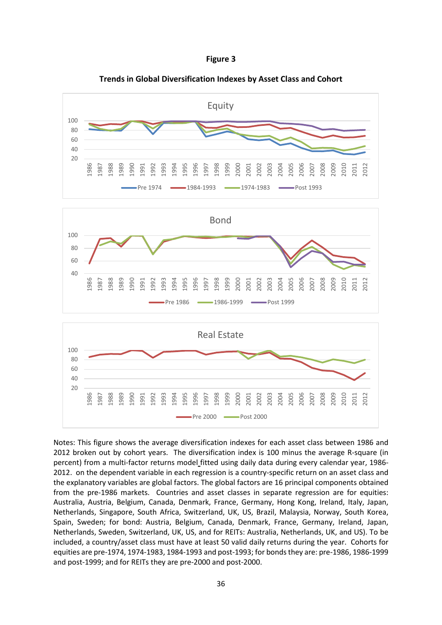



**Trends in Global Diversification Indexes by Asset Class and Cohort**

Notes: This figure shows the average diversification indexes for each asset class between 1986 and 2012 broken out by cohort years. The diversification index is 100 minus the average R-square (in percent) from a multi-factor returns model fitted using daily data during every calendar year, 1986- 2012. on the dependent variable in each regression is a country-specific return on an asset class and the explanatory variables are global factors. The global factors are 16 principal components obtained from the pre-1986 markets. Countries and asset classes in separate regression are for equities: Australia, Austria, Belgium, Canada, Denmark, France, Germany, Hong Kong, Ireland, Italy, Japan, Netherlands, Singapore, South Africa, Switzerland, UK, US, Brazil, Malaysia, Norway, South Korea, Spain, Sweden; for bond: Austria, Belgium, Canada, Denmark, France, Germany, Ireland, Japan, Netherlands, Sweden, Switzerland, UK, US, and for REITs: Australia, Netherlands, UK, and US). To be included, a country/asset class must have at least 50 valid daily returns during the year. Cohorts for equities are pre-1974, 1974-1983, 1984-1993 and post-1993; for bonds they are: pre-1986, 1986-1999 and post-1999; and for REITs they are pre-2000 and post-2000.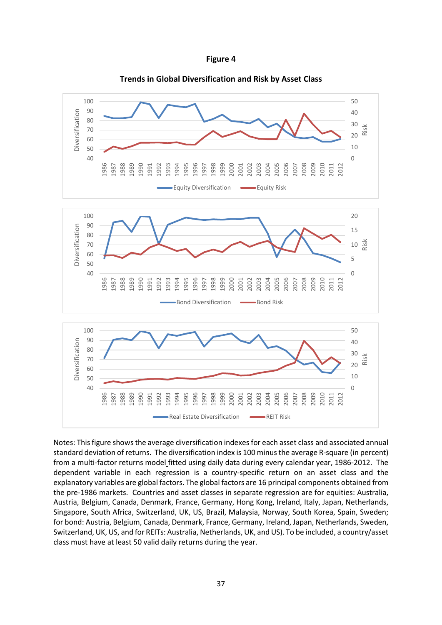



**Trends in Global Diversification and Risk by Asset Class**

Notes: This figure shows the average diversification indexes for each asset class and associated annual standard deviation of returns. The diversification index is 100 minus the average R-square (in percent) from a multi-factor returns model fitted using daily data during every calendar year, 1986-2012. The dependent variable in each regression is a country-specific return on an asset class and the explanatory variables are global factors. The global factors are 16 principal components obtained from the pre-1986 markets. Countries and asset classes in separate regression are for equities: Australia, Austria, Belgium, Canada, Denmark, France, Germany, Hong Kong, Ireland, Italy, Japan, Netherlands, Singapore, South Africa, Switzerland, UK, US, Brazil, Malaysia, Norway, South Korea, Spain, Sweden; for bond: Austria, Belgium, Canada, Denmark, France, Germany, Ireland, Japan, Netherlands, Sweden, Switzerland, UK, US, and for REITs: Australia, Netherlands, UK, and US). To be included, a country/asset class must have at least 50 valid daily returns during the year.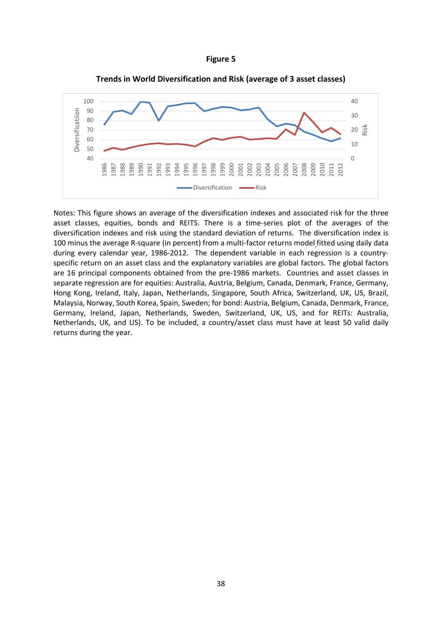



**Trends in World Diversification and Risk (average of 3 asset classes)**

Notes: This figure shows an average of the diversification indexes and associated risk for the three asset classes, equities, bonds and REITS. There is a time-series plot of the averages of the diversification indexes and risk using the standard deviation of returns. The diversification index is 100 minus the average R-square (in percent) from a multi-factor returns model fitted using daily data during every calendar year, 1986-2012. The dependent variable in each regression is a countryspecific return on an asset class and the explanatory variables are global factors. The global factors are 16 principal components obtained from the pre-1986 markets. Countries and asset classes in separate regression are for equities: Australia, Austria, Belgium, Canada, Denmark, France, Germany, Hong Kong, Ireland, Italy, Japan, Netherlands, Singapore, South Africa, Switzerland, UK, US, Brazil, Malaysia, Norway, South Korea, Spain, Sweden; for bond: Austria, Belgium, Canada, Denmark, France, Germany, Ireland, Japan, Netherlands, Sweden, Switzerland, UK, US, and for REITs: Australia, Netherlands, UK, and US). To be included, a country/asset class must have at least 50 valid daily returns during the year.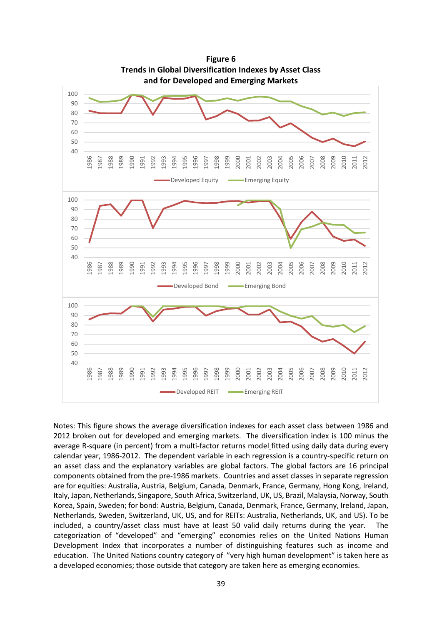

**Figure 6 Trends in Global Diversification Indexes by Asset Class** 

Notes: This figure shows the average diversification indexes for each asset class between 1986 and 2012 broken out for developed and emerging markets. The diversification index is 100 minus the average R-square (in percent) from a multi-factor returns model fitted using daily data during every calendar year, 1986-2012. The dependent variable in each regression is a country-specific return on an asset class and the explanatory variables are global factors. The global factors are 16 principal components obtained from the pre-1986 markets. Countries and asset classes in separate regression are for equities: Australia, Austria, Belgium, Canada, Denmark, France, Germany, Hong Kong, Ireland, Italy, Japan, Netherlands, Singapore, South Africa, Switzerland, UK, US, Brazil, Malaysia, Norway, South Korea, Spain, Sweden; for bond: Austria, Belgium, Canada, Denmark, France, Germany, Ireland, Japan, Netherlands, Sweden, Switzerland, UK, US, and for REITs: Australia, Netherlands, UK, and US). To be included, a country/asset class must have at least 50 valid daily returns during the year. The categorization of "developed" and "emerging" economies relies on the United Nations Human Development Index that incorporates a number of distinguishing features such as income and education. The United Nations country category of "very high human development" is taken here as a developed economies; those outside that category are taken here as emerging economies.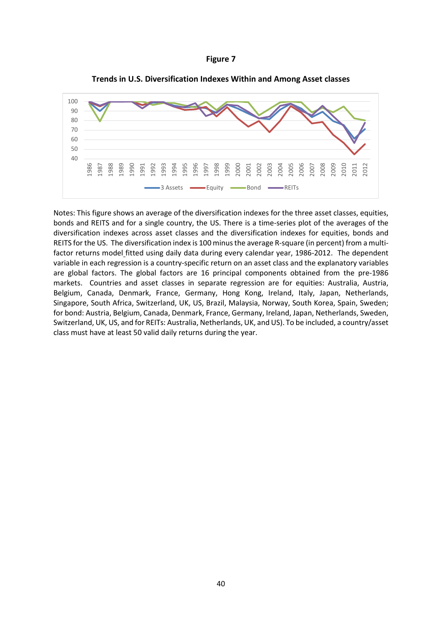



**Trends in U.S. Diversification Indexes Within and Among Asset classes**

Notes: This figure shows an average of the diversification indexes for the three asset classes, equities, bonds and REITS and for a single country, the US. There is a time-series plot of the averages of the diversification indexes across asset classes and the diversification indexes for equities, bonds and REITS for the US. The diversification index is 100 minus the average R-square (in percent) from a multifactor returns model fitted using daily data during every calendar year, 1986-2012. The dependent variable in each regression is a country-specific return on an asset class and the explanatory variables are global factors. The global factors are 16 principal components obtained from the pre-1986 markets. Countries and asset classes in separate regression are for equities: Australia, Austria, Belgium, Canada, Denmark, France, Germany, Hong Kong, Ireland, Italy, Japan, Netherlands, Singapore, South Africa, Switzerland, UK, US, Brazil, Malaysia, Norway, South Korea, Spain, Sweden; for bond: Austria, Belgium, Canada, Denmark, France, Germany, Ireland, Japan, Netherlands, Sweden, Switzerland, UK, US, and for REITs: Australia, Netherlands, UK, and US). To be included, a country/asset class must have at least 50 valid daily returns during the year.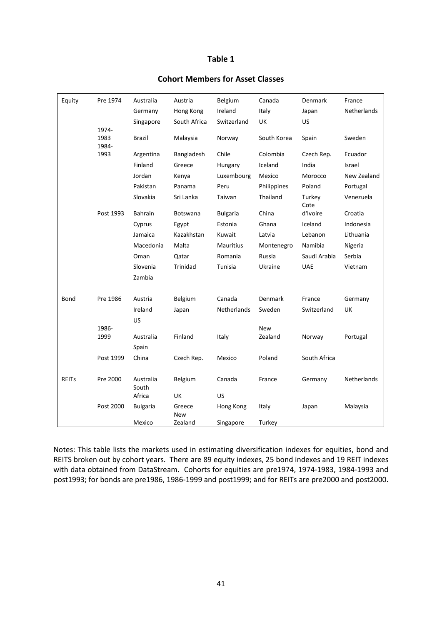## **Table 1**

| Equity       | Pre 1974      | Australia          | Austria              | Belgium         | Canada         | Denmark        | France      |
|--------------|---------------|--------------------|----------------------|-----------------|----------------|----------------|-------------|
|              |               | Germany            | Hong Kong            | Ireland         | Italy          | Japan          | Netherlands |
|              | 1974-         | Singapore          | South Africa         | Switzerland     | UK             | US             |             |
|              | 1983<br>1984- | <b>Brazil</b>      | Malaysia             | Norway          | South Korea    | Spain          | Sweden      |
|              | 1993          | Argentina          | Bangladesh           | Chile           | Colombia       | Czech Rep.     | Ecuador     |
|              |               | Finland            | Greece               | Hungary         | Iceland        | India          | Israel      |
|              |               | Jordan             | Kenya                | Luxembourg      | Mexico         | Morocco        | New Zealand |
|              |               | Pakistan           | Panama               | Peru            | Philippines    | Poland         | Portugal    |
|              |               | Slovakia           | Sri Lanka            | Taiwan          | Thailand       | Turkey<br>Cote | Venezuela   |
|              | Post 1993     | <b>Bahrain</b>     | Botswana             | <b>Bulgaria</b> | China          | d'Ivoire       | Croatia     |
|              |               | Cyprus             | Egypt                | Estonia         | Ghana          | Iceland        | Indonesia   |
|              |               | Jamaica            | Kazakhstan           | Kuwait          | Latvia         | Lebanon        | Lithuania   |
|              |               | Macedonia          | Malta                | Mauritius       | Montenegro     | Namibia        | Nigeria     |
|              |               | Oman               | Qatar                | Romania         | Russia         | Saudi Arabia   | Serbia      |
|              |               | Slovenia           | Trinidad             | Tunisia         | Ukraine        | <b>UAE</b>     | Vietnam     |
|              |               | Zambia             |                      |                 |                |                |             |
| Bond         | Pre 1986      | Austria            | Belgium              | Canada          | Denmark        | France         | Germany     |
|              |               | Ireland            | Japan                | Netherlands     | Sweden         | Switzerland    | <b>UK</b>   |
|              |               | US                 |                      |                 |                |                |             |
|              | 1986-<br>1999 | Australia          | Finland              |                 | New<br>Zealand |                |             |
|              |               | Spain              |                      | Italy           |                | Norway         | Portugal    |
|              | Post 1999     | China              | Czech Rep.           | Mexico          | Poland         | South Africa   |             |
|              |               |                    |                      |                 |                |                |             |
| <b>REITs</b> | Pre 2000      | Australia<br>South | Belgium              | Canada          | France         | Germany        | Netherlands |
|              |               | Africa             | UK                   | US              |                |                |             |
|              | Post 2000     | <b>Bulgaria</b>    | Greece<br><b>New</b> | Hong Kong       | Italy          | Japan          | Malaysia    |
|              |               | Mexico             | Zealand              | Singapore       | Turkey         |                |             |

## **Cohort Members for Asset Classes**

Notes: This table lists the markets used in estimating diversification indexes for equities, bond and REITS broken out by cohort years. There are 89 equity indexes, 25 bond indexes and 19 REIT indexes with data obtained from DataStream. Cohorts for equities are pre1974, 1974-1983, 1984-1993 and post1993; for bonds are pre1986, 1986-1999 and post1999; and for REITs are pre2000 and post2000.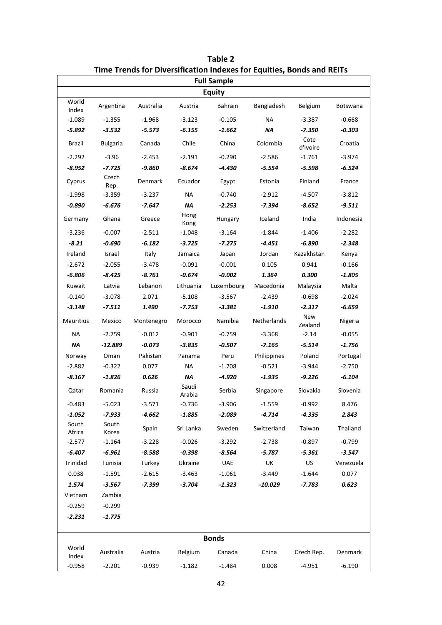|                 | Time Trends for Diversification indexes for Equities, bonds and KETTS<br><b>Full Sample</b> |            |                 |                |             |                  |                 |  |  |  |  |  |  |
|-----------------|---------------------------------------------------------------------------------------------|------------|-----------------|----------------|-------------|------------------|-----------------|--|--|--|--|--|--|
|                 |                                                                                             |            |                 | <b>Equity</b>  |             |                  |                 |  |  |  |  |  |  |
| World           | Argentina                                                                                   | Australia  | Austria         | <b>Bahrain</b> | Bangladesh  | Belgium          | <b>Botswana</b> |  |  |  |  |  |  |
| Index           |                                                                                             |            |                 |                |             |                  |                 |  |  |  |  |  |  |
| $-1.089$        | $-1.355$                                                                                    | $-1.968$   | $-3.123$        | $-0.105$       | NА          | $-3.387$         | $-0.668$        |  |  |  |  |  |  |
| $-5.892$        | $-3.532$                                                                                    | $-5.573$   | $-6.155$        | $-1.662$       | <b>NA</b>   | $-7.350$         | $-0.303$        |  |  |  |  |  |  |
| Brazil          | <b>Bulgaria</b>                                                                             | Canada     | Chile           | China          | Colombia    | Cote<br>d'Ivoire | Croatia         |  |  |  |  |  |  |
| $-2.292$        | $-3.96$                                                                                     | $-2.453$   | $-2.191$        | $-0.290$       | $-2.586$    | $-1.761$         | $-3.974$        |  |  |  |  |  |  |
| $-8.952$        | -7.725                                                                                      | $-9.860$   | $-8.674$        | -4.430         | -5.554      | $-5.598$         | -6.524          |  |  |  |  |  |  |
| Cyprus          | Czech<br>Rep.                                                                               | Denmark    | Ecuador         | Egypt          | Estonia     | Finland          | France          |  |  |  |  |  |  |
| $-1.998$        | $-3.359$                                                                                    | $-3.237$   | <b>NA</b>       | $-0.740$       | $-2.912$    | $-4.507$         | $-3.812$        |  |  |  |  |  |  |
| $-0.890$        | $-6.676$                                                                                    | $-7.647$   | <b>NA</b>       | $-2.253$       | $-7.394$    | $-8.652$         | $-9.511$        |  |  |  |  |  |  |
| Germany         | Ghana                                                                                       | Greece     | Hong<br>Kong    | Hungary        | Iceland     | India            | Indonesia       |  |  |  |  |  |  |
| $-3.236$        | $-0.007$                                                                                    | $-2.511$   | $-1.048$        | $-3.164$       | $-1.844$    | $-1.406$         | $-2.282$        |  |  |  |  |  |  |
| $-8.21$         | $-0.690$                                                                                    | $-6.182$   | $-3.725$        | $-7.275$       | $-4.451$    | $-6.890$         | $-2.348$        |  |  |  |  |  |  |
| Ireland         | Israel                                                                                      | Italy      | Jamaica         | Japan          | Jordan      | Kazakhstan       | Kenya           |  |  |  |  |  |  |
| $-2.672$        | $-2.055$                                                                                    | $-3.478$   | $-0.091$        | $-0.001$       | 0.105       | 0.941            | $-0.166$        |  |  |  |  |  |  |
| $-6.806$        | $-8.425$                                                                                    | $-8.761$   | $-0.674$        | $-0.002$       | 1.364       | 0.300            | $-1.805$        |  |  |  |  |  |  |
| Kuwait          | Latvia                                                                                      | Lebanon    | Lithuania       | Luxembourg     | Macedonia   | Malaysia         | Malta           |  |  |  |  |  |  |
| $-0.140$        | $-3.078$                                                                                    | 2.071      | $-5.108$        | $-3.567$       | $-2.439$    | $-0.698$         | $-2.024$        |  |  |  |  |  |  |
| $-3.148$        | $-7.511$                                                                                    | 1.490      | -7.753          | $-3.381$       | $-1.910$    | $-2.317$         | $-6.659$        |  |  |  |  |  |  |
| Mauritius       | Mexico                                                                                      | Montenegro | Morocco         | Namibia        | Netherlands | New<br>Zealand   | Nigeria         |  |  |  |  |  |  |
| <b>NA</b>       | $-2.759$                                                                                    | $-0.012$   | $-0.901$        | $-0.759$       | $-3.368$    | $-2.14$          | $-0.055$        |  |  |  |  |  |  |
| <b>NA</b>       | $-12.889$                                                                                   | $-0.073$   | $-3.835$        | $-0.507$       | $-7.165$    | $-5.514$         | $-1.756$        |  |  |  |  |  |  |
| Norway          | Oman                                                                                        | Pakistan   | Panama          | Peru           | Philippines | Poland           | Portugal        |  |  |  |  |  |  |
| $-2.882$        | $-0.322$                                                                                    | 0.077      | NA              | $-1.708$       | $-0.521$    | $-3.944$         | $-2.750$        |  |  |  |  |  |  |
| $-8.167$        | $-1.826$                                                                                    | 0.626      | <b>NA</b>       | -4.920         | -1.935      | $-9.226$         | $-6.104$        |  |  |  |  |  |  |
| Qatar           | Romania                                                                                     | Russia     | Saudi<br>Arabia | Serbia         | Singapore   | Slovakia         | Slovenia        |  |  |  |  |  |  |
| $-0.483$        | $-5.023$                                                                                    | $-3.571$   | $-0.736$        | $-3.906$       | $-1.559$    | $-0.992$         | 8.476           |  |  |  |  |  |  |
| -1.052          | -7.933                                                                                      | -4.662     | -1.885          | $-2.089$       | $-4.714$    | -4.335           | 2.843           |  |  |  |  |  |  |
| South<br>Africa | South<br>Korea                                                                              | Spain      | Sri Lanka       | Sweden         | Switzerland | Taiwan           | Thailand        |  |  |  |  |  |  |
| $-2.577$        | $-1.164$                                                                                    | $-3.228$   | $-0.026$        | $-3.292$       | $-2.738$    | $-0.897$         | $-0.799$        |  |  |  |  |  |  |
| $-6.407$        | $-6.961$                                                                                    | $-8.588$   | $-0.398$        | $-8.564$       | $-5.787$    | $-5.361$         | $-3.547$        |  |  |  |  |  |  |
| Trinidad        | Tunisia                                                                                     | Turkey     | Ukraine         | <b>UAE</b>     | UK          | <b>US</b>        | Venezuela       |  |  |  |  |  |  |
| 0.038           | $-1.591$                                                                                    | $-2.615$   | $-3.463$        | $-1.061$       | $-3.449$    | $-1.644$         | 0.077           |  |  |  |  |  |  |
| 1.574           | $-3.567$                                                                                    | $-7.399$   | $-3.704$        | $-1.323$       | $-10.029$   | $-7.783$         | 0.623           |  |  |  |  |  |  |
| Vietnam         | Zambia                                                                                      |            |                 |                |             |                  |                 |  |  |  |  |  |  |
| $-0.259$        | $-0.299$                                                                                    |            |                 |                |             |                  |                 |  |  |  |  |  |  |
| $-2.231$        | $-1.775$                                                                                    |            |                 |                |             |                  |                 |  |  |  |  |  |  |
|                 |                                                                                             |            |                 | <b>Bonds</b>   |             |                  |                 |  |  |  |  |  |  |
| World<br>Index  | Australia                                                                                   | Austria    | Belgium         | Canada         | China       | Czech Rep.       | Denmark         |  |  |  |  |  |  |
| $-0.958$        | $-2.201$                                                                                    | $-0.939$   | $-1.182$        | $-1.484$       | 0.008       | $-4.951$         | $-6.190$        |  |  |  |  |  |  |

**Table 2 Time Trends for Diversification Indexes for Equities, Bonds and REITs**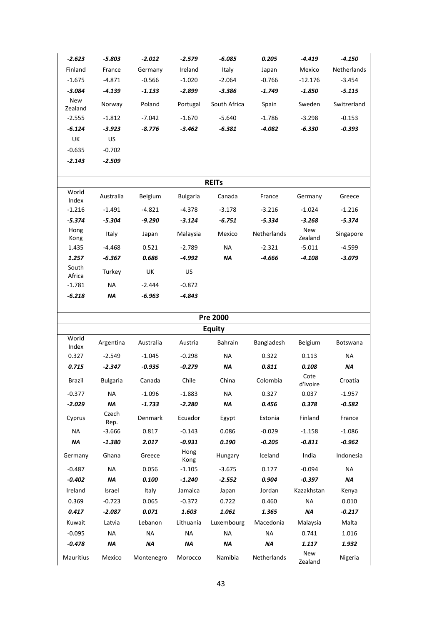| $-2.623$              | $-5.803$ | $-2.012$ | $-2.579$ | $-6.085$     | 0.205    | $-4.419$  | -4.150             |
|-----------------------|----------|----------|----------|--------------|----------|-----------|--------------------|
| Finland               | France   | Germany  | Ireland  | Italy        | Japan    | Mexico    | <b>Netherlands</b> |
| $-1.675$              | $-4.871$ | $-0.566$ | $-1.020$ | $-2.064$     | $-0.766$ | $-12.176$ | $-3.454$           |
| -3.084                | $-4.139$ | $-1.133$ | $-2.899$ | $-3.386$     | $-1.749$ | $-1.850$  | $-5.115$           |
| <b>New</b><br>Zealand | Norway   | Poland   | Portugal | South Africa | Spain    | Sweden    | Switzerland        |
| $-2.555$              | $-1.812$ | $-7.042$ | $-1.670$ | $-5.640$     | $-1.786$ | $-3.298$  | $-0.153$           |
| $-6.124$              | $-3.923$ | $-8.776$ | $-3.462$ | $-6.381$     | $-4.082$ | $-6.330$  | $-0.393$           |
| UK                    | US.      |          |          |              |          |           |                    |
| $-0.635$              | $-0.702$ |          |          |              |          |           |                    |
| $-2.143$              | $-2.509$ |          |          |              |          |           |                    |

|                 | <b>REITS</b> |          |                 |           |             |                       |           |  |  |  |  |  |
|-----------------|--------------|----------|-----------------|-----------|-------------|-----------------------|-----------|--|--|--|--|--|
| World<br>Index  | Australia    | Belgium  | <b>Bulgaria</b> | Canada    | France      | Germany               | Greece    |  |  |  |  |  |
| $-1.216$        | $-1.491$     | $-4.821$ | $-4.378$        | $-3.178$  | $-3.216$    | $-1.024$              | $-1.216$  |  |  |  |  |  |
| $-5.374$        | $-5.304$     | $-9.290$ | $-3.124$        | $-6.751$  | -5.334      | $-3.268$              | $-5.374$  |  |  |  |  |  |
| Hong<br>Kong    | Italy        | Japan    | Malaysia        | Mexico    | Netherlands | <b>New</b><br>Zealand | Singapore |  |  |  |  |  |
| 1.435           | $-4.468$     | 0.521    | $-2.789$        | <b>NA</b> | $-2.321$    | $-5.011$              | $-4.599$  |  |  |  |  |  |
| 1.257           | $-6.367$     | 0.686    | -4.992          | <b>NA</b> | $-4.666$    | $-4.108$              | $-3.079$  |  |  |  |  |  |
| South<br>Africa | Turkey       | UK       | US.             |           |             |                       |           |  |  |  |  |  |
| $-1.781$        | <b>NA</b>    | $-2.444$ | $-0.872$        |           |             |                       |           |  |  |  |  |  |
| $-6.218$        | ΝA           | $-6.963$ | -4.843          |           |             |                       |           |  |  |  |  |  |

|                  |                 |            |              | <b>Pre 2000</b> |             |                       |                 |
|------------------|-----------------|------------|--------------|-----------------|-------------|-----------------------|-----------------|
|                  |                 |            |              | <b>Equity</b>   |             |                       |                 |
| World<br>Index   | Argentina       | Australia  | Austria      | <b>Bahrain</b>  | Bangladesh  | Belgium               | <b>Botswana</b> |
| 0.327            | $-2.549$        | $-1.045$   | $-0.298$     | <b>NA</b>       | 0.322       | 0.113                 | <b>NA</b>       |
| 0.715            | $-2.347$        | $-0.935$   | $-0.279$     | <b>NA</b>       | 0.811       | 0.108                 | <b>NA</b>       |
| <b>Brazil</b>    | <b>Bulgaria</b> | Canada     | Chile        | China           | Colombia    | Cote<br>d'Ivoire      | Croatia         |
| $-0.377$         | <b>NA</b>       | $-1.096$   | $-1.883$     | <b>NA</b>       | 0.327       | 0.037                 | $-1.957$        |
| $-2.029$         | <b>NA</b>       | $-1.733$   | $-2.280$     | <b>NA</b>       | 0.456       | 0.378                 | $-0.582$        |
| Cyprus           | Czech<br>Rep.   | Denmark    | Ecuador      | Egypt           | Estonia     | Finland               | France          |
| <b>NA</b>        | $-3.666$        | 0.817      | $-0.143$     | 0.086           | $-0.029$    | $-1.158$              | $-1.086$        |
| <b>NA</b>        | $-1.380$        | 2.017      | $-0.931$     | 0.190           | $-0.205$    | $-0.811$              | $-0.962$        |
| Germany          | Ghana           | Greece     | Hong<br>Kong | Hungary         | Iceland     | India                 | Indonesia       |
| $-0.487$         | <b>NA</b>       | 0.056      | $-1.105$     | $-3.675$        | 0.177       | $-0.094$              | <b>NA</b>       |
| $-0.402$         | <b>NA</b>       | 0.100      | $-1.240$     | $-2.552$        | 0.904       | $-0.397$              | <b>NA</b>       |
| Ireland          | Israel          | Italy      | Jamaica      | Japan           | Jordan      | Kazakhstan            | Kenya           |
| 0.369            | $-0.723$        | 0.065      | $-0.372$     | 0.722           | 0.460       | <b>NA</b>             | 0.010           |
| 0.417            | $-2.087$        | 0.071      | 1.603        | 1.061           | 1.365       | <b>NA</b>             | $-0.217$        |
| Kuwait           | Latvia          | Lebanon    | Lithuania    | Luxembourg      | Macedonia   | Malaysia              | Malta           |
| $-0.095$         | <b>NA</b>       | <b>NA</b>  | <b>NA</b>    | <b>NA</b>       | <b>NA</b>   | 0.741                 | 1.016           |
| $-0.478$         | <b>NA</b>       | <b>NA</b>  | <b>NA</b>    | <b>NA</b>       | <b>NA</b>   | 1.117                 | 1.932           |
| <b>Mauritius</b> | Mexico          | Montenegro | Morocco      | Namibia         | Netherlands | <b>New</b><br>Zealand | Nigeria         |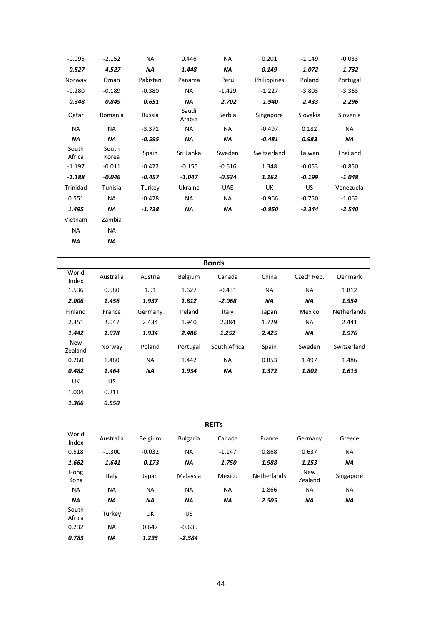| $-0.095$        | $-2.152$       | <b>NA</b> | 0.446           | <b>NA</b>    | 0.201       | $-1.149$       | $-0.033$    |
|-----------------|----------------|-----------|-----------------|--------------|-------------|----------------|-------------|
| $-0.527$        | -4.527         | <b>NA</b> | 1.448           | <b>NA</b>    | 0.149       | $-1.072$       | $-1.732$    |
| Norway          | Oman           | Pakistan  | Panama          | Peru         | Philippines | Poland         | Portugal    |
| $-0.280$        | $-0.189$       | $-0.380$  | <b>NA</b>       | $-1.429$     | $-1.227$    | $-3.803$       | $-3.363$    |
| $-0.348$        | $-0.849$       | $-0.651$  | <b>NA</b>       | $-2.702$     | $-1.940$    | $-2.433$       | $-2.296$    |
| Qatar           | Romania        | Russia    | Saudi<br>Arabia | Serbia       | Singapore   | Slovakia       | Slovenia    |
| NА              | <b>NA</b>      | $-3.371$  | <b>NA</b>       | <b>NA</b>    | $-0.497$    | 0.182          | <b>NA</b>   |
| <b>NA</b>       | <b>NA</b>      | $-0.595$  | <b>NA</b>       | <b>NA</b>    | $-0.481$    | 0.983          | <b>NA</b>   |
| South<br>Africa | South<br>Korea | Spain     | Sri Lanka       | Sweden       | Switzerland | Taiwan         | Thailand    |
| $-1.197$        | $-0.011$       | $-0.422$  | $-0.155$        | $-0.616$     | 1.348       | $-0.053$       | $-0.850$    |
| $-1.188$        | $-0.046$       | $-0.457$  | $-1.047$        | $-0.534$     | 1.162       | $-0.199$       | $-1.048$    |
| Trinidad        | Tunisia        | Turkey    | Ukraine         | <b>UAE</b>   | UK          | US             | Venezuela   |
| 0.551           | <b>NA</b>      | $-0.428$  | <b>NA</b>       | <b>NA</b>    | $-0.966$    | $-0.750$       | $-1.062$    |
| 1.495           | <b>NA</b>      | $-1.738$  | <b>NA</b>       | <b>NA</b>    | $-0.950$    | $-3.344$       | $-2.540$    |
| Vietnam         | Zambia         |           |                 |              |             |                |             |
| <b>NA</b>       | <b>NA</b>      |           |                 |              |             |                |             |
| <b>NA</b>       | <b>NA</b>      |           |                 |              |             |                |             |
|                 |                |           |                 |              |             |                |             |
| World           |                |           |                 | <b>Bonds</b> |             |                |             |
| Index           | Australia      | Austria   | Belgium         | Canada       | China       | Czech Rep.     | Denmark     |
| 1.536           | 0.580          | 1.91      | 1.627           | $-0.431$     | <b>NA</b>   | <b>NA</b>      | 1.812       |
| 2.006           | 1.456          | 1.937     | 1.812           | $-2.068$     | <b>NA</b>   | <b>NA</b>      | 1.954       |
| Finland         | France         | Germany   | Ireland         | Italy        | Japan       | Mexico         | Netherlands |
| 2.351           | 2.047          | 2.434     | 1.940           | 2.384        | 1.729       | <b>NA</b>      | 2.441       |
| 1.442           | 1.978          | 1.934     | 2.486           | 1.252        | 2.425       | <b>NA</b>      | 1.976       |
| New<br>Zealand  | Norway         | Poland    | Portugal        | South Africa | Spain       | Sweden         | Switzerland |
| 0.260           | 1.480          | <b>NA</b> | 1.442           | <b>NA</b>    | 0.853       | 1.497          | 1.486       |
| 0.482           | 1.464          | <b>NA</b> | 1.934           | <b>NA</b>    | 1.372       | 1.802          | 1.615       |
| UK              | <b>US</b>      |           |                 |              |             |                |             |
| 1.004           | 0.211          |           |                 |              |             |                |             |
| 1.366           | 0.550          |           |                 |              |             |                |             |
|                 |                |           |                 |              |             |                |             |
|                 |                |           |                 | <b>REITs</b> |             |                |             |
| World<br>Index  | Australia      | Belgium   | <b>Bulgaria</b> | Canada       | France      | Germany        | Greece      |
| 0.518           | $-1.300$       | $-0.032$  | <b>NA</b>       | $-1.147$     | 0.868       | 0.637          | <b>NA</b>   |
| 1.662           | $-1.641$       | $-0.173$  | <b>NA</b>       | $-1.750$     | 1.988       | 1.153          | ΝA          |
| Hong<br>Kong    | Italy          | Japan     | Malaysia        | Mexico       | Netherlands | New<br>Zealand | Singapore   |
| NA              | <b>NA</b>      | <b>NA</b> | NA              | <b>NA</b>    | 1.866       | <b>NA</b>      | <b>NA</b>   |
| <b>NA</b>       | <b>NA</b>      | ΝA        | <b>NA</b>       | <b>NA</b>    | 2.505       | <b>NA</b>      | <b>NA</b>   |
| South<br>Africa | Turkey         | UK        | US.             |              |             |                |             |
| 0.232           | <b>NA</b>      | 0.647     | $-0.635$        |              |             |                |             |
| 0.783           | ΝA             | 1.293     | $-2.384$        |              |             |                |             |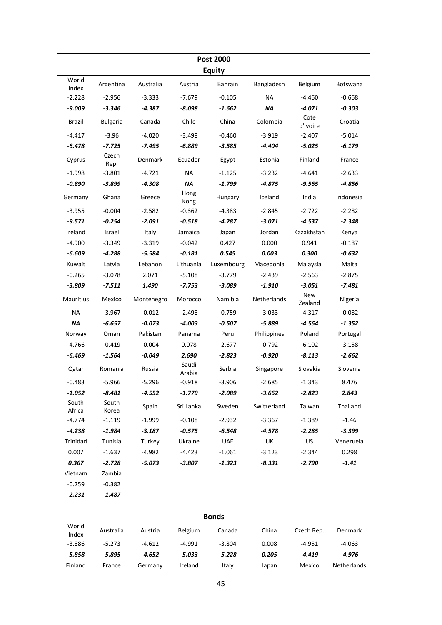| <b>Post 2000</b> |                 |            |                 |               |             |                  |                 |  |  |  |  |
|------------------|-----------------|------------|-----------------|---------------|-------------|------------------|-----------------|--|--|--|--|
|                  |                 |            |                 | <b>Equity</b> |             |                  |                 |  |  |  |  |
| World<br>Index   | Argentina       | Australia  | Austria         | Bahrain       | Bangladesh  | Belgium          | <b>Botswana</b> |  |  |  |  |
| $-2.228$         | $-2.956$        | $-3.333$   | $-7.679$        | $-0.105$      | <b>NA</b>   | $-4.460$         | $-0.668$        |  |  |  |  |
| $-9.009$         | $-3.346$        | $-4.387$   | $-8.098$        | -1.662        | ΝA          | -4.071           | $-0.303$        |  |  |  |  |
| Brazil           | <b>Bulgaria</b> | Canada     | Chile           | China         | Colombia    | Cote<br>d'Ivoire | Croatia         |  |  |  |  |
| $-4.417$         | $-3.96$         | $-4.020$   | $-3.498$        | $-0.460$      | $-3.919$    | $-2.407$         | $-5.014$        |  |  |  |  |
| $-6.478$         | -7.725          | $-7.495$   | $-6.889$        | $-3.585$      | -4.404      | $-5.025$         | $-6.179$        |  |  |  |  |
| Cyprus           | Czech<br>Rep.   | Denmark    | Ecuador         | Egypt         | Estonia     | Finland          | France          |  |  |  |  |
| $-1.998$         | $-3.801$        | $-4.721$   | <b>NA</b>       | $-1.125$      | $-3.232$    | $-4.641$         | $-2.633$        |  |  |  |  |
| $-0.890$         | $-3.899$        | $-4.308$   | <b>NA</b>       | -1.799        | -4.875      | $-9.565$         | -4.856          |  |  |  |  |
| Germany          | Ghana           | Greece     | Hong<br>Kong    | Hungary       | Iceland     | India            | Indonesia       |  |  |  |  |
| $-3.955$         | $-0.004$        | $-2.582$   | $-0.362$        | -4.383        | $-2.845$    | $-2.722$         | $-2.282$        |  |  |  |  |
| $-9.571$         | $-0.254$        | -2.091     | $-0.518$        | -4.287        | $-3.071$    | -4.537           | $-2.348$        |  |  |  |  |
| Ireland          | Israel          | Italy      | Jamaica         | Japan         | Jordan      | Kazakhstan       | Kenya           |  |  |  |  |
| $-4.900$         | $-3.349$        | $-3.319$   | $-0.042$        | 0.427         | 0.000       | 0.941            | $-0.187$        |  |  |  |  |
| -6.609           | -4.288          | -5.584     | $-0.181$        | 0.545         | 0.003       | 0.300            | -0.632          |  |  |  |  |
| Kuwait           | Latvia          | Lebanon    | Lithuania       | Luxembourg    | Macedonia   | Malaysia         | Malta           |  |  |  |  |
| $-0.265$         | $-3.078$        | 2.071      | $-5.108$        | -3.779        | $-2.439$    | $-2.563$         | $-2.875$        |  |  |  |  |
| $-3.809$         | $-7.511$        | 1.490      | -7.753          | $-3.089$      | $-1.910$    | -3.051           | -7.481          |  |  |  |  |
| Mauritius        | Mexico          | Montenegro | Morocco         | Namibia       | Netherlands | New<br>Zealand   | Nigeria         |  |  |  |  |
| <b>NA</b>        | $-3.967$        | $-0.012$   | $-2.498$        | $-0.759$      | $-3.033$    | $-4.317$         | $-0.082$        |  |  |  |  |
| <b>NA</b>        | $-6.657$        | $-0.073$   | $-4.003$        | -0.507        | $-5.889$    | -4.564           | $-1.352$        |  |  |  |  |
| Norway           | Oman            | Pakistan   | Panama          | Peru          | Philippines | Poland           | Portugal        |  |  |  |  |
| $-4.766$         | $-0.419$        | $-0.004$   | 0.078           | $-2.677$      | $-0.792$    | $-6.102$         | $-3.158$        |  |  |  |  |
| -6.469           | -1.564          | -0.049     | 2.690           | -2.823        | -0.920      | -8.113           | $-2.662$        |  |  |  |  |
| Qatar            | Romania         | Russia     | Saudi<br>Arabia | Serbia        | Singapore   | Slovakia         | Slovenia        |  |  |  |  |
| -0.483           | $-5.966$        | $-5.296$   | $-0.918$        | -3.906        | $-2.685$    | $-1.343$         | 8.476           |  |  |  |  |
| $-1.052$         | $-8.481$        | -4.552     | $-1.779$        | $-2.089$      | $-3.662$    | $-2.823$         | 2.843           |  |  |  |  |
| South<br>Africa  | South<br>Korea  | Spain      | Sri Lanka       | Sweden        | Switzerland | Taiwan           | Thailand        |  |  |  |  |
| $-4.774$         | $-1.119$        | $-1.999$   | $-0.108$        | $-2.932$      | $-3.367$    | $-1.389$         | $-1.46$         |  |  |  |  |
| $-4.238$         | -1.984          | $-3.187$   | $-0.575$        | $-6.548$      | $-4.578$    | $-2.285$         | $-3.399$        |  |  |  |  |
| Trinidad         | Tunisia         | Turkey     | Ukraine         | UAE           | UK          | US               | Venezuela       |  |  |  |  |
| 0.007            | $-1.637$        | $-4.982$   | $-4.423$        | $-1.061$      | $-3.123$    | $-2.344$         | 0.298           |  |  |  |  |
| 0.367            | $-2.728$        | $-5.073$   | $-3.807$        | $-1.323$      | $-8.331$    | $-2.790$         | $-1.41$         |  |  |  |  |
| Vietnam          | Zambia          |            |                 |               |             |                  |                 |  |  |  |  |
| $-0.259$         | $-0.382$        |            |                 |               |             |                  |                 |  |  |  |  |
| $-2.231$         | $-1.487$        |            |                 |               |             |                  |                 |  |  |  |  |
|                  |                 |            |                 |               |             |                  |                 |  |  |  |  |
|                  |                 |            |                 | <b>Bonds</b>  |             |                  |                 |  |  |  |  |
| World<br>Index   | Australia       | Austria    | Belgium         | Canada        | China       | Czech Rep.       | Denmark         |  |  |  |  |
| $-3.886$         | $-5.273$        | $-4.612$   | $-4.991$        | $-3.804$      | 0.008       | $-4.951$         | $-4.063$        |  |  |  |  |
| $-5.858$         | $-5.895$        | $-4.652$   | $-5.033$        | $-5.228$      | 0.205       | $-4.419$         | $-4.976$        |  |  |  |  |
| Finland          | France          | Germany    | Ireland         | Italy         | Japan       | Mexico           | Netherlands     |  |  |  |  |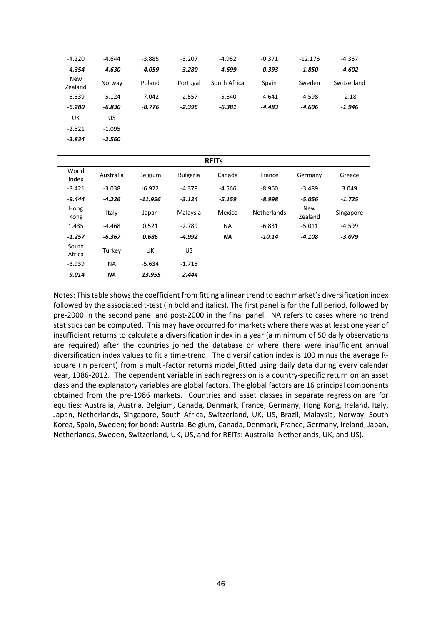| $-4.220$              | $-4.644$  | $-3.885$  | $-3.207$        | $-4.962$     | $-0.371$    | $-12.176$             | $-4.367$    |  |  |  |  |
|-----------------------|-----------|-----------|-----------------|--------------|-------------|-----------------------|-------------|--|--|--|--|
| $-4.354$              | $-4.630$  | $-4.059$  | $-3.280$        | $-4.699$     | $-0.393$    | $-1.850$              | $-4.602$    |  |  |  |  |
| <b>New</b><br>Zealand | Norway    | Poland    | Portugal        | South Africa | Spain       | Sweden                | Switzerland |  |  |  |  |
| $-5.539$              | $-5.124$  | $-7.042$  | $-2.557$        | $-5.640$     | $-4.641$    | $-4.598$              | $-2.18$     |  |  |  |  |
| $-6.280$              | $-6.830$  | $-8.776$  | $-2.396$        | $-6.381$     | $-4.483$    | $-4.606$              | $-1.946$    |  |  |  |  |
| <b>UK</b>             | US.       |           |                 |              |             |                       |             |  |  |  |  |
| $-2.521$              | $-1.095$  |           |                 |              |             |                       |             |  |  |  |  |
| $-3.834$              | $-2.560$  |           |                 |              |             |                       |             |  |  |  |  |
|                       |           |           |                 |              |             |                       |             |  |  |  |  |
| <b>REITs</b>          |           |           |                 |              |             |                       |             |  |  |  |  |
| World<br>Index        | Australia | Belgium   | <b>Bulgaria</b> | Canada       | France      | Germany               | Greece      |  |  |  |  |
| $-3.421$              | $-3.038$  | $-6.922$  | $-4.378$        | $-4.566$     | $-8.960$    | $-3.489$              | 3.049       |  |  |  |  |
| $-9.444$              | -4.226    | $-11.956$ | $-3.124$        | $-5.159$     | $-8.998$    | $-5.056$              | $-1.725$    |  |  |  |  |
| Hong<br>Kong          | Italy     | Japan     | Malaysia        | Mexico       | Netherlands | <b>New</b><br>Zealand | Singapore   |  |  |  |  |
| 1.435                 | $-4.468$  | 0.521     | $-2.789$        | <b>NA</b>    | $-6.831$    | $-5.011$              | $-4.599$    |  |  |  |  |
| $-1.257$              | $-6.367$  | 0.686     | $-4.992$        | <b>NA</b>    | $-10.14$    | $-4.108$              | $-3.079$    |  |  |  |  |
| South<br>Africa       | Turkey    | <b>UK</b> | <b>US</b>       |              |             |                       |             |  |  |  |  |
| $-3.939$              | <b>NA</b> | $-5.634$  | $-1.715$        |              |             |                       |             |  |  |  |  |
| $-9.014$              | <b>NA</b> | $-13.955$ | $-2.444$        |              |             |                       |             |  |  |  |  |

Notes: This table shows the coefficient from fitting a linear trend to each market's diversification index followed by the associated t-test (in bold and italics). The first panel is for the full period, followed by pre-2000 in the second panel and post-2000 in the final panel. NA refers to cases where no trend statistics can be computed. This may have occurred for markets where there was at least one year of insufficient returns to calculate a diversification index in a year (a minimum of 50 daily observations are required) after the countries joined the database or where there were insufficient annual diversification index values to fit a time-trend. The diversification index is 100 minus the average Rsquare (in percent) from a multi-factor returns model fitted using daily data during every calendar year, 1986-2012. The dependent variable in each regression is a country-specific return on an asset class and the explanatory variables are global factors. The global factors are 16 principal components obtained from the pre-1986 markets. Countries and asset classes in separate regression are for equities: Australia, Austria, Belgium, Canada, Denmark, France, Germany, Hong Kong, Ireland, Italy, Japan, Netherlands, Singapore, South Africa, Switzerland, UK, US, Brazil, Malaysia, Norway, South Korea, Spain, Sweden; for bond: Austria, Belgium, Canada, Denmark, France, Germany, Ireland, Japan, Netherlands, Sweden, Switzerland, UK, US, and for REITs: Australia, Netherlands, UK, and US).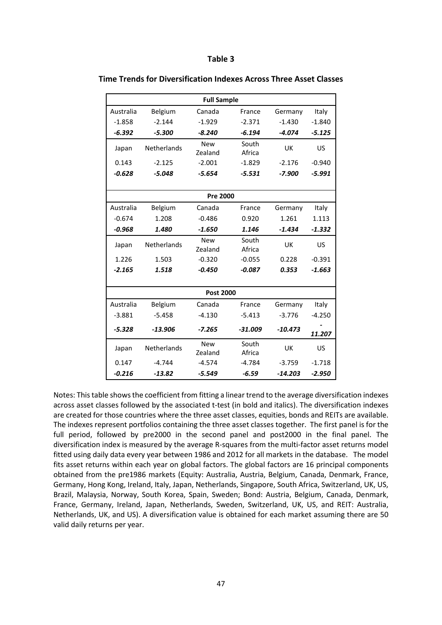### **Table 3**

|           | <b>Full Sample</b> |                       |                 |           |          |  |  |  |  |  |  |  |
|-----------|--------------------|-----------------------|-----------------|-----------|----------|--|--|--|--|--|--|--|
| Australia | Belgium            | Canada                | France          | Germany   | Italy    |  |  |  |  |  |  |  |
| $-1.858$  | $-2.144$           | $-1.929$              | $-2.371$        | $-1.430$  | $-1.840$ |  |  |  |  |  |  |  |
| $-6.392$  | $-5.300$           | $-8.240$              | $-6.194$        | $-4.074$  | $-5.125$ |  |  |  |  |  |  |  |
| Japan     | <b>Netherlands</b> | <b>New</b><br>Zealand | South<br>Africa | UK        | US       |  |  |  |  |  |  |  |
| 0.143     | $-2.125$           | $-2.001$              | $-1.829$        | $-2.176$  | $-0.940$ |  |  |  |  |  |  |  |
| $-0.628$  | $-5.048$           | $-5.654$              | $-5.531$        | $-7.900$  | $-5.991$ |  |  |  |  |  |  |  |
|           |                    |                       |                 |           |          |  |  |  |  |  |  |  |
|           |                    | Pre 2000              |                 |           |          |  |  |  |  |  |  |  |
| Australia | Belgium            | Canada                | France          | Germany   | Italy    |  |  |  |  |  |  |  |
| $-0.674$  | 1.208              | $-0.486$              | 0.920           | 1.261     | 1.113    |  |  |  |  |  |  |  |
| $-0.968$  | 1.480              | $-1.650$              | 1.146           | $-1.434$  | $-1.332$ |  |  |  |  |  |  |  |
| Japan     | <b>Netherlands</b> | <b>New</b><br>Zealand | South<br>Africa | UK        | US       |  |  |  |  |  |  |  |
| 1.226     | 1.503              | $-0.320$              | $-0.055$        | 0.228     | $-0.391$ |  |  |  |  |  |  |  |
| $-2.165$  | 1.518              | $-0.450$              | $-0.087$        | 0.353     | $-1.663$ |  |  |  |  |  |  |  |
|           |                    |                       |                 |           |          |  |  |  |  |  |  |  |
|           |                    | Post 2000             |                 |           |          |  |  |  |  |  |  |  |
| Australia | Belgium            | Canada                | France          | Germany   | Italy    |  |  |  |  |  |  |  |
| $-3.881$  | $-5.458$           | $-4.130$              | $-5.413$        | $-3.776$  | $-4.250$ |  |  |  |  |  |  |  |
| $-5.328$  | $-13.906$          | $-7.265$              | $-31.009$       | $-10.473$ | 11.207   |  |  |  |  |  |  |  |
| Japan     | <b>Netherlands</b> | <b>New</b><br>Zealand | South<br>Africa | UK        | US       |  |  |  |  |  |  |  |
| 0.147     | $-4.744$           | $-4.574$              | $-4.784$        | $-3.759$  | $-1.718$ |  |  |  |  |  |  |  |
| $-0.216$  | $-13.82$           | $-5.549$              | $-6.59$         | $-14.203$ | $-2.950$ |  |  |  |  |  |  |  |

**Time Trends for Diversification Indexes Across Three Asset Classes**

Notes: This table shows the coefficient from fitting a linear trend to the average diversification indexes across asset classes followed by the associated t-test (in bold and italics). The diversification indexes are created for those countries where the three asset classes, equities, bonds and REITs are available. The indexes represent portfolios containing the three asset classes together. The first panel is for the full period, followed by pre2000 in the second panel and post2000 in the final panel. The diversification index is measured by the average R-squares from the multi-factor asset returns model fitted using daily data every year between 1986 and 2012 for all markets in the database. The model fits asset returns within each year on global factors. The global factors are 16 principal components obtained from the pre1986 markets (Equity: Australia, Austria, Belgium, Canada, Denmark, France, Germany, Hong Kong, Ireland, Italy, Japan, Netherlands, Singapore, South Africa, Switzerland, UK, US, Brazil, Malaysia, Norway, South Korea, Spain, Sweden; Bond: Austria, Belgium, Canada, Denmark, France, Germany, Ireland, Japan, Netherlands, Sweden, Switzerland, UK, US, and REIT: Australia, Netherlands, UK, and US). A diversification value is obtained for each market assuming there are 50 valid daily returns per year.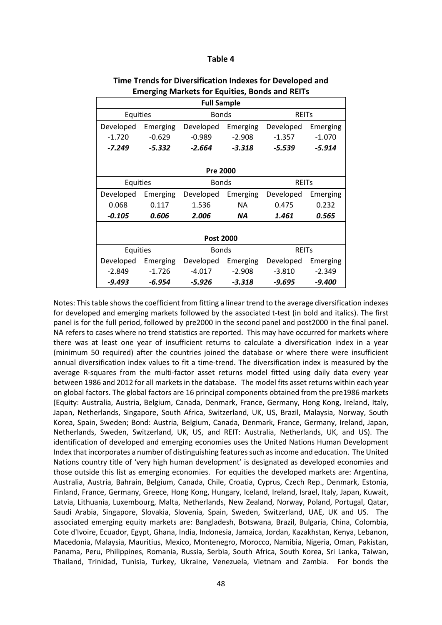#### **Table 4**

|                 | <b>Full Sample</b> |                       |           |              |          |  |  |  |  |  |  |
|-----------------|--------------------|-----------------------|-----------|--------------|----------|--|--|--|--|--|--|
| Equities        |                    | <b>Bonds</b>          |           | <b>REITS</b> |          |  |  |  |  |  |  |
| Developed       | Emerging           | Developed<br>Emerging |           | Developed    | Emerging |  |  |  |  |  |  |
| $-1.720$        | $-0.629$           | $-0.989$              | $-2.908$  | $-1.357$     | $-1.070$ |  |  |  |  |  |  |
| $-7.249$        | $-5.332$           | -2.664                | $-3.318$  | -5.539       | $-5.914$ |  |  |  |  |  |  |
|                 |                    |                       |           |              |          |  |  |  |  |  |  |
| <b>Pre 2000</b> |                    |                       |           |              |          |  |  |  |  |  |  |
| Equities        |                    | <b>Bonds</b>          |           | <b>REITS</b> |          |  |  |  |  |  |  |
| Developed       | Emerging           | Developed             | Emerging  | Developed    | Emerging |  |  |  |  |  |  |
| 0.068           | 0.117              | 1.536                 | <b>NA</b> | 0.475        | 0.232    |  |  |  |  |  |  |
| $-0.105$        | 0.606              | 2.006                 | <b>NA</b> | 1.461        | 0.565    |  |  |  |  |  |  |
|                 |                    |                       |           |              |          |  |  |  |  |  |  |
|                 |                    | <b>Post 2000</b>      |           |              |          |  |  |  |  |  |  |
| Equities        |                    | <b>Bonds</b>          |           | <b>REITS</b> |          |  |  |  |  |  |  |
| Developed       | Emerging           | Developed             | Emerging  | Developed    | Emerging |  |  |  |  |  |  |
| $-2.849$        | $-1.726$           | $-4.017$              | $-2.908$  | $-3.810$     | $-2.349$ |  |  |  |  |  |  |
| $-9.493$        | $-6.954$           | -5.926                | $-3.318$  | -9.695       | -9.400   |  |  |  |  |  |  |

## **Time Trends for Diversification Indexes for Developed and Emerging Markets for Equities, Bonds and REITs**

Notes: This table shows the coefficient from fitting a linear trend to the average diversification indexes for developed and emerging markets followed by the associated t-test (in bold and italics). The first panel is for the full period, followed by pre2000 in the second panel and post2000 in the final panel. NA refers to cases where no trend statistics are reported. This may have occurred for markets where there was at least one year of insufficient returns to calculate a diversification index in a year (minimum 50 required) after the countries joined the database or where there were insufficient annual diversification index values to fit a time-trend. The diversification index is measured by the average R-squares from the multi-factor asset returns model fitted using daily data every year between 1986 and 2012 for all markets in the database. The model fits asset returns within each year on global factors. The global factors are 16 principal components obtained from the pre1986 markets (Equity: Australia, Austria, Belgium, Canada, Denmark, France, Germany, Hong Kong, Ireland, Italy, Japan, Netherlands, Singapore, South Africa, Switzerland, UK, US, Brazil, Malaysia, Norway, South Korea, Spain, Sweden; Bond: Austria, Belgium, Canada, Denmark, France, Germany, Ireland, Japan, Netherlands, Sweden, Switzerland, UK, US, and REIT: Australia, Netherlands, UK, and US). The identification of developed and emerging economies uses the United Nations Human Development Index that incorporates a number of distinguishing features such as income and education. The United Nations country title of 'very high human development' is designated as developed economies and those outside this list as emerging economies. For equities the developed markets are: Argentina, Australia, Austria, Bahrain, Belgium, Canada, Chile, Croatia, Cyprus, Czech Rep., Denmark, Estonia, Finland, France, Germany, Greece, Hong Kong, Hungary, Iceland, Ireland, Israel, Italy, Japan, Kuwait, Latvia, Lithuania, Luxembourg, Malta, Netherlands, New Zealand, Norway, Poland, Portugal, Qatar, Saudi Arabia, Singapore, Slovakia, Slovenia, Spain, Sweden, Switzerland, UAE, UK and US. The associated emerging equity markets are: Bangladesh, Botswana, Brazil, Bulgaria, China, Colombia, Cote d'Ivoire, Ecuador, Egypt, Ghana, India, Indonesia, Jamaica, Jordan, Kazakhstan, Kenya, Lebanon, Macedonia, Malaysia, Mauritius, Mexico, Montenegro, Morocco, Namibia, Nigeria, Oman, Pakistan, Panama, Peru, Philippines, Romania, Russia, Serbia, South Africa, South Korea, Sri Lanka, Taiwan, Thailand, Trinidad, Tunisia, Turkey, Ukraine, Venezuela, Vietnam and Zambia. For bonds the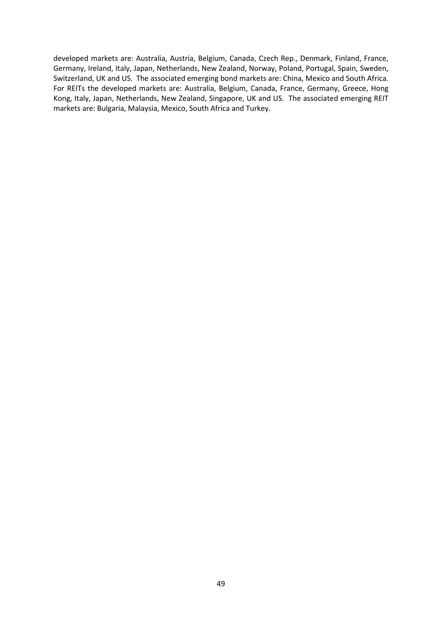developed markets are: Australia, Austria, Belgium, Canada, Czech Rep., Denmark, Finland, France, Germany, Ireland, Italy, Japan, Netherlands, New Zealand, Norway, Poland, Portugal, Spain, Sweden, Switzerland, UK and US. The associated emerging bond markets are: China, Mexico and South Africa. For REITs the developed markets are: Australia, Belgium, Canada, France, Germany, Greece, Hong Kong, Italy, Japan, Netherlands, New Zealand, Singapore, UK and US. The associated emerging REIT markets are: Bulgaria, Malaysia, Mexico, South Africa and Turkey.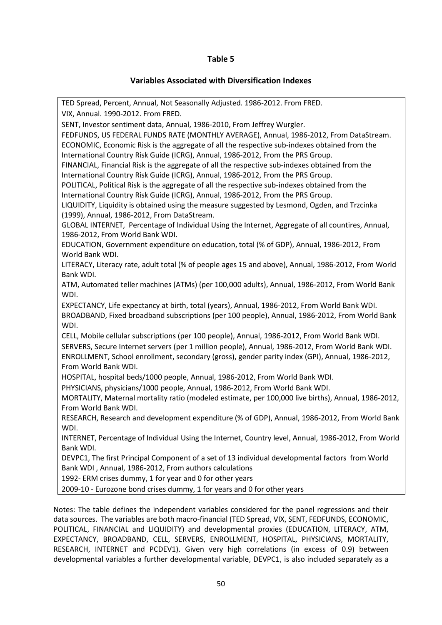# **Table 5**

## **Variables Associated with Diversification Indexes**

TED Spread, Percent, Annual, Not Seasonally Adjusted. 1986-2012. From FRED. VIX, Annual. 1990-2012. From FRED. SENT, Investor sentiment data, Annual, 1986-2010, From Jeffrey Wurgler. FEDFUNDS, US FEDERAL FUNDS RATE (MONTHLY AVERAGE), Annual, 1986-2012, From DataStream. ECONOMIC, Economic Risk is the aggregate of all the respective sub-indexes obtained from the International Country Risk Guide (ICRG), Annual, 1986-2012, From the PRS Group. FINANCIAL, Financial Risk is the aggregate of all the respective sub-indexes obtained from the International Country Risk Guide (ICRG), Annual, 1986-2012, From the PRS Group. POLITICAL, Political Risk is the aggregate of all the respective sub-indexes obtained from the International Country Risk Guide (ICRG), Annual, 1986-2012, From the PRS Group. LIQUIDITY, Liquidity is obtained using the measure suggested by Lesmond, Ogden, and Trzcinka (1999), Annual, 1986-2012, From DataStream. GLOBAL INTERNET, Percentage of Individual Using the Internet, Aggregate of all countires, Annual, 1986-2012, From World Bank WDI. EDUCATION, Government expenditure on education, total (% of GDP), Annual, 1986-2012, From World Bank WDI. LITERACY, Literacy rate, adult total (% of people ages 15 and above), Annual, 1986-2012, From World Bank WDI. ATM, Automated teller machines (ATMs) (per 100,000 adults), Annual, 1986-2012, From World Bank WDI. EXPECTANCY, Life expectancy at birth, total (years), Annual, 1986-2012, From World Bank WDI. BROADBAND, Fixed broadband subscriptions (per 100 people), Annual, 1986-2012, From World Bank WDI. CELL, Mobile cellular subscriptions (per 100 people), Annual, 1986-2012, From World Bank WDI. SERVERS, Secure Internet servers (per 1 million people), Annual, 1986-2012, From World Bank WDI. ENROLLMENT, School enrollment, secondary (gross), gender parity index (GPI), Annual, 1986-2012, From World Bank WDI. HOSPITAL, hospital beds/1000 people, Annual, 1986-2012, From World Bank WDI. PHYSICIANS, physicians/1000 people, Annual, 1986-2012, From World Bank WDI. MORTALITY, Maternal mortality ratio (modeled estimate, per 100,000 live births), Annual, 1986-2012, From World Bank WDI. RESEARCH, Research and development expenditure (% of GDP), Annual, 1986-2012, From World Bank WDI. INTERNET, Percentage of Individual Using the Internet, Country level, Annual, 1986-2012, From World Bank WDI. DEVPC1, The first Principal Component of a set of 13 individual developmental factors from World Bank WDI , Annual, 1986-2012, From authors calculations 1992- ERM crises dummy, 1 for year and 0 for other years 2009-10 - Eurozone bond crises dummy, 1 for years and 0 for other years

Notes: The table defines the independent variables considered for the panel regressions and their data sources. The variables are both macro-financial (TED Spread, VIX, SENT, FEDFUNDS, ECONOMIC, POLITICAL, FINANCIAL and LIQUIDITY) and developmental proxies (EDUCATION, LITERACY, ATM, EXPECTANCY, BROADBAND, CELL, SERVERS, ENROLLMENT, HOSPITAL, PHYSICIANS, MORTALITY, RESEARCH, INTERNET and PCDEV1). Given very high correlations (in excess of 0.9) between developmental variables a further developmental variable, DEVPC1, is also included separately as a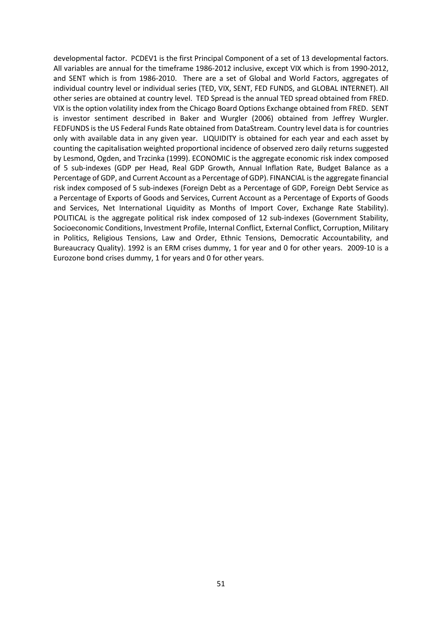developmental factor. PCDEV1 is the first Principal Component of a set of 13 developmental factors. All variables are annual for the timeframe 1986-2012 inclusive, except VIX which is from 1990-2012, and SENT which is from 1986-2010. There are a set of Global and World Factors, aggregates of individual country level or individual series (TED, VIX, SENT, FED FUNDS, and GLOBAL INTERNET). All other series are obtained at country level. TED Spread is the annual TED spread obtained from FRED. VIX is the option volatility index from the Chicago Board Options Exchange obtained from FRED. SENT is investor sentiment described in Baker and Wurgler (2006) obtained from Jeffrey Wurgler. FEDFUNDS is the US Federal Funds Rate obtained from DataStream. Country level data is for countries only with available data in any given year. LIQUIDITY is obtained for each year and each asset by counting the capitalisation weighted proportional incidence of observed zero daily returns suggested by Lesmond, Ogden, and Trzcinka (1999). ECONOMIC is the aggregate economic risk index composed of 5 sub-indexes (GDP per Head, Real GDP Growth, Annual Inflation Rate, Budget Balance as a Percentage of GDP, and Current Account as a Percentage of GDP). FINANCIAL is the aggregate financial risk index composed of 5 sub-indexes (Foreign Debt as a Percentage of GDP, Foreign Debt Service as a Percentage of Exports of Goods and Services, Current Account as a Percentage of Exports of Goods and Services, Net International Liquidity as Months of Import Cover, Exchange Rate Stability). POLITICAL is the aggregate political risk index composed of 12 sub-indexes (Government Stability, Socioeconomic Conditions, Investment Profile, Internal Conflict, External Conflict, Corruption, Military in Politics, Religious Tensions, Law and Order, Ethnic Tensions, Democratic Accountability, and Bureaucracy Quality). 1992 is an ERM crises dummy, 1 for year and 0 for other years. 2009-10 is a Eurozone bond crises dummy, 1 for years and 0 for other years.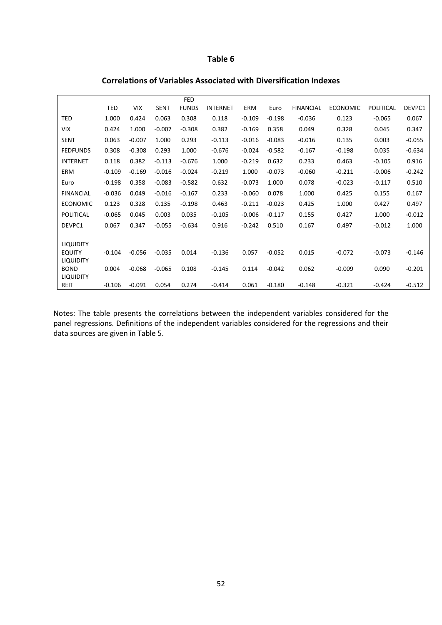## **Table 6**

|                  | TED      | VIX      | <b>SENT</b> | <b>FED</b><br><b>FUNDS</b> | <b>INTERNET</b> | ERM      | Euro     | <b>FINANCIAL</b> | <b>ECONOMIC</b> | POLITICAL | DEVPC1   |
|------------------|----------|----------|-------------|----------------------------|-----------------|----------|----------|------------------|-----------------|-----------|----------|
|                  |          |          |             |                            |                 |          |          |                  |                 |           |          |
| TED              | 1.000    | 0.424    | 0.063       | 0.308                      | 0.118           | $-0.109$ | $-0.198$ | $-0.036$         | 0.123           | $-0.065$  | 0.067    |
| VIX              | 0.424    | 1.000    | $-0.007$    | $-0.308$                   | 0.382           | $-0.169$ | 0.358    | 0.049            | 0.328           | 0.045     | 0.347    |
| SENT             | 0.063    | $-0.007$ | 1.000       | 0.293                      | $-0.113$        | $-0.016$ | $-0.083$ | $-0.016$         | 0.135           | 0.003     | $-0.055$ |
| <b>FEDFUNDS</b>  | 0.308    | $-0.308$ | 0.293       | 1.000                      | $-0.676$        | $-0.024$ | $-0.582$ | $-0.167$         | $-0.198$        | 0.035     | $-0.634$ |
| <b>INTERNET</b>  | 0.118    | 0.382    | $-0.113$    | $-0.676$                   | 1.000           | $-0.219$ | 0.632    | 0.233            | 0.463           | $-0.105$  | 0.916    |
| ERM              | $-0.109$ | $-0.169$ | $-0.016$    | $-0.024$                   | $-0.219$        | 1.000    | $-0.073$ | $-0.060$         | $-0.211$        | $-0.006$  | $-0.242$ |
| Euro             | $-0.198$ | 0.358    | $-0.083$    | $-0.582$                   | 0.632           | $-0.073$ | 1.000    | 0.078            | $-0.023$        | $-0.117$  | 0.510    |
| <b>FINANCIAL</b> | $-0.036$ | 0.049    | $-0.016$    | $-0.167$                   | 0.233           | $-0.060$ | 0.078    | 1.000            | 0.425           | 0.155     | 0.167    |
| <b>ECONOMIC</b>  | 0.123    | 0.328    | 0.135       | $-0.198$                   | 0.463           | $-0.211$ | $-0.023$ | 0.425            | 1.000           | 0.427     | 0.497    |
| POLITICAL        | $-0.065$ | 0.045    | 0.003       | 0.035                      | $-0.105$        | $-0.006$ | $-0.117$ | 0.155            | 0.427           | 1.000     | $-0.012$ |
| DEVPC1           | 0.067    | 0.347    | $-0.055$    | $-0.634$                   | 0.916           | $-0.242$ | 0.510    | 0.167            | 0.497           | $-0.012$  | 1.000    |
|                  |          |          |             |                            |                 |          |          |                  |                 |           |          |
| <b>LIQUIDITY</b> |          |          |             |                            |                 |          |          |                  |                 |           |          |
| <b>EQUITY</b>    | $-0.104$ | $-0.056$ | $-0.035$    | 0.014                      | $-0.136$        | 0.057    | $-0.052$ | 0.015            | $-0.072$        | $-0.073$  | $-0.146$ |
| <b>LIQUIDITY</b> |          |          |             |                            |                 |          |          |                  |                 |           |          |
| <b>BOND</b>      | 0.004    | $-0.068$ | $-0.065$    | 0.108                      | $-0.145$        | 0.114    | $-0.042$ | 0.062            | $-0.009$        | 0.090     | $-0.201$ |
| <b>LIQUIDITY</b> |          |          |             |                            |                 |          |          |                  |                 |           |          |
| REIT             | $-0.106$ | $-0.091$ | 0.054       | 0.274                      | $-0.414$        | 0.061    | $-0.180$ | $-0.148$         | $-0.321$        | $-0.424$  | $-0.512$ |

## **Correlations of Variables Associated with Diversification Indexes**

Notes: The table presents the correlations between the independent variables considered for the panel regressions. Definitions of the independent variables considered for the regressions and their data sources are given in Table 5.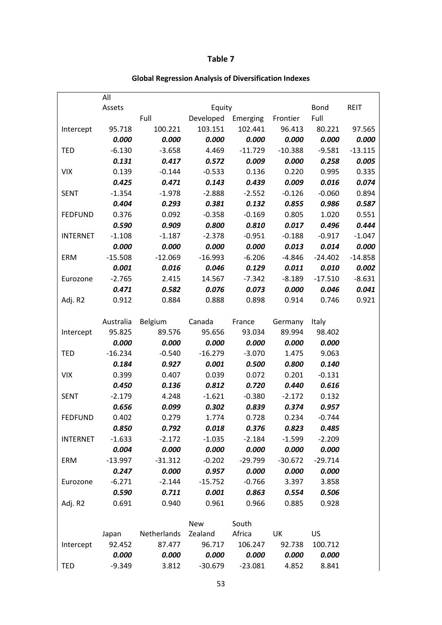# **Table 7**

|                 | All             |             |            |           |           |             |             |
|-----------------|-----------------|-------------|------------|-----------|-----------|-------------|-------------|
|                 | Assets          |             | Equity     |           |           | <b>Bond</b> | <b>REIT</b> |
|                 |                 | Full        | Developed  | Emerging  | Frontier  | Full        |             |
| Intercept       | 95.718          | 100.221     | 103.151    | 102.441   | 96.413    | 80.221      | 97.565      |
|                 | 0.000           | 0.000       | 0.000      | 0.000     | 0.000     | 0.000       | 0.000       |
| <b>TED</b>      | $-6.130$        | $-3.658$    | 4.469      | $-11.729$ | $-10.388$ | $-9.581$    | $-13.115$   |
|                 | 0.131           | 0.417       | 0.572      | 0.009     | 0.000     | 0.258       | 0.005       |
| <b>VIX</b>      | 0.139           | $-0.144$    | $-0.533$   | 0.136     | 0.220     | 0.995       | 0.335       |
|                 | 0.425           | 0.471       | 0.143      | 0.439     | 0.009     | 0.016       | 0.074       |
| <b>SENT</b>     | $-1.354$        | $-1.978$    | $-2.888$   | $-2.552$  | $-0.126$  | $-0.060$    | 0.894       |
|                 | 0.404           | 0.293       | 0.381      | 0.132     | 0.855     | 0.986       | 0.587       |
| <b>FEDFUND</b>  | 0.376           | 0.092       | $-0.358$   | $-0.169$  | 0.805     | 1.020       | 0.551       |
|                 | 0.590           | 0.909       | 0.800      | 0.810     | 0.017     | 0.496       | 0.444       |
| <b>INTERNET</b> | $-1.108$        | $-1.187$    | $-2.378$   | $-0.951$  | $-0.188$  | $-0.917$    | $-1.047$    |
|                 | 0.000           | 0.000       | 0.000      | 0.000     | 0.013     | 0.014       | 0.000       |
| <b>ERM</b>      | $-15.508$       | $-12.069$   | $-16.993$  | $-6.206$  | $-4.846$  | $-24.402$   | $-14.858$   |
|                 | 0.001           | 0.016       | 0.046      | 0.129     | 0.011     | 0.010       | 0.002       |
| Eurozone        | $-2.765$        | 2.415       | 14.567     | $-7.342$  | $-8.189$  | $-17.510$   | $-8.631$    |
|                 | 0.471           | 0.582       | 0.076      | 0.073     | 0.000     | 0.046       | 0.041       |
| Adj. R2         | 0.912           | 0.884       | 0.888      | 0.898     | 0.914     | 0.746       | 0.921       |
|                 |                 |             |            |           |           |             |             |
|                 | Australia       | Belgium     | Canada     | France    | Germany   | Italy       |             |
| Intercept       | 95.825          | 89.576      | 95.656     | 93.034    | 89.994    | 98.402      |             |
|                 | 0.000           | 0.000       | 0.000      | 0.000     | 0.000     | 0.000       |             |
| <b>TED</b>      | $-16.234$       | $-0.540$    | $-16.279$  | $-3.070$  | 1.475     | 9.063       |             |
|                 | 0.184           | 0.927       | 0.001      | 0.500     | 0.800     | 0.140       |             |
| <b>VIX</b>      | 0.399           | 0.407       | 0.039      | 0.072     | 0.201     | $-0.131$    |             |
|                 | 0.450           | 0.136       | 0.812      | 0.720     | 0.440     | 0.616       |             |
| <b>SENT</b>     | $-2.179$        | 4.248       | $-1.621$   | $-0.380$  | $-2.172$  | 0.132       |             |
|                 | 0.656           | 0.099       | 0.302      | 0.839     | 0.374     | 0.957       |             |
| <b>FEDFUND</b>  | 0.402           | 0.279       | 1.774      | 0.728     | 0.234     | $-0.744$    |             |
|                 | 0.850           | 0.792       | 0.018      | 0.376     | 0.823     | 0.485       |             |
| <b>INTERNET</b> | $-1.633$        | $-2.172$    | $-1.035$   | $-2.184$  | $-1.599$  | $-2.209$    |             |
|                 | 0.004           | 0.000       | 0.000      | 0.000     | 0.000     | 0.000       |             |
| ERM             | $-13.997$       | $-31.312$   | $-0.202$   | $-29.799$ | $-30.672$ | $-29.714$   |             |
|                 | 0.247           | 0.000       | 0.957      | 0.000     | 0.000     | 0.000       |             |
| Eurozone        | $-6.271$        | $-2.144$    | $-15.752$  | $-0.766$  | 3.397     | 3.858       |             |
|                 | 0.590           | 0.711       | 0.001      | 0.863     | 0.554     | 0.506       |             |
| Adj. R2         | 0.691           | 0.940       | 0.961      | 0.966     | 0.885     | 0.928       |             |
|                 |                 |             |            |           |           |             |             |
|                 |                 |             | <b>New</b> | South     |           |             |             |
|                 | Japan<br>92.452 | Netherlands | Zealand    | Africa    | UK        | US          |             |
| Intercept       |                 | 87.477      | 96.717     | 106.247   | 92.738    | 100.712     |             |
|                 | 0.000           | 0.000       | 0.000      | 0.000     | 0.000     | 0.000       |             |
| TED             | $-9.349$        | 3.812       | $-30.679$  | $-23.081$ | 4.852     | 8.841       |             |

# **Global Regression Analysis of Diversification Indexes**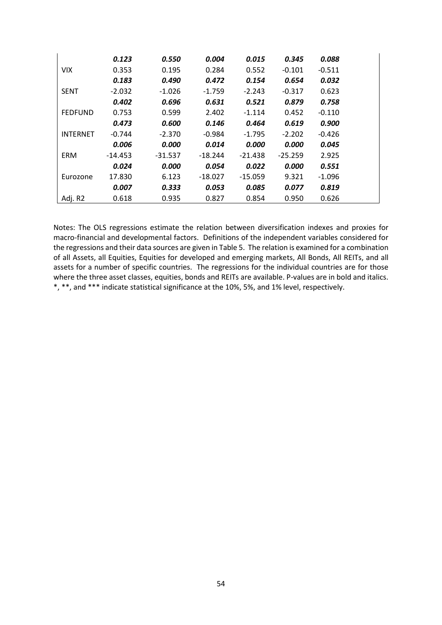|                 | 0.123     | 0.550     | 0.004     | 0.015     | 0.345     | 0.088    |  |
|-----------------|-----------|-----------|-----------|-----------|-----------|----------|--|
| <b>VIX</b>      | 0.353     | 0.195     | 0.284     | 0.552     | $-0.101$  | $-0.511$ |  |
|                 | 0.183     | 0.490     | 0.472     | 0.154     | 0.654     | 0.032    |  |
| <b>SENT</b>     | $-2.032$  | $-1.026$  | $-1.759$  | $-2.243$  | $-0.317$  | 0.623    |  |
|                 | 0.402     | 0.696     | 0.631     | 0.521     | 0.879     | 0.758    |  |
| <b>FEDFUND</b>  | 0.753     | 0.599     | 2.402     | $-1.114$  | 0.452     | $-0.110$ |  |
|                 | 0.473     | 0.600     | 0.146     | 0.464     | 0.619     | 0.900    |  |
| <b>INTERNET</b> | $-0.744$  | $-2.370$  | $-0.984$  | $-1.795$  | $-2.202$  | $-0.426$ |  |
|                 | 0.006     | 0.000     | 0.014     | 0.000     | 0.000     | 0.045    |  |
| <b>ERM</b>      | $-14.453$ | $-31.537$ | $-18.244$ | $-21.438$ | $-25.259$ | 2.925    |  |
|                 | 0.024     | 0.000     | 0.054     | 0.022     | 0.000     | 0.551    |  |
| Eurozone        | 17.830    | 6.123     | $-18.027$ | $-15.059$ | 9.321     | $-1.096$ |  |
|                 | 0.007     | 0.333     | 0.053     | 0.085     | 0.077     | 0.819    |  |
| Adj. R2         | 0.618     | 0.935     | 0.827     | 0.854     | 0.950     | 0.626    |  |

Notes: The OLS regressions estimate the relation between diversification indexes and proxies for macro-financial and developmental factors. Definitions of the independent variables considered for the regressions and their data sources are given in Table 5. The relation is examined for a combination of all Assets, all Equities, Equities for developed and emerging markets, All Bonds, All REITs, and all assets for a number of specific countries. The regressions for the individual countries are for those where the three asset classes, equities, bonds and REITs are available. P-values are in bold and italics. \*, \*\*, and \*\*\* indicate statistical significance at the 10%, 5%, and 1% level, respectively.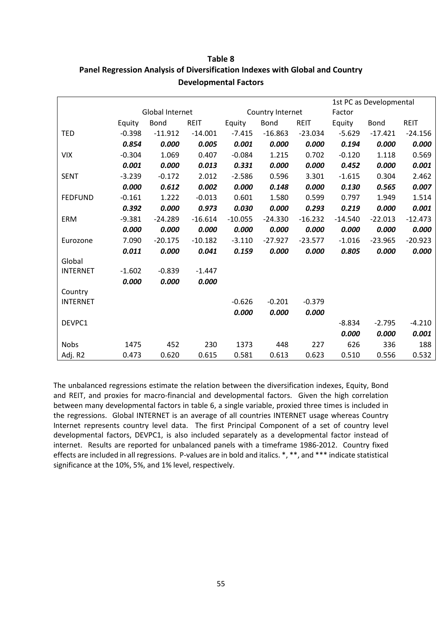|                 |          |                 |             |           |                  |           |           | 1st PC as Developmental |             |
|-----------------|----------|-----------------|-------------|-----------|------------------|-----------|-----------|-------------------------|-------------|
|                 |          | Global Internet |             |           | Country Internet |           | Factor    |                         |             |
|                 | Equity   | <b>Bond</b>     | <b>REIT</b> | Equity    | <b>Bond</b>      | REIT      | Equity    | Bond                    | <b>REIT</b> |
| <b>TED</b>      | $-0.398$ | $-11.912$       | $-14.001$   | $-7.415$  | $-16.863$        | $-23.034$ | $-5.629$  | $-17.421$               | $-24.156$   |
|                 | 0.854    | 0.000           | 0.005       | 0.001     | 0.000            | 0.000     | 0.194     | 0.000                   | 0.000       |
| <b>VIX</b>      | $-0.304$ | 1.069           | 0.407       | $-0.084$  | 1.215            | 0.702     | $-0.120$  | 1.118                   | 0.569       |
|                 | 0.001    | 0.000           | 0.013       | 0.331     | 0.000            | 0.000     | 0.452     | 0.000                   | 0.001       |
| <b>SENT</b>     | $-3.239$ | $-0.172$        | 2.012       | $-2.586$  | 0.596            | 3.301     | $-1.615$  | 0.304                   | 2.462       |
|                 | 0.000    | 0.612           | 0.002       | 0.000     | 0.148            | 0.000     | 0.130     | 0.565                   | 0.007       |
| <b>FEDFUND</b>  | $-0.161$ | 1.222           | $-0.013$    | 0.601     | 1.580            | 0.599     | 0.797     | 1.949                   | 1.514       |
|                 | 0.392    | 0.000           | 0.973       | 0.030     | 0.000            | 0.293     | 0.219     | 0.000                   | 0.001       |
| ERM             | $-9.381$ | $-24.289$       | $-16.614$   | $-10.055$ | $-24.330$        | $-16.232$ | $-14.540$ | $-22.013$               | $-12.473$   |
|                 | 0.000    | 0.000           | 0.000       | 0.000     | 0.000            | 0.000     | 0.000     | 0.000                   | 0.000       |
| Eurozone        | 7.090    | $-20.175$       | $-10.182$   | $-3.110$  | $-27.927$        | $-23.577$ | $-1.016$  | $-23.965$               | $-20.923$   |
|                 | 0.011    | 0.000           | 0.041       | 0.159     | 0.000            | 0.000     | 0.805     | 0.000                   | 0.000       |
| Global          |          |                 |             |           |                  |           |           |                         |             |
| <b>INTERNET</b> | $-1.602$ | $-0.839$        | $-1.447$    |           |                  |           |           |                         |             |
|                 | 0.000    | 0.000           | 0.000       |           |                  |           |           |                         |             |
| Country         |          |                 |             |           |                  |           |           |                         |             |
| <b>INTERNET</b> |          |                 |             | $-0.626$  | $-0.201$         | $-0.379$  |           |                         |             |
|                 |          |                 |             | 0.000     | 0.000            | 0.000     |           |                         |             |
| DEVPC1          |          |                 |             |           |                  |           | $-8.834$  | $-2.795$                | $-4.210$    |
|                 |          |                 |             |           |                  |           | 0.000     | 0.000                   | 0.001       |
| <b>Nobs</b>     | 1475     | 452             | 230         | 1373      | 448              | 227       | 626       | 336                     | 188         |
| Adj. R2         | 0.473    | 0.620           | 0.615       | 0.581     | 0.613            | 0.623     | 0.510     | 0.556                   | 0.532       |

| Table 8                                                                      |
|------------------------------------------------------------------------------|
| Panel Regression Analysis of Diversification Indexes with Global and Country |
| <b>Developmental Factors</b>                                                 |

The unbalanced regressions estimate the relation between the diversification indexes, Equity, Bond and REIT, and proxies for macro-financial and developmental factors. Given the high correlation between many developmental factors in table 6, a single variable, proxied three times is included in the regressions. Global INTERNET is an average of all countries INTERNET usage whereas Country Internet represents country level data. The first Principal Component of a set of country level developmental factors, DEVPC1, is also included separately as a developmental factor instead of internet. Results are reported for unbalanced panels with a timeframe 1986-2012. Country fixed effects are included in all regressions. P-values are in bold and italics. \*, \*\*, and \*\*\* indicate statistical significance at the 10%, 5%, and 1% level, respectively.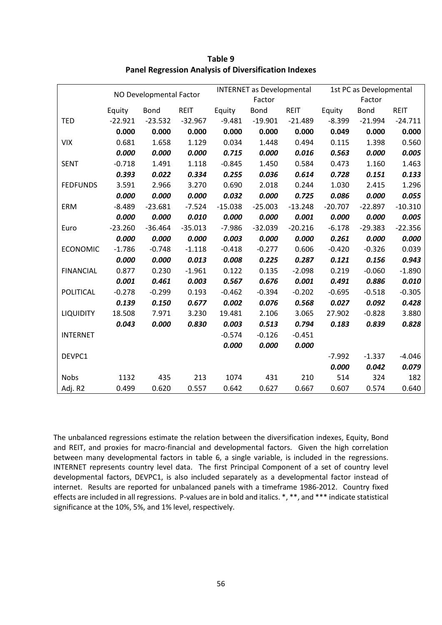|                  |           | NO Developmental Factor |             |           | <b>INTERNET as Developmental</b> |             |           | 1st PC as Developmental |             |  |  |
|------------------|-----------|-------------------------|-------------|-----------|----------------------------------|-------------|-----------|-------------------------|-------------|--|--|
|                  |           |                         |             | Factor    |                                  |             |           | Factor                  |             |  |  |
|                  | Equity    | <b>Bond</b>             | <b>REIT</b> | Equity    | <b>Bond</b>                      | <b>REIT</b> | Equity    | <b>Bond</b>             | <b>REIT</b> |  |  |
| <b>TED</b>       | $-22.921$ | $-23.532$               | $-32.967$   | $-9.481$  | $-19.901$                        | $-21.489$   | $-8.399$  | $-21.994$               | $-24.711$   |  |  |
|                  | 0.000     | 0.000                   | 0.000       | 0.000     | 0.000                            | 0.000       | 0.049     | 0.000                   | 0.000       |  |  |
| <b>VIX</b>       | 0.681     | 1.658                   | 1.129       | 0.034     | 1.448                            | 0.494       | 0.115     | 1.398                   | 0.560       |  |  |
|                  | 0.000     | 0.000                   | 0.000       | 0.715     | 0.000                            | 0.016       | 0.563     | 0.000                   | 0.005       |  |  |
| <b>SENT</b>      | $-0.718$  | 1.491                   | 1.118       | $-0.845$  | 1.450                            | 0.584       | 0.473     | 1.160                   | 1.463       |  |  |
|                  | 0.393     | 0.022                   | 0.334       | 0.255     | 0.036                            | 0.614       | 0.728     | 0.151                   | 0.133       |  |  |
| <b>FEDFUNDS</b>  | 3.591     | 2.966                   | 3.270       | 0.690     | 2.018                            | 0.244       | 1.030     | 2.415                   | 1.296       |  |  |
|                  | 0.000     | 0.000                   | 0.000       | 0.032     | 0.000                            | 0.725       | 0.086     | 0.000                   | 0.055       |  |  |
| ERM              | $-8.489$  | $-23.681$               | $-7.524$    | $-15.038$ | $-25.003$                        | $-13.248$   | $-20.707$ | $-22.897$               | $-10.310$   |  |  |
|                  | 0.000     | 0.000                   | 0.010       | 0.000     | 0.000                            | 0.001       | 0.000     | 0.000                   | 0.005       |  |  |
| Euro             | $-23.260$ | $-36.464$               | $-35.013$   | $-7.986$  | $-32.039$                        | $-20.216$   | $-6.178$  | $-29.383$               | $-22.356$   |  |  |
|                  | 0.000     | 0.000                   | 0.000       | 0.003     | 0.000                            | 0.000       | 0.261     | 0.000                   | 0.000       |  |  |
| <b>ECONOMIC</b>  | $-1.786$  | $-0.748$                | $-1.118$    | $-0.418$  | $-0.277$                         | 0.606       | $-0.420$  | $-0.326$                | 0.039       |  |  |
|                  | 0.000     | 0.000                   | 0.013       | 0.008     | 0.225                            | 0.287       | 0.121     | 0.156                   | 0.943       |  |  |
| <b>FINANCIAL</b> | 0.877     | 0.230                   | $-1.961$    | 0.122     | 0.135                            | $-2.098$    | 0.219     | $-0.060$                | $-1.890$    |  |  |
|                  | 0.001     | 0.461                   | 0.003       | 0.567     | 0.676                            | 0.001       | 0.491     | 0.886                   | 0.010       |  |  |
| POLITICAL        | $-0.278$  | $-0.299$                | 0.193       | $-0.462$  | $-0.394$                         | $-0.202$    | $-0.695$  | $-0.518$                | $-0.305$    |  |  |
|                  | 0.139     | 0.150                   | 0.677       | 0.002     | 0.076                            | 0.568       | 0.027     | 0.092                   | 0.428       |  |  |
| <b>LIQUIDITY</b> | 18.508    | 7.971                   | 3.230       | 19.481    | 2.106                            | 3.065       | 27.902    | $-0.828$                | 3.880       |  |  |
|                  | 0.043     | 0.000                   | 0.830       | 0.003     | 0.513                            | 0.794       | 0.183     | 0.839                   | 0.828       |  |  |
| <b>INTERNET</b>  |           |                         |             | $-0.574$  | $-0.126$                         | $-0.451$    |           |                         |             |  |  |
|                  |           |                         |             | 0.000     | 0.000                            | 0.000       |           |                         |             |  |  |
| DEVPC1           |           |                         |             |           |                                  |             | $-7.992$  | $-1.337$                | $-4.046$    |  |  |
|                  |           |                         |             |           |                                  |             | 0.000     | 0.042                   | 0.079       |  |  |
| <b>Nobs</b>      | 1132      | 435                     | 213         | 1074      | 431                              | 210         | 514       | 324                     | 182         |  |  |
| Adj. R2          | 0.499     | 0.620                   | 0.557       | 0.642     | 0.627                            | 0.667       | 0.607     | 0.574                   | 0.640       |  |  |

**Table 9 Panel Regression Analysis of Diversification Indexes**

The unbalanced regressions estimate the relation between the diversification indexes, Equity, Bond and REIT, and proxies for macro-financial and developmental factors. Given the high correlation between many developmental factors in table 6, a single variable, is included in the regressions. INTERNET represents country level data. The first Principal Component of a set of country level developmental factors, DEVPC1, is also included separately as a developmental factor instead of internet. Results are reported for unbalanced panels with a timeframe 1986-2012. Country fixed effects are included in all regressions. P-values are in bold and italics. \*, \*\*, and \*\*\* indicate statistical significance at the 10%, 5%, and 1% level, respectively.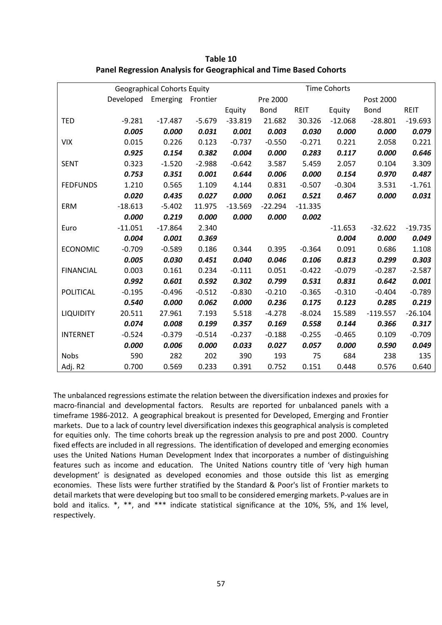|                  |           | <b>Geographical Cohorts Equity</b> |          |           | <b>Time Cohorts</b> |             |           |             |             |
|------------------|-----------|------------------------------------|----------|-----------|---------------------|-------------|-----------|-------------|-------------|
|                  | Developed | Emerging                           | Frontier |           | Pre 2000            |             |           | Post 2000   |             |
|                  |           |                                    |          | Equity    | <b>Bond</b>         | <b>REIT</b> | Equity    | <b>Bond</b> | <b>REIT</b> |
| <b>TED</b>       | $-9.281$  | $-17.487$                          | $-5.679$ | $-33.819$ | 21.682              | 30.326      | $-12.068$ | $-28.801$   | $-19.693$   |
|                  | 0.005     | 0.000                              | 0.031    | 0.001     | 0.003               | 0.030       | 0.000     | 0.000       | 0.079       |
| <b>VIX</b>       | 0.015     | 0.226                              | 0.123    | $-0.737$  | $-0.550$            | $-0.271$    | 0.221     | 2.058       | 0.221       |
|                  | 0.925     | 0.154                              | 0.382    | 0.004     | 0.000               | 0.283       | 0.117     | 0.000       | 0.646       |
| <b>SENT</b>      | 0.323     | $-1.520$                           | $-2.988$ | $-0.642$  | 3.587               | 5.459       | 2.057     | 0.104       | 3.309       |
|                  | 0.753     | 0.351                              | 0.001    | 0.644     | 0.006               | 0.000       | 0.154     | 0.970       | 0.487       |
| <b>FEDFUNDS</b>  | 1.210     | 0.565                              | 1.109    | 4.144     | 0.831               | $-0.507$    | $-0.304$  | 3.531       | $-1.761$    |
|                  | 0.020     | 0.435                              | 0.027    | 0.000     | 0.061               | 0.521       | 0.467     | 0.000       | 0.031       |
| ERM              | $-18.613$ | $-5.402$                           | 11.975   | $-13.569$ | $-22.294$           | $-11.335$   |           |             |             |
|                  | 0.000     | 0.219                              | 0.000    | 0.000     | 0.000               | 0.002       |           |             |             |
| Euro             | $-11.051$ | $-17.864$                          | 2.340    |           |                     |             | $-11.653$ | $-32.622$   | $-19.735$   |
|                  | 0.004     | 0.001                              | 0.369    |           |                     |             | 0.004     | 0.000       | 0.049       |
| <b>ECONOMIC</b>  | $-0.709$  | $-0.589$                           | 0.186    | 0.344     | 0.395               | $-0.364$    | 0.091     | 0.686       | 1.108       |
|                  | 0.005     | 0.030                              | 0.451    | 0.040     | 0.046               | 0.106       | 0.813     | 0.299       | 0.303       |
| <b>FINANCIAL</b> | 0.003     | 0.161                              | 0.234    | $-0.111$  | 0.051               | $-0.422$    | $-0.079$  | $-0.287$    | $-2.587$    |
|                  | 0.992     | 0.601                              | 0.592    | 0.302     | 0.799               | 0.531       | 0.831     | 0.642       | 0.001       |
| POLITICAL        | $-0.195$  | $-0.496$                           | $-0.512$ | $-0.830$  | $-0.210$            | $-0.365$    | $-0.310$  | $-0.404$    | $-0.789$    |
|                  | 0.540     | 0.000                              | 0.062    | 0.000     | 0.236               | 0.175       | 0.123     | 0.285       | 0.219       |
| <b>LIQUIDITY</b> | 20.511    | 27.961                             | 7.193    | 5.518     | $-4.278$            | $-8.024$    | 15.589    | $-119.557$  | $-26.104$   |
|                  | 0.074     | 0.008                              | 0.199    | 0.357     | 0.169               | 0.558       | 0.144     | 0.366       | 0.317       |
| <b>INTERNET</b>  | $-0.524$  | $-0.379$                           | $-0.514$ | $-0.237$  | $-0.188$            | $-0.255$    | $-0.465$  | 0.109       | $-0.709$    |
|                  | 0.000     | 0.006                              | 0.000    | 0.033     | 0.027               | 0.057       | 0.000     | 0.590       | 0.049       |
| <b>Nobs</b>      | 590       | 282                                | 202      | 390       | 193                 | 75          | 684       | 238         | 135         |
| Adj. R2          | 0.700     | 0.569                              | 0.233    | 0.391     | 0.752               | 0.151       | 0.448     | 0.576       | 0.640       |

**Table 10 Panel Regression Analysis for Geographical and Time Based Cohorts**

The unbalanced regressions estimate the relation between the diversification indexes and proxies for macro-financial and developmental factors. Results are reported for unbalanced panels with a timeframe 1986-2012. A geographical breakout is presented for Developed, Emerging and Frontier markets. Due to a lack of country level diversification indexes this geographical analysis is completed for equities only. The time cohorts break up the regression analysis to pre and post 2000. Country fixed effects are included in all regressions. The identification of developed and emerging economies uses the United Nations Human Development Index that incorporates a number of distinguishing features such as income and education. The United Nations country title of 'very high human development' is designated as developed economies and those outside this list as emerging economies. These lists were further stratified by the Standard & Poor's list of Frontier markets to detail markets that were developing but too small to be considered emerging markets. P-values are in bold and italics. \*, \*\*, and \*\*\* indicate statistical significance at the 10%, 5%, and 1% level, respectively.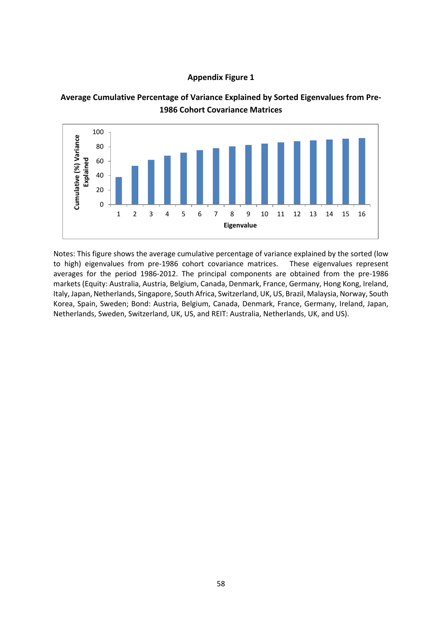

# **Average Cumulative Percentage of Variance Explained by Sorted Eigenvalues from Pre-1986 Cohort Covariance Matrices**

Notes: This figure shows the average cumulative percentage of variance explained by the sorted (low to high) eigenvalues from pre-1986 cohort covariance matrices. These eigenvalues represent averages for the period 1986-2012. The principal components are obtained from the pre-1986 markets (Equity: Australia, Austria, Belgium, Canada, Denmark, France, Germany, Hong Kong, Ireland, Italy, Japan, Netherlands, Singapore, South Africa, Switzerland, UK, US, Brazil, Malaysia, Norway, South Korea, Spain, Sweden; Bond: Austria, Belgium, Canada, Denmark, France, Germany, Ireland, Japan, Netherlands, Sweden, Switzerland, UK, US, and REIT: Australia, Netherlands, UK, and US).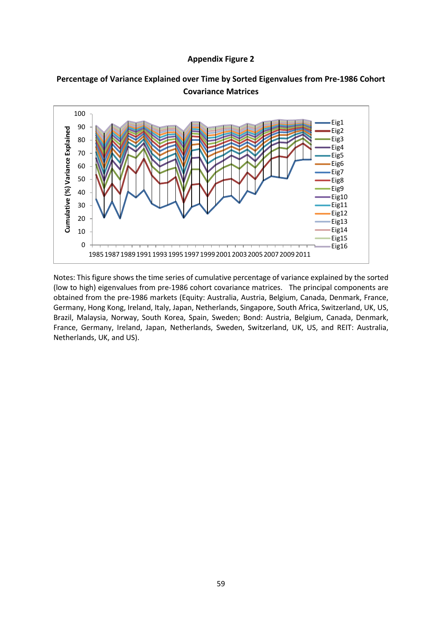

# **Percentage of Variance Explained over Time by Sorted Eigenvalues from Pre-1986 Cohort Covariance Matrices**

Notes: This figure shows the time series of cumulative percentage of variance explained by the sorted (low to high) eigenvalues from pre-1986 cohort covariance matrices. The principal components are obtained from the pre-1986 markets (Equity: Australia, Austria, Belgium, Canada, Denmark, France, Germany, Hong Kong, Ireland, Italy, Japan, Netherlands, Singapore, South Africa, Switzerland, UK, US, Brazil, Malaysia, Norway, South Korea, Spain, Sweden; Bond: Austria, Belgium, Canada, Denmark, France, Germany, Ireland, Japan, Netherlands, Sweden, Switzerland, UK, US, and REIT: Australia, Netherlands, UK, and US).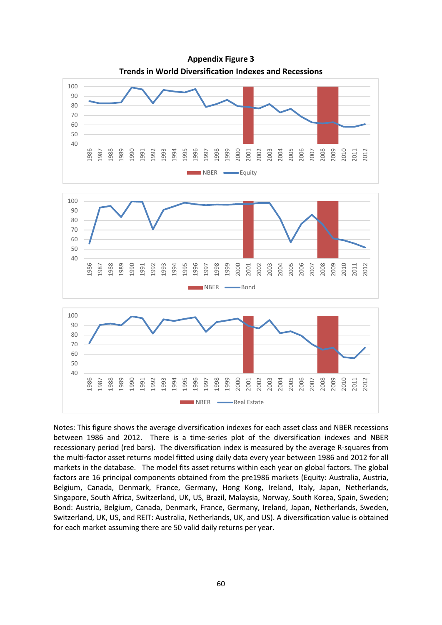

Notes: This figure shows the average diversification indexes for each asset class and NBER recessions between 1986 and 2012. There is a time-series plot of the diversification indexes and NBER recessionary period (red bars). The diversification index is measured by the average R-squares from the multi-factor asset returns model fitted using daily data every year between 1986 and 2012 for all markets in the database. The model fits asset returns within each year on global factors. The global factors are 16 principal components obtained from the pre1986 markets (Equity: Australia, Austria, Belgium, Canada, Denmark, France, Germany, Hong Kong, Ireland, Italy, Japan, Netherlands, Singapore, South Africa, Switzerland, UK, US, Brazil, Malaysia, Norway, South Korea, Spain, Sweden; Bond: Austria, Belgium, Canada, Denmark, France, Germany, Ireland, Japan, Netherlands, Sweden, Switzerland, UK, US, and REIT: Australia, Netherlands, UK, and US). A diversification value is obtained for each market assuming there are 50 valid daily returns per year.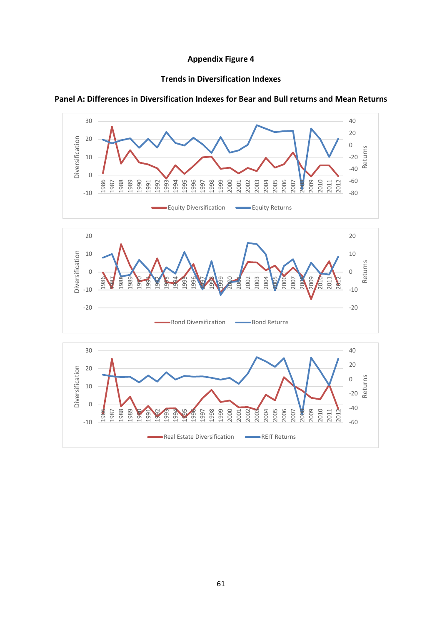## **Trends in Diversification Indexes**



**Panel A: Differences in Diversification Indexes for Bear and Bull returns and Mean Returns**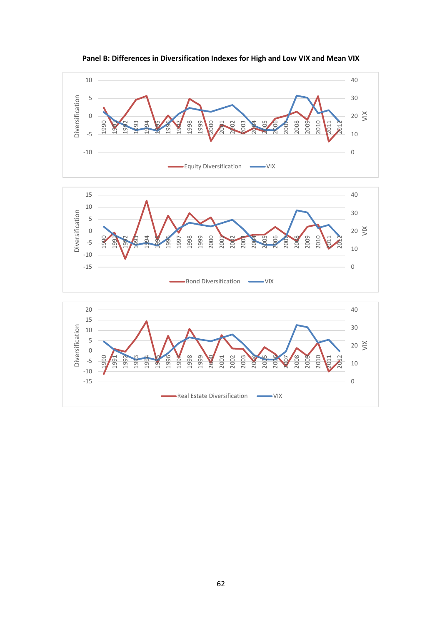

**Panel B: Differences in Diversification Indexes for High and Low VIX and Mean VIX**

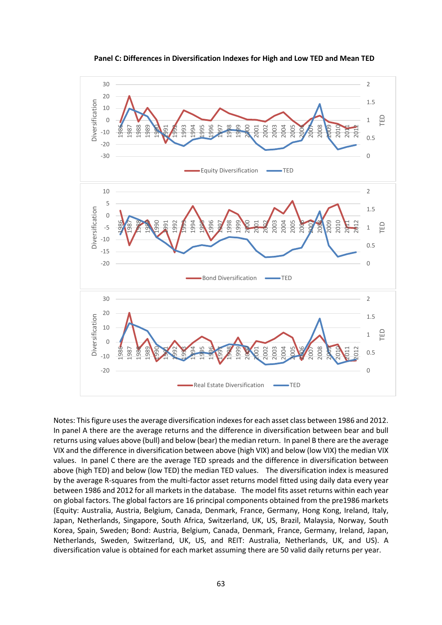

**Panel C: Differences in Diversification Indexes for High and Low TED and Mean TED**

Notes: This figure uses the average diversification indexes for each asset class between 1986 and 2012. In panel A there are the average returns and the difference in diversification between bear and bull returns using values above (bull) and below (bear) the median return. In panel B there are the average VIX and the difference in diversification between above (high VIX) and below (low VIX) the median VIX values. In panel C there are the average TED spreads and the difference in diversification between above (high TED) and below (low TED) the median TED values. The diversification index is measured by the average R-squares from the multi-factor asset returns model fitted using daily data every year between 1986 and 2012 for all markets in the database. The model fits asset returns within each year on global factors. The global factors are 16 principal components obtained from the pre1986 markets (Equity: Australia, Austria, Belgium, Canada, Denmark, France, Germany, Hong Kong, Ireland, Italy, Japan, Netherlands, Singapore, South Africa, Switzerland, UK, US, Brazil, Malaysia, Norway, South Korea, Spain, Sweden; Bond: Austria, Belgium, Canada, Denmark, France, Germany, Ireland, Japan, Netherlands, Sweden, Switzerland, UK, US, and REIT: Australia, Netherlands, UK, and US). A diversification value is obtained for each market assuming there are 50 valid daily returns per year.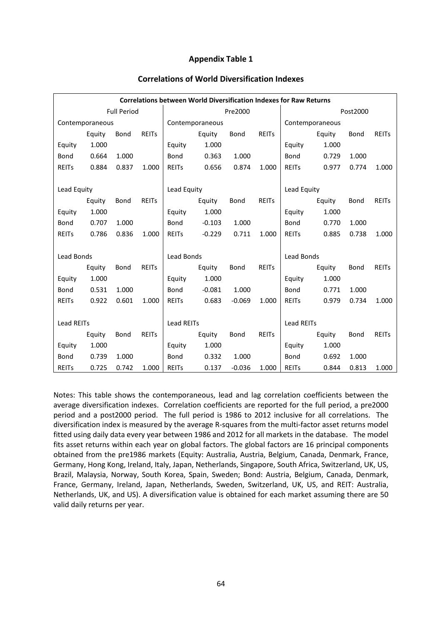|              | <b>Correlations between World Diversification Indexes for Raw Returns</b> |                    |              |              |                 |          |              |              |                 |       |              |  |
|--------------|---------------------------------------------------------------------------|--------------------|--------------|--------------|-----------------|----------|--------------|--------------|-----------------|-------|--------------|--|
|              |                                                                           | <b>Full Period</b> |              |              |                 | Pre2000  |              |              | Post2000        |       |              |  |
|              | Contemporaneous                                                           |                    |              |              | Contemporaneous |          |              |              | Contemporaneous |       |              |  |
|              | Equity                                                                    | Bond               | <b>REITS</b> |              | Equity          | Bond     | <b>REITS</b> |              | Equity          | Bond  | <b>REITS</b> |  |
| Equity       | 1.000                                                                     |                    |              | Equity       | 1.000           |          |              | Equity       | 1.000           |       |              |  |
| Bond         | 0.664                                                                     | 1.000              |              | Bond         | 0.363           | 1.000    |              | Bond         | 0.729           | 1.000 |              |  |
| <b>REITS</b> | 0.884                                                                     | 0.837              | 1.000        | <b>REITS</b> | 0.656           | 0.874    | 1.000        | REITS        | 0.977           | 0.774 | 1.000        |  |
|              |                                                                           |                    |              |              |                 |          |              |              |                 |       |              |  |
| Lead Equity  |                                                                           |                    |              | Lead Equity  |                 |          | Lead Equity  |              |                 |       |              |  |
|              | Equity                                                                    | Bond               | <b>REITS</b> |              | Equity          | Bond     | <b>REITS</b> |              | Equity          | Bond  | <b>REITS</b> |  |
| Equity       | 1.000                                                                     |                    |              | Equity       | 1.000           |          |              | Equity       | 1.000           |       |              |  |
| Bond         | 0.707                                                                     | 1.000              |              | Bond         | $-0.103$        | 1.000    |              | Bond         | 0.770           | 1.000 |              |  |
| <b>REITS</b> | 0.786                                                                     | 0.836              | 1.000        | <b>REITS</b> | $-0.229$        | 0.711    | 1.000        | <b>REITS</b> | 0.885           | 0.738 | 1.000        |  |
|              |                                                                           |                    |              |              |                 |          |              |              |                 |       |              |  |
| Lead Bonds   |                                                                           |                    |              | Lead Bonds   |                 |          |              | Lead Bonds   |                 |       |              |  |
|              | Equity                                                                    | Bond               | <b>REITS</b> |              | Equity          | Bond     | <b>REITS</b> |              | Equity          | Bond  | <b>REITS</b> |  |
| Equity       | 1.000                                                                     |                    |              | Equity       | 1.000           |          |              | Equity       | 1.000           |       |              |  |
| Bond         | 0.531                                                                     | 1.000              |              | Bond         | $-0.081$        | 1.000    |              | Bond         | 0.771           | 1.000 |              |  |
| <b>REITS</b> | 0.922                                                                     | 0.601              | 1.000        | <b>REITS</b> | 0.683           | $-0.069$ | 1.000        | <b>REITS</b> | 0.979           | 0.734 | 1.000        |  |
|              |                                                                           |                    |              |              |                 |          |              |              |                 |       |              |  |
| Lead REITs   |                                                                           |                    |              | Lead REITs   |                 |          |              | Lead REITs   |                 |       |              |  |
|              | Equity                                                                    | Bond               | <b>REITS</b> |              | Equity          | Bond     | <b>REITS</b> |              | Equity          | Bond  | <b>REITS</b> |  |
| Equity       | 1.000                                                                     |                    |              | Equity       | 1.000           |          |              | Equity       | 1.000           |       |              |  |
| Bond         | 0.739                                                                     | 1.000              |              | Bond         | 0.332           | 1.000    |              | Bond         | 0.692           | 1.000 |              |  |
| <b>REITS</b> | 0.725                                                                     | 0.742              | 1.000        | <b>REITS</b> | 0.137           | $-0.036$ | 1.000        | <b>REITS</b> | 0.844           | 0.813 | 1.000        |  |

### **Correlations of World Diversification Indexes**

Notes: This table shows the contemporaneous, lead and lag correlation coefficients between the average diversification indexes. Correlation coefficients are reported for the full period, a pre2000 period and a post2000 period. The full period is 1986 to 2012 inclusive for all correlations. The diversification index is measured by the average R-squares from the multi-factor asset returns model fitted using daily data every year between 1986 and 2012 for all markets in the database. The model fits asset returns within each year on global factors. The global factors are 16 principal components obtained from the pre1986 markets (Equity: Australia, Austria, Belgium, Canada, Denmark, France, Germany, Hong Kong, Ireland, Italy, Japan, Netherlands, Singapore, South Africa, Switzerland, UK, US, Brazil, Malaysia, Norway, South Korea, Spain, Sweden; Bond: Austria, Belgium, Canada, Denmark, France, Germany, Ireland, Japan, Netherlands, Sweden, Switzerland, UK, US, and REIT: Australia, Netherlands, UK, and US). A diversification value is obtained for each market assuming there are 50 valid daily returns per year.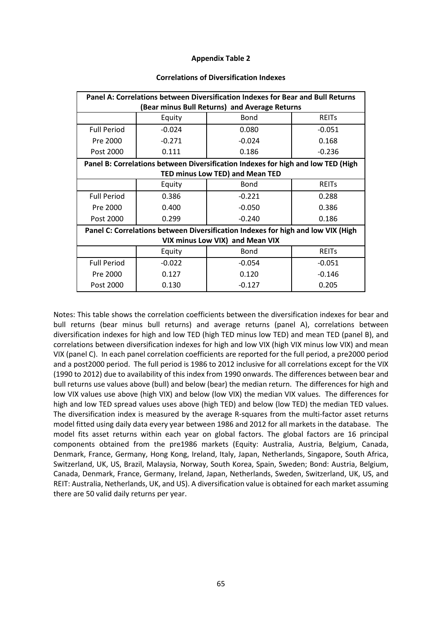| Panel A: Correlations between Diversification Indexes for Bear and Bull Returns  |                                        |                                                                                  |              |  |  |  |  |  |  |  |
|----------------------------------------------------------------------------------|----------------------------------------|----------------------------------------------------------------------------------|--------------|--|--|--|--|--|--|--|
|                                                                                  |                                        | (Bear minus Bull Returns) and Average Returns                                    |              |  |  |  |  |  |  |  |
|                                                                                  | Equity                                 | <b>Bond</b>                                                                      | <b>REITS</b> |  |  |  |  |  |  |  |
| <b>Full Period</b>                                                               | $-0.024$                               | 0.080                                                                            | $-0.051$     |  |  |  |  |  |  |  |
| Pre 2000                                                                         | $-0.271$                               | $-0.024$                                                                         | 0.168        |  |  |  |  |  |  |  |
| Post 2000                                                                        | 0.111                                  | 0.186                                                                            | $-0.236$     |  |  |  |  |  |  |  |
| Panel B: Correlations between Diversification Indexes for high and low TED (High |                                        |                                                                                  |              |  |  |  |  |  |  |  |
|                                                                                  | <b>TED minus Low TED) and Mean TED</b> |                                                                                  |              |  |  |  |  |  |  |  |
|                                                                                  | Equity                                 | <b>Bond</b>                                                                      | <b>REITS</b> |  |  |  |  |  |  |  |
| <b>Full Period</b>                                                               | 0.386                                  | $-0.221$                                                                         | 0.288        |  |  |  |  |  |  |  |
| Pre 2000                                                                         | 0.400                                  | $-0.050$                                                                         | 0.386        |  |  |  |  |  |  |  |
| Post 2000                                                                        | 0.299                                  | $-0.240$                                                                         | 0.186        |  |  |  |  |  |  |  |
|                                                                                  |                                        | Panel C: Correlations between Diversification Indexes for high and low VIX (High |              |  |  |  |  |  |  |  |
|                                                                                  |                                        | VIX minus Low VIX) and Mean VIX                                                  |              |  |  |  |  |  |  |  |
|                                                                                  | Equity                                 | <b>Bond</b>                                                                      | <b>REITS</b> |  |  |  |  |  |  |  |
| <b>Full Period</b>                                                               | $-0.022$                               | $-0.054$                                                                         | $-0.051$     |  |  |  |  |  |  |  |
| Pre 2000                                                                         | 0.127                                  | 0.120                                                                            | $-0.146$     |  |  |  |  |  |  |  |
| Post 2000                                                                        | 0.130                                  | $-0.127$                                                                         | 0.205        |  |  |  |  |  |  |  |

#### **Correlations of Diversification Indexes**

Notes: This table shows the correlation coefficients between the diversification indexes for bear and bull returns (bear minus bull returns) and average returns (panel A), correlations between diversification indexes for high and low TED (high TED minus low TED) and mean TED (panel B), and correlations between diversification indexes for high and low VIX (high VIX minus low VIX) and mean VIX (panel C). In each panel correlation coefficients are reported for the full period, a pre2000 period and a post2000 period. The full period is 1986 to 2012 inclusive for all correlations except for the VIX (1990 to 2012) due to availability of this index from 1990 onwards. The differences between bear and bull returns use values above (bull) and below (bear) the median return. The differences for high and low VIX values use above (high VIX) and below (low VIX) the median VIX values. The differences for high and low TED spread values uses above (high TED) and below (low TED) the median TED values. The diversification index is measured by the average R-squares from the multi-factor asset returns model fitted using daily data every year between 1986 and 2012 for all markets in the database. The model fits asset returns within each year on global factors. The global factors are 16 principal components obtained from the pre1986 markets (Equity: Australia, Austria, Belgium, Canada, Denmark, France, Germany, Hong Kong, Ireland, Italy, Japan, Netherlands, Singapore, South Africa, Switzerland, UK, US, Brazil, Malaysia, Norway, South Korea, Spain, Sweden; Bond: Austria, Belgium, Canada, Denmark, France, Germany, Ireland, Japan, Netherlands, Sweden, Switzerland, UK, US, and REIT: Australia, Netherlands, UK, and US). A diversification value is obtained for each market assuming there are 50 valid daily returns per year.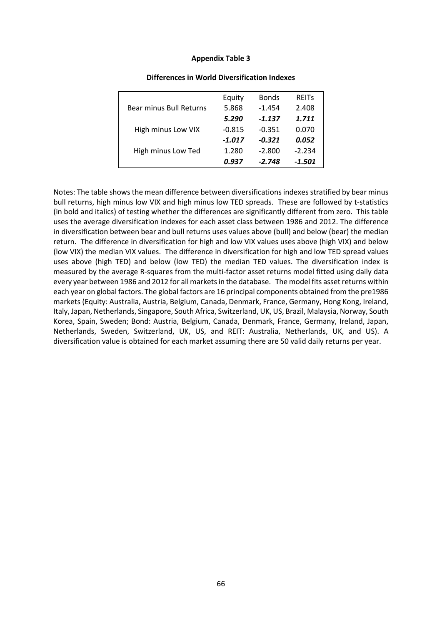|                         | Equity   | <b>Bonds</b> | <b>REITS</b> |
|-------------------------|----------|--------------|--------------|
| Bear minus Bull Returns | 5.868    | $-1.454$     | 2.408        |
|                         | 5.290    | $-1.137$     | 1.711        |
| High minus Low VIX      | $-0.815$ | $-0.351$     | 0.070        |
|                         | $-1.017$ | $-0.321$     | 0.052        |
| High minus Low Ted      | 1.280    | $-2.800$     | $-2.234$     |
|                         | 0.937    | -2.748       | -1.501       |

### **Differences in World Diversification Indexes**

Notes: The table shows the mean difference between diversifications indexes stratified by bear minus bull returns, high minus low VIX and high minus low TED spreads. These are followed by t-statistics (in bold and italics) of testing whether the differences are significantly different from zero. This table uses the average diversification indexes for each asset class between 1986 and 2012. The difference in diversification between bear and bull returns uses values above (bull) and below (bear) the median return. The difference in diversification for high and low VIX values uses above (high VIX) and below (low VIX) the median VIX values. The difference in diversification for high and low TED spread values uses above (high TED) and below (low TED) the median TED values. The diversification index is measured by the average R-squares from the multi-factor asset returns model fitted using daily data every year between 1986 and 2012 for all markets in the database. The model fits asset returns within each year on global factors. The global factors are 16 principal components obtained from the pre1986 markets (Equity: Australia, Austria, Belgium, Canada, Denmark, France, Germany, Hong Kong, Ireland, Italy, Japan, Netherlands, Singapore, South Africa, Switzerland, UK, US, Brazil, Malaysia, Norway, South Korea, Spain, Sweden; Bond: Austria, Belgium, Canada, Denmark, France, Germany, Ireland, Japan, Netherlands, Sweden, Switzerland, UK, US, and REIT: Australia, Netherlands, UK, and US). A diversification value is obtained for each market assuming there are 50 valid daily returns per year.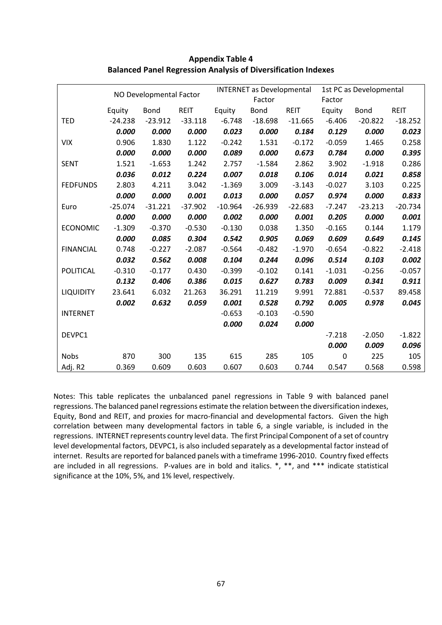|                  | NO Developmental Factor |             |             |           | <b>INTERNET as Developmental</b> |             |          | 1st PC as Developmental |             |  |  |
|------------------|-------------------------|-------------|-------------|-----------|----------------------------------|-------------|----------|-------------------------|-------------|--|--|
|                  |                         |             |             |           | Factor                           |             | Factor   |                         |             |  |  |
|                  | Equity                  | <b>Bond</b> | <b>REIT</b> | Equity    | <b>Bond</b>                      | <b>REIT</b> | Equity   | <b>Bond</b>             | <b>REIT</b> |  |  |
| <b>TED</b>       | $-24.238$               | $-23.912$   | $-33.118$   | $-6.748$  | $-18.698$                        | $-11.665$   | $-6.406$ | $-20.822$               | $-18.252$   |  |  |
|                  | 0.000                   | 0.000       | 0.000       | 0.023     | 0.000                            | 0.184       | 0.129    | 0.000                   | 0.023       |  |  |
| <b>VIX</b>       | 0.906                   | 1.830       | 1.122       | $-0.242$  | 1.531                            | $-0.172$    | $-0.059$ | 1.465                   | 0.258       |  |  |
|                  | 0.000                   | 0.000       | 0.000       | 0.089     | 0.000                            | 0.673       | 0.784    | 0.000                   | 0.395       |  |  |
| <b>SENT</b>      | 1.521                   | $-1.653$    | 1.242       | 2.757     | $-1.584$                         | 2.862       | 3.902    | $-1.918$                | 0.286       |  |  |
|                  | 0.036                   | 0.012       | 0.224       | 0.007     | 0.018                            | 0.106       | 0.014    | 0.021                   | 0.858       |  |  |
| <b>FEDFUNDS</b>  | 2.803                   | 4.211       | 3.042       | $-1.369$  | 3.009                            | $-3.143$    | $-0.027$ | 3.103                   | 0.225       |  |  |
|                  | 0.000                   | 0.000       | 0.001       | 0.013     | 0.000                            | 0.057       | 0.974    | 0.000                   | 0.833       |  |  |
| Euro             | $-25.074$               | $-31.221$   | $-37.902$   | $-10.964$ | $-26.939$                        | $-22.683$   | $-7.247$ | $-23.213$               | $-20.734$   |  |  |
|                  | 0.000                   | 0.000       | 0.000       | 0.002     | 0.000                            | 0.001       | 0.205    | 0.000                   | 0.001       |  |  |
| <b>ECONOMIC</b>  | $-1.309$                | $-0.370$    | $-0.530$    | $-0.130$  | 0.038                            | 1.350       | $-0.165$ | 0.144                   | 1.179       |  |  |
|                  | 0.000                   | 0.085       | 0.304       | 0.542     | 0.905                            | 0.069       | 0.609    | 0.649                   | 0.145       |  |  |
| <b>FINANCIAL</b> | 0.748                   | $-0.227$    | $-2.087$    | $-0.564$  | $-0.482$                         | $-1.970$    | $-0.654$ | $-0.822$                | $-2.418$    |  |  |
|                  | 0.032                   | 0.562       | 0.008       | 0.104     | 0.244                            | 0.096       | 0.514    | 0.103                   | 0.002       |  |  |
| <b>POLITICAL</b> | $-0.310$                | $-0.177$    | 0.430       | $-0.399$  | $-0.102$                         | 0.141       | $-1.031$ | $-0.256$                | $-0.057$    |  |  |
|                  | 0.132                   | 0.406       | 0.386       | 0.015     | 0.627                            | 0.783       | 0.009    | 0.341                   | 0.911       |  |  |
| <b>LIQUIDITY</b> | 23.641                  | 6.032       | 21.263      | 36.291    | 11.219                           | 9.991       | 72.881   | $-0.537$                | 89.458      |  |  |
|                  | 0.002                   | 0.632       | 0.059       | 0.001     | 0.528                            | 0.792       | 0.005    | 0.978                   | 0.045       |  |  |
| <b>INTERNET</b>  |                         |             |             | $-0.653$  | $-0.103$                         | $-0.590$    |          |                         |             |  |  |
|                  |                         |             |             | 0.000     | 0.024                            | 0.000       |          |                         |             |  |  |
| DEVPC1           |                         |             |             |           |                                  |             | $-7.218$ | $-2.050$                | $-1.822$    |  |  |
|                  |                         |             |             |           |                                  |             | 0.000    | 0.009                   | 0.096       |  |  |
| <b>Nobs</b>      | 870                     | 300         | 135         | 615       | 285                              | 105         | 0        | 225                     | 105         |  |  |
| Adj. R2          | 0.369                   | 0.609       | 0.603       | 0.607     | 0.603                            | 0.744       | 0.547    | 0.568                   | 0.598       |  |  |

# **Appendix Table 4 Balanced Panel Regression Analysis of Diversification Indexes**

Notes: This table replicates the unbalanced panel regressions in Table 9 with balanced panel regressions. The balanced panel regressions estimate the relation between the diversification indexes, Equity, Bond and REIT, and proxies for macro-financial and developmental factors. Given the high correlation between many developmental factors in table 6, a single variable, is included in the regressions. INTERNET represents country level data. The first Principal Component of a set of country level developmental factors, DEVPC1, is also included separately as a developmental factor instead of internet. Results are reported for balanced panels with a timeframe 1996-2010. Country fixed effects are included in all regressions. P-values are in bold and italics. \*, \*\*, and \*\*\* indicate statistical significance at the 10%, 5%, and 1% level, respectively.